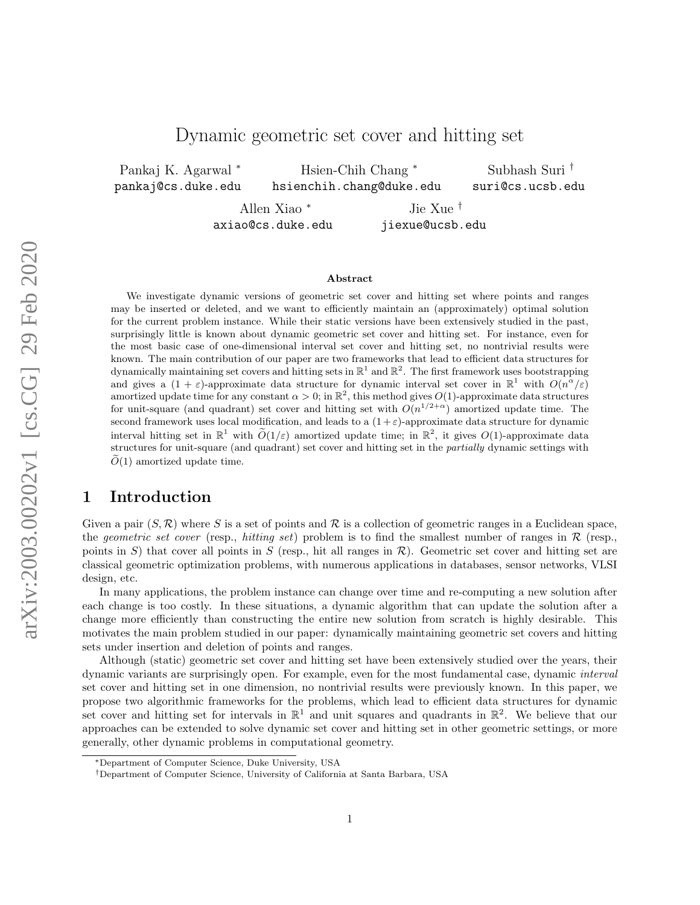# Dynamic geometric set cover and hitting set

Pankaj K. Agarwal <sup>∗</sup> pankaj@cs.duke.edu

Hsien-Chih Chang <sup>∗</sup> hsienchih.chang@duke.edu

Subhash Suri † suri@cs.ucsb.edu

Allen Xiao <sup>∗</sup> axiao@cs.duke.edu

Jie Xue † jiexue@ucsb.edu

#### Abstract

We investigate dynamic versions of geometric set cover and hitting set where points and ranges may be inserted or deleted, and we want to efficiently maintain an (approximately) optimal solution for the current problem instance. While their static versions have been extensively studied in the past, surprisingly little is known about dynamic geometric set cover and hitting set. For instance, even for the most basic case of one-dimensional interval set cover and hitting set, no nontrivial results were known. The main contribution of our paper are two frameworks that lead to efficient data structures for dynamically maintaining set covers and hitting sets in  $\mathbb{R}^1$  and  $\mathbb{R}^2$ . The first framework uses bootstrapping and gives a  $(1 + \varepsilon)$ -approximate data structure for dynamic interval set cover in  $\mathbb{R}^1$  with  $O(n^{\alpha}/\varepsilon)$ amortized update time for any constant  $\alpha > 0$ ; in  $\mathbb{R}^2$ , this method gives  $O(1)$ -approximate data structures for unit-square (and quadrant) set cover and hitting set with  $O(n^{1/2+\alpha})$  amortized update time. The second framework uses local modification, and leads to a  $(1+\varepsilon)$ -approximate data structure for dynamic interval hitting set in  $\mathbb{R}^1$  with  $\widetilde{O}(1/\varepsilon)$  amortized update time; in  $\mathbb{R}^2$ , it gives  $O(1)$ -approximate data structures for unit-square (and quadrant) set cover and hitting set in the partially dynamic settings with  $\tilde{O}(1)$  amortized update time.

# 1 Introduction

Given a pair  $(S, \mathcal{R})$  where S is a set of points and R is a collection of geometric ranges in a Euclidean space, the geometric set cover (resp., hitting set) problem is to find the smallest number of ranges in  $\mathcal R$  (resp., points in S) that cover all points in S (resp., hit all ranges in  $\mathcal{R}$ ). Geometric set cover and hitting set are classical geometric optimization problems, with numerous applications in databases, sensor networks, VLSI design, etc.

In many applications, the problem instance can change over time and re-computing a new solution after each change is too costly. In these situations, a dynamic algorithm that can update the solution after a change more efficiently than constructing the entire new solution from scratch is highly desirable. This motivates the main problem studied in our paper: dynamically maintaining geometric set covers and hitting sets under insertion and deletion of points and ranges.

Although (static) geometric set cover and hitting set have been extensively studied over the years, their dynamic variants are surprisingly open. For example, even for the most fundamental case, dynamic interval set cover and hitting set in one dimension, no nontrivial results were previously known. In this paper, we propose two algorithmic frameworks for the problems, which lead to efficient data structures for dynamic set cover and hitting set for intervals in  $\mathbb{R}^1$  and unit squares and quadrants in  $\mathbb{R}^2$ . We believe that our approaches can be extended to solve dynamic set cover and hitting set in other geometric settings, or more generally, other dynamic problems in computational geometry.

<sup>∗</sup>Department of Computer Science, Duke University, USA

<sup>†</sup>Department of Computer Science, University of California at Santa Barbara, USA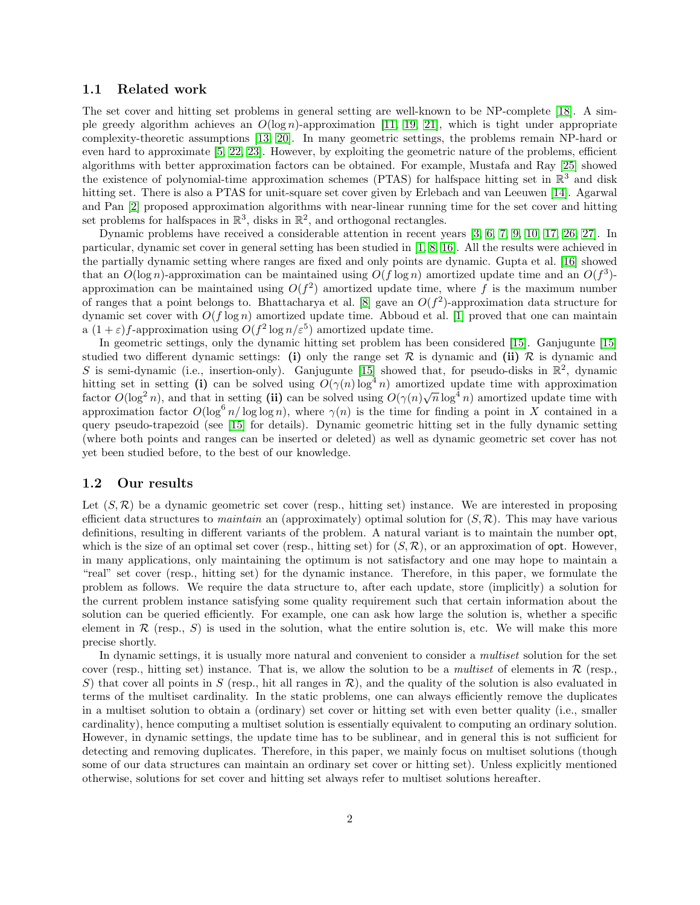#### 1.1 Related work

The set cover and hitting set problems in general setting are well-known to be NP-complete [\[18\]](#page-16-0). A simple greedy algorithm achieves an  $O(\log n)$ -approximation [\[11,](#page-15-0) [19,](#page-16-1) [21\]](#page-16-2), which is tight under appropriate complexity-theoretic assumptions [\[13,](#page-15-1) [20\]](#page-16-3). In many geometric settings, the problems remain NP-hard or even hard to approximate [\[5,](#page-15-2) [22,](#page-16-4) [23\]](#page-16-5). However, by exploiting the geometric nature of the problems, efficient algorithms with better approximation factors can be obtained. For example, Mustafa and Ray [\[25\]](#page-16-6) showed the existence of polynomial-time approximation schemes (PTAS) for halfspace hitting set in  $\mathbb{R}^3$  and disk hitting set. There is also a PTAS for unit-square set cover given by Erlebach and van Leeuwen [\[14\]](#page-16-7). Agarwal and Pan [\[2\]](#page-15-3) proposed approximation algorithms with near-linear running time for the set cover and hitting set problems for halfspaces in  $\mathbb{R}^3$ , disks in  $\mathbb{R}^2$ , and orthogonal rectangles.

Dynamic problems have received a considerable attention in recent years [\[3,](#page-15-4) [6,](#page-15-5) [7,](#page-15-6) [9,](#page-15-7) [10,](#page-15-8) [17,](#page-16-8) [26,](#page-16-9) [27\]](#page-16-10). In particular, dynamic set cover in general setting has been studied in [\[1,](#page-15-9) [8,](#page-15-10) [16\]](#page-16-11). All the results were achieved in the partially dynamic setting where ranges are fixed and only points are dynamic. Gupta et al. [\[16\]](#page-16-11) showed that an  $O(\log n)$ -approximation can be maintained using  $O(f \log n)$  amortized update time and an  $O(f^3)$ approximation can be maintained using  $O(f^2)$  amortized update time, where f is the maximum number of ranges that a point belongs to. Bhattacharya et al. [\[8\]](#page-15-10) gave an  $O(f^2)$ -approximation data structure for dynamic set cover with  $O(f \log n)$  amortized update time. Abboud et al. [\[1\]](#page-15-9) proved that one can maintain a  $(1+\varepsilon)f$ -approximation using  $O(f^2 \log n/\varepsilon^5)$  amortized update time.

In geometric settings, only the dynamic hitting set problem has been considered [\[15\]](#page-16-12). Ganjugunte [\[15\]](#page-16-12) studied two different dynamic settings: (i) only the range set  $R$  is dynamic and (ii)  $R$  is dynamic and S is semi-dynamic (i.e., insertion-only). Ganjugunte [\[15\]](#page-16-12) showed that, for pseudo-disks in  $\mathbb{R}^2$ , dynamic hitting set in setting (i) can be solved using  $O(\gamma(n) \log^4 n)$  amortized update time with approximation factor  $O(\log^2 n)$ , and that in setting (ii) can be solved using  $O(\gamma(n)\sqrt{n}\log^4 n)$  amortized update time with approximation factor  $O(\log^6 n/\log \log n)$ , where  $\gamma(n)$  is the time for finding a point in X contained in a query pseudo-trapezoid (see [\[15\]](#page-16-12) for details). Dynamic geometric hitting set in the fully dynamic setting (where both points and ranges can be inserted or deleted) as well as dynamic geometric set cover has not yet been studied before, to the best of our knowledge.

#### 1.2 Our results

Let  $(S, \mathcal{R})$  be a dynamic geometric set cover (resp., hitting set) instance. We are interested in proposing efficient data structures to *maintain* an (approximately) optimal solution for  $(S, \mathcal{R})$ . This may have various definitions, resulting in different variants of the problem. A natural variant is to maintain the number opt, which is the size of an optimal set cover (resp., hitting set) for  $(S, \mathcal{R})$ , or an approximation of opt. However, in many applications, only maintaining the optimum is not satisfactory and one may hope to maintain a "real" set cover (resp., hitting set) for the dynamic instance. Therefore, in this paper, we formulate the problem as follows. We require the data structure to, after each update, store (implicitly) a solution for the current problem instance satisfying some quality requirement such that certain information about the solution can be queried efficiently. For example, one can ask how large the solution is, whether a specific element in  $\mathcal R$  (resp.,  $S$ ) is used in the solution, what the entire solution is, etc. We will make this more precise shortly.

In dynamic settings, it is usually more natural and convenient to consider a *multiset* solution for the set cover (resp., hitting set) instance. That is, we allow the solution to be a multiset of elements in  $\mathcal R$  (resp., S) that cover all points in S (resp., hit all ranges in  $\mathcal{R}$ ), and the quality of the solution is also evaluated in terms of the multiset cardinality. In the static problems, one can always efficiently remove the duplicates in a multiset solution to obtain a (ordinary) set cover or hitting set with even better quality (i.e., smaller cardinality), hence computing a multiset solution is essentially equivalent to computing an ordinary solution. However, in dynamic settings, the update time has to be sublinear, and in general this is not sufficient for detecting and removing duplicates. Therefore, in this paper, we mainly focus on multiset solutions (though some of our data structures can maintain an ordinary set cover or hitting set). Unless explicitly mentioned otherwise, solutions for set cover and hitting set always refer to multiset solutions hereafter.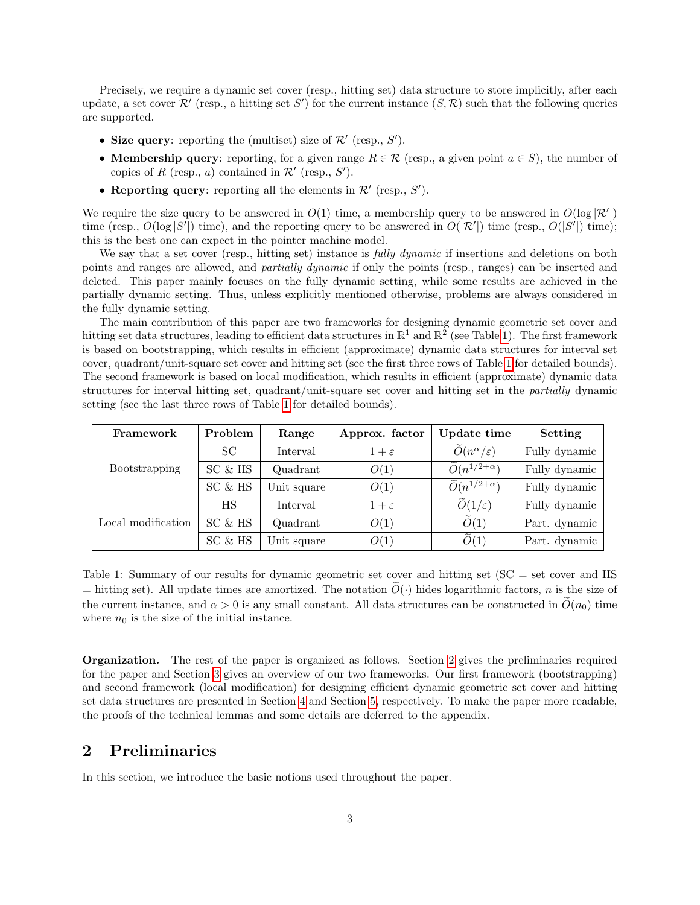Precisely, we require a dynamic set cover (resp., hitting set) data structure to store implicitly, after each update, a set cover  $\mathcal{R}'$  (resp., a hitting set S') for the current instance  $(S,\mathcal{R})$  such that the following queries are supported.

- Size query: reporting the (multiset) size of  $\mathcal{R}'$  (resp.,  $S'$ ).
- **Membership query**: reporting, for a given range  $R \in \mathcal{R}$  (resp., a given point  $a \in S$ ), the number of copies of R (resp., a) contained in  $\mathcal{R}'$  (resp., S').
- Reporting query: reporting all the elements in  $\mathcal{R}'$  (resp.,  $S'$ ).

We require the size query to be answered in  $O(1)$  time, a membership query to be answered in  $O(\log |\mathcal{R}'|)$ time (resp.,  $O(\log |S'|)$  time), and the reporting query to be answered in  $O(|\mathcal{R}'|)$  time (resp.,  $O(|S'|)$  time); this is the best one can expect in the pointer machine model.

We say that a set cover (resp., hitting set) instance is *fully dynamic* if insertions and deletions on both points and ranges are allowed, and partially dynamic if only the points (resp., ranges) can be inserted and deleted. This paper mainly focuses on the fully dynamic setting, while some results are achieved in the partially dynamic setting. Thus, unless explicitly mentioned otherwise, problems are always considered in the fully dynamic setting.

The main contribution of this paper are two frameworks for designing dynamic geometric set cover and hitting set data structures, leading to efficient data structures in  $\mathbb{R}^1$  and  $\mathbb{R}^2$  (see Table [1\)](#page-2-0). The first framework is based on bootstrapping, which results in efficient (approximate) dynamic data structures for interval set cover, quadrant/unit-square set cover and hitting set (see the first three rows of Table [1](#page-2-0) for detailed bounds). The second framework is based on local modification, which results in efficient (approximate) dynamic data structures for interval hitting set, quadrant/unit-square set cover and hitting set in the partially dynamic setting (see the last three rows of Table [1](#page-2-0) for detailed bounds).

| Framework          | Problem   | Range       | Approx. factor  | Update time                             | Setting       |
|--------------------|-----------|-------------|-----------------|-----------------------------------------|---------------|
| Bootstrapping      | SC        | Interval    | $1+\varepsilon$ | $\widetilde{O}(n^{\alpha}/\varepsilon)$ | Fully dynamic |
|                    | SC & HS   | Quadrant    | O(1)            | $\widetilde{O}(n^{1/2+\alpha})$         | Fully dynamic |
|                    | SC & HS   | Unit square | O(1)            | $\widetilde{O}(n^{1/2+\alpha})$         | Fully dynamic |
| Local modification | <b>HS</b> | Interval    | $1+\varepsilon$ | $O(1/\varepsilon)$                      | Fully dynamic |
|                    | SC & HS   | Quadrant    | O(1)            | O(1)                                    | Part. dynamic |
|                    | SC & HS   | Unit square | O(1)            | O(1)                                    | Part. dynamic |

<span id="page-2-0"></span>Table 1: Summary of our results for dynamic geometric set cover and hitting set (SC = set cover and HS  $=$  hitting set). All update times are amortized. The notation  $\tilde{O}(\cdot)$  hides logarithmic factors, n is the size of the current instance, and  $\alpha > 0$  is any small constant. All data structures can be constructed in  $\tilde{O}(n_0)$  time where  $n_0$  is the size of the initial instance.

Organization. The rest of the paper is organized as follows. Section [2](#page-2-1) gives the preliminaries required for the paper and Section [3](#page-3-0) gives an overview of our two frameworks. Our first framework (bootstrapping) and second framework (local modification) for designing efficient dynamic geometric set cover and hitting set data structures are presented in Section [4](#page-3-1) and Section [5,](#page-12-0) respectively. To make the paper more readable, the proofs of the technical lemmas and some details are deferred to the appendix.

## <span id="page-2-1"></span>2 Preliminaries

In this section, we introduce the basic notions used throughout the paper.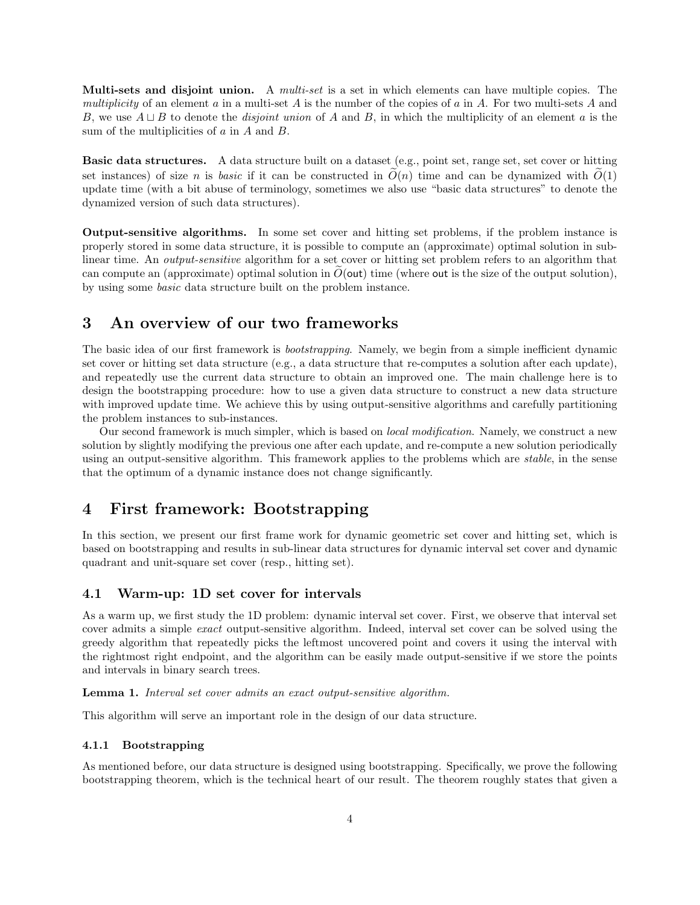**Multi-sets and disjoint union.** A *multi-set* is a set in which elements can have multiple copies. The multiplicity of an element  $a$  in a multi-set  $A$  is the number of the copies of  $a$  in  $A$ . For two multi-sets  $A$  and B, we use  $A \sqcup B$  to denote the *disjoint union* of A and B, in which the multiplicity of an element a is the sum of the multiplicities of  $a$  in  $A$  and  $B$ .

Basic data structures. A data structure built on a dataset (e.g., point set, range set, set cover or hitting set instances) of size n is basic if it can be constructed in  $\tilde{O}(n)$  time and can be dynamized with  $\tilde{O}(1)$ update time (with a bit abuse of terminology, sometimes we also use "basic data structures" to denote the dynamized version of such data structures).

Output-sensitive algorithms. In some set cover and hitting set problems, if the problem instance is properly stored in some data structure, it is possible to compute an (approximate) optimal solution in sublinear time. An output-sensitive algorithm for a set cover or hitting set problem refers to an algorithm that can compute an (approximate) optimal solution in  $O(\text{out})$  time (where out is the size of the output solution), by using some basic data structure built on the problem instance.

# <span id="page-3-0"></span>3 An overview of our two frameworks

The basic idea of our first framework is bootstrapping. Namely, we begin from a simple inefficient dynamic set cover or hitting set data structure (e.g., a data structure that re-computes a solution after each update), and repeatedly use the current data structure to obtain an improved one. The main challenge here is to design the bootstrapping procedure: how to use a given data structure to construct a new data structure with improved update time. We achieve this by using output-sensitive algorithms and carefully partitioning the problem instances to sub-instances.

Our second framework is much simpler, which is based on local modification. Namely, we construct a new solution by slightly modifying the previous one after each update, and re-compute a new solution periodically using an output-sensitive algorithm. This framework applies to the problems which are *stable*, in the sense that the optimum of a dynamic instance does not change significantly.

## <span id="page-3-1"></span>4 First framework: Bootstrapping

In this section, we present our first frame work for dynamic geometric set cover and hitting set, which is based on bootstrapping and results in sub-linear data structures for dynamic interval set cover and dynamic quadrant and unit-square set cover (resp., hitting set).

#### <span id="page-3-3"></span>4.1 Warm-up: 1D set cover for intervals

As a warm up, we first study the 1D problem: dynamic interval set cover. First, we observe that interval set cover admits a simple exact output-sensitive algorithm. Indeed, interval set cover can be solved using the greedy algorithm that repeatedly picks the leftmost uncovered point and covers it using the interval with the rightmost right endpoint, and the algorithm can be easily made output-sensitive if we store the points and intervals in binary search trees.

#### <span id="page-3-2"></span>Lemma 1. Interval set cover admits an exact output-sensitive algorithm.

This algorithm will serve an important role in the design of our data structure.

#### 4.1.1 Bootstrapping

As mentioned before, our data structure is designed using bootstrapping. Specifically, we prove the following bootstrapping theorem, which is the technical heart of our result. The theorem roughly states that given a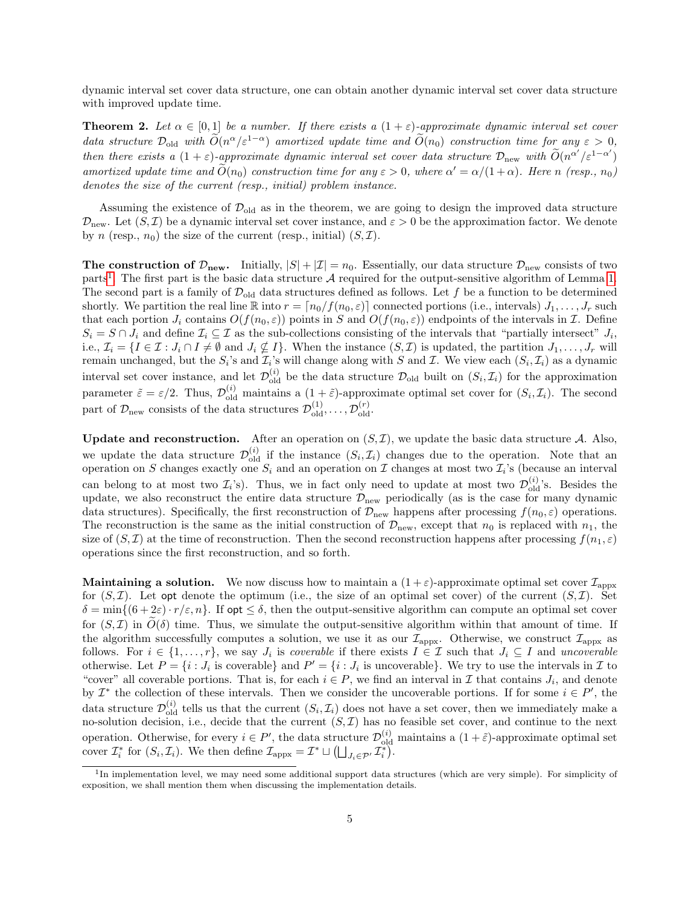dynamic interval set cover data structure, one can obtain another dynamic interval set cover data structure with improved update time.

<span id="page-4-1"></span>**Theorem 2.** Let  $\alpha \in [0,1]$  be a number. If there exists a  $(1+\varepsilon)$ -approximate dynamic interval set cover data structure  $\mathcal{D}_{old}$  with  $\widetilde{O}(n^{\alpha}/\varepsilon^{1-\alpha})$  amortized update time and  $\widetilde{O}(n_0)$  construction time for any  $\varepsilon > 0$ , then there exists a  $(1+\varepsilon)$ -approximate dynamic interval set cover data structure  $\mathcal{D}_{\text{new}}$  with  $\widetilde{O}(n^{\alpha'}/\varepsilon^{1-\alpha'})$ amortized update time and  $\tilde{O}(n_0)$  construction time for any  $\varepsilon > 0$ , where  $\alpha' = \alpha/(1+\alpha)$ . Here n (resp.,  $n_0$ ) denotes the size of the current (resp., initial) problem instance.

Assuming the existence of  $\mathcal{D}_{old}$  as in the theorem, we are going to design the improved data structure  $\mathcal{D}_{\text{new}}$ . Let  $(S,\mathcal{I})$  be a dynamic interval set cover instance, and  $\varepsilon > 0$  be the approximation factor. We denote by n (resp.,  $n_0$ ) the size of the current (resp., initial)  $(S,\mathcal{I})$ .

**The construction of**  $\mathcal{D}_{new}$ **.** Initially,  $|S| + |\mathcal{I}| = n_0$ . Essentially, our data structure  $\mathcal{D}_{new}$  consists of two parts<sup>[1](#page-4-0)</sup>. The first part is the basic data structure  $A$  required for the output-sensitive algorithm of Lemma [1.](#page-3-2) The second part is a family of  $\mathcal{D}_{old}$  data structures defined as follows. Let f be a function to be determined shortly. We partition the real line  $\mathbb R$  into  $r = \lfloor n_0/f(n_0, \varepsilon) \rfloor$  connected portions (i.e., intervals)  $J_1, \ldots, J_r$  such that each portion  $J_i$  contains  $O(f(n_0, \varepsilon))$  points in S and  $O(f(n_0, \varepsilon))$  endpoints of the intervals in T. Define  $S_i = S \cap J_i$  and define  $\mathcal{I}_i \subseteq \mathcal{I}$  as the sub-collections consisting of the intervals that "partially intersect"  $J_i$ , i.e.,  $\mathcal{I}_i = \{I \in \mathcal{I} : J_i \cap I \neq \emptyset \text{ and } J_i \nsubseteq I\}$ . When the instance  $(S, \mathcal{I})$  is updated, the partition  $J_1, \ldots, J_r$  will remain unchanged, but the  $S_i$ 's and  $\mathcal{I}_i$ 's will change along with S and I. We view each  $(S_i, \mathcal{I}_i)$  as a dynamic interval set cover instance, and let  $\mathcal{D}_{old}^{(i)}$  be the data structure  $\mathcal{D}_{old}$  built on  $(S_i, \mathcal{I}_i)$  for the approximation parameter  $\tilde{\varepsilon} = \varepsilon/2$ . Thus,  $\mathcal{D}_{old}^{(i)}$  maintains a  $(1+\tilde{\varepsilon})$ -approximate optimal set cover for  $(S_i, \mathcal{I}_i)$ . The second part of  $\mathcal{D}_{\text{new}}$  consists of the data structures  $\mathcal{D}_{\text{old}}^{(1)}, \ldots, \mathcal{D}_{\text{old}}^{(r)}$ .

**Update and reconstruction.** After an operation on  $(S, \mathcal{I})$ , we update the basic data structure A. Also, we update the data structure  $\mathcal{D}_{old}^{(i)}$  if the instance  $(S_i, \mathcal{I}_i)$  changes due to the operation. Note that an operation on S changes exactly one  $S_i$  and an operation on I changes at most two  $\mathcal{I}_i$ 's (because an interval can belong to at most two  $\mathcal{I}_i$ 's). Thus, we in fact only need to update at most two  $\mathcal{D}_{old}^{(i)}$ 's. Besides the update, we also reconstruct the entire data structure  $\mathcal{D}_{\text{new}}$  periodically (as is the case for many dynamic data structures). Specifically, the first reconstruction of  $\mathcal{D}_{new}$  happens after processing  $f(n_0, \varepsilon)$  operations. The reconstruction is the same as the initial construction of  $\mathcal{D}_{\text{new}}$ , except that  $n_0$  is replaced with  $n_1$ , the size of  $(S,\mathcal{I})$  at the time of reconstruction. Then the second reconstruction happens after processing  $f(n_1,\varepsilon)$ operations since the first reconstruction, and so forth.

**Maintaining a solution.** We now discuss how to maintain a  $(1+\varepsilon)$ -approximate optimal set cover  $\mathcal{I}_{\text{appx}}$ for  $(S,\mathcal{I})$ . Let opt denote the optimum (i.e., the size of an optimal set cover) of the current  $(S,\mathcal{I})$ . Set  $\delta = \min\{(6 + 2\varepsilon) \cdot r/\varepsilon, n\}.$  If opt  $\leq \delta$ , then the output-sensitive algorithm can compute an optimal set cover for  $(S,\mathcal{I})$  in  $O(\delta)$  time. Thus, we simulate the output-sensitive algorithm within that amount of time. If the algorithm successfully computes a solution, we use it as our  $\mathcal{I}_{\text{approx}}$ . Otherwise, we construct  $\mathcal{I}_{\text{approx}}$  as follows. For  $i \in \{1, \ldots, r\}$ , we say  $J_i$  is *coverable* if there exists  $I \in \mathcal{I}$  such that  $J_i \subseteq I$  and *uncoverable* otherwise. Let  $P = \{i : J_i$  is coverable} and  $P' = \{i : J_i$  is uncoverable}. We try to use the intervals in  $\mathcal I$  to "cover" all coverable portions. That is, for each  $i \in P$ , we find an interval in  $\mathcal I$  that contains  $J_i$ , and denote by  $\mathcal{I}^*$  the collection of these intervals. Then we consider the uncoverable portions. If for some  $i \in P'$ , the data structure  $\mathcal{D}_{old}^{(i)}$  tells us that the current  $(S_i, \mathcal{I}_i)$  does not have a set cover, then we immediately make a no-solution decision, i.e., decide that the current  $(S, \mathcal{I})$  has no feasible set cover, and continue to the next operation. Otherwise, for every  $i \in P'$ , the data structure  $\mathcal{D}_{old}^{(i)}$  maintains a  $(1+\tilde{\varepsilon})$ -approximate optimal set cover  $\mathcal{I}_i^*$  for  $(S_i, \mathcal{I}_i)$ . We then define  $\mathcal{I}_{\text{appx}} = \mathcal{I}^* \sqcup \left( \bigsqcup_{J_i \in \mathcal{P}'} \mathcal{I}_i^* \right)$ .

<span id="page-4-0"></span><sup>&</sup>lt;sup>1</sup>In implementation level, we may need some additional support data structures (which are very simple). For simplicity of exposition, we shall mention them when discussing the implementation details.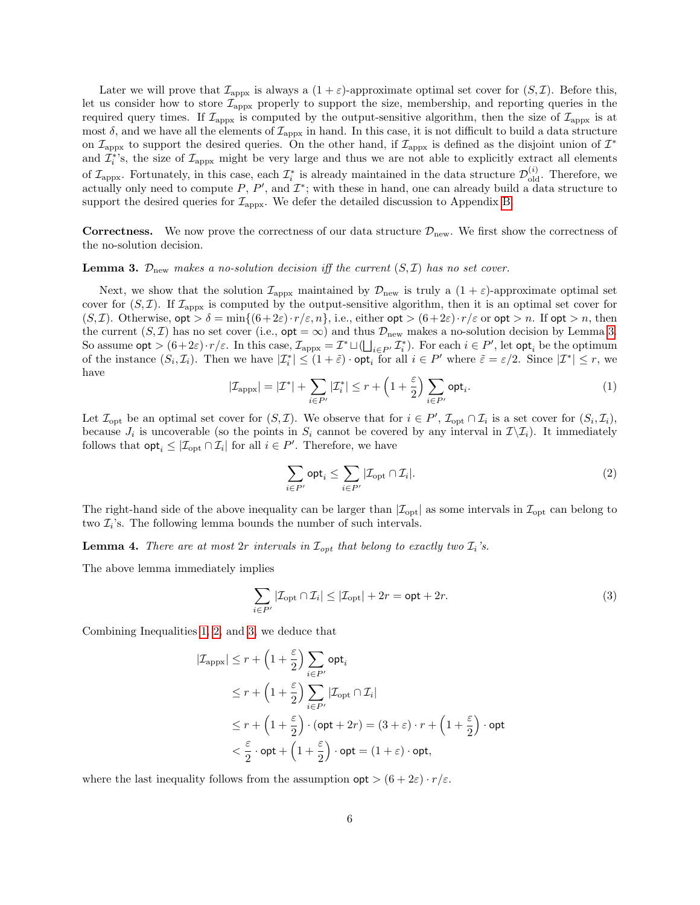Later we will prove that  $\mathcal{I}_{\text{appx}}$  is always a  $(1+\varepsilon)$ -approximate optimal set cover for  $(S,\mathcal{I})$ . Before this, let us consider how to store  $\mathcal{I}_{\text{appx}}$  properly to support the size, membership, and reporting queries in the required query times. If  $\mathcal{I}_{\text{appx}}$  is computed by the output-sensitive algorithm, then the size of  $\mathcal{I}_{\text{appx}}$  is at most  $\delta$ , and we have all the elements of  $\mathcal{I}_{\text{appx}}$  in hand. In this case, it is not difficult to build a data structure on  $\mathcal{I}_{\text{approx}}$  to support the desired queries. On the other hand, if  $\mathcal{I}_{\text{approx}}$  is defined as the disjoint union of  $\mathcal{I}^*$ and  $\mathcal{I}_i^*$ 's, the size of  $\mathcal{I}_{\text{appx}}$  might be very large and thus we are not able to explicitly extract all elements of  $\mathcal{I}_{\text{appx}}$ . Fortunately, in this case, each  $\mathcal{I}_i^*$  is already maintained in the data structure  $\mathcal{D}_{\text{old}}^{(i)}$ . Therefore, we actually only need to compute P, P', and  $\mathcal{I}^*$ ; with these in hand, one can already build a data structure to support the desired queries for  $\mathcal{I}_{\text{appx}}$ . We defer the detailed discussion to Appendix [B.](#page-27-0)

**Correctness.** We now prove the correctness of our data structure  $\mathcal{D}_{new}$ . We first show the correctness of the no-solution decision.

<span id="page-5-0"></span>**Lemma 3.**  $\mathcal{D}_{\text{new}}$  makes a no-solution decision iff the current  $(S, \mathcal{I})$  has no set cover.

Next, we show that the solution  $\mathcal{I}_{\text{appx}}$  maintained by  $\mathcal{D}_{\text{new}}$  is truly a  $(1+\varepsilon)$ -approximate optimal set cover for  $(S,\mathcal{I})$ . If  $\mathcal{I}_{\text{appx}}$  is computed by the output-sensitive algorithm, then it is an optimal set cover for  $(S, \mathcal{I})$ . Otherwise,  $\mathsf{opt} > \delta = \min\{(\delta + 2\varepsilon) \cdot r/\varepsilon, n\}$ , i.e., either  $\mathsf{opt} > (\delta + 2\varepsilon) \cdot r/\varepsilon$  or  $\mathsf{opt} > n$ . If  $\mathsf{opt} > n$ , then the current  $(S,\mathcal{I})$  has no set cover (i.e.,  $\mathsf{opt} = \infty$ ) and thus  $\mathcal{D}_{\text{new}}$  makes a no-solution decision by Lemma [3.](#page-5-0) So assume  $\mathsf{opt} > (6+2\varepsilon) \cdot r/\varepsilon$ . In this case,  $\mathcal{I}_{\text{appx}} = \mathcal{I}^* \sqcup (\bigsqcup_{i \in P'} \mathcal{I}_i^*)$ . For each  $i \in P'$ , let  $\mathsf{opt}_i$  be the optimum of the instance  $(S_i, \mathcal{I}_i)$ . Then we have  $|\mathcal{I}_i^*| \leq (1+\tilde{\varepsilon}) \cdot \mathsf{opt}_i$  for all  $i \in P'$  where  $\tilde{\varepsilon} = \varepsilon/2$ . Since  $|\mathcal{I}^*| \leq r$ , we have

<span id="page-5-1"></span>
$$
|\mathcal{I}_{\text{appx}}| = |\mathcal{I}^*| + \sum_{i \in P'} |\mathcal{I}_i^*| \le r + \left(1 + \frac{\varepsilon}{2}\right) \sum_{i \in P'} \text{opt}_i. \tag{1}
$$

Let  $\mathcal{I}_{\text{opt}}$  be an optimal set cover for  $(S, \mathcal{I})$ . We observe that for  $i \in P'$ ,  $\mathcal{I}_{\text{opt}} \cap \mathcal{I}_i$  is a set cover for  $(S_i, \mathcal{I}_i)$ , because  $J_i$  is uncoverable (so the points in  $S_i$  cannot be covered by any interval in  $\mathcal{I}\setminus\mathcal{I}_i$ ). It immediately follows that  $\mathsf{opt}_i \leq |\mathcal{I}_{\text{opt}} \cap \mathcal{I}_i|$  for all  $i \in P'$ . Therefore, we have

<span id="page-5-2"></span>
$$
\sum_{i \in P'} \mathsf{opt}_i \le \sum_{i \in P'} |\mathcal{I}_{\mathrm{opt}} \cap \mathcal{I}_i|.
$$
 (2)

The right-hand side of the above inequality can be larger than  $|\mathcal{I}_{opt}|$  as some intervals in  $\mathcal{I}_{opt}$  can belong to two  $\mathcal{I}_i$ 's. The following lemma bounds the number of such intervals.

<span id="page-5-4"></span>**Lemma 4.** There are at most  $2r$  intervals in  $\mathcal{I}_{opt}$  that belong to exactly two  $\mathcal{I}_i$ 's.

The above lemma immediately implies

<span id="page-5-3"></span>
$$
\sum_{i \in P'} |\mathcal{I}_{\text{opt}} \cap \mathcal{I}_i| \le |\mathcal{I}_{\text{opt}}| + 2r = \text{opt} + 2r.
$$
 (3)

Combining Inequalities [1,](#page-5-1) [2,](#page-5-2) and [3,](#page-5-3) we deduce that

$$
\begin{aligned} |\mathcal{I}_{\mathrm{appx}}| &\leq r + \left(1+\frac{\varepsilon}{2}\right)\sum_{i\in P'}\mathsf{opt}_i \\ &\leq r + \left(1+\frac{\varepsilon}{2}\right)\sum_{i\in P'}|\mathcal{I}_{\mathrm{opt}}\cap \mathcal{I}_i| \\ &\leq r + \left(1+\frac{\varepsilon}{2}\right)\cdot(\mathsf{opt}+2r) = (3+\varepsilon)\cdot r + \left(1+\frac{\varepsilon}{2}\right)\cdot\mathsf{opt} \\ &< \frac{\varepsilon}{2}\cdot\mathsf{opt} + \left(1+\frac{\varepsilon}{2}\right)\cdot\mathsf{opt} = (1+\varepsilon)\cdot\mathsf{opt}, \end{aligned}
$$

where the last inequality follows from the assumption  $\text{opt} > (6 + 2\varepsilon) \cdot r/\varepsilon$ .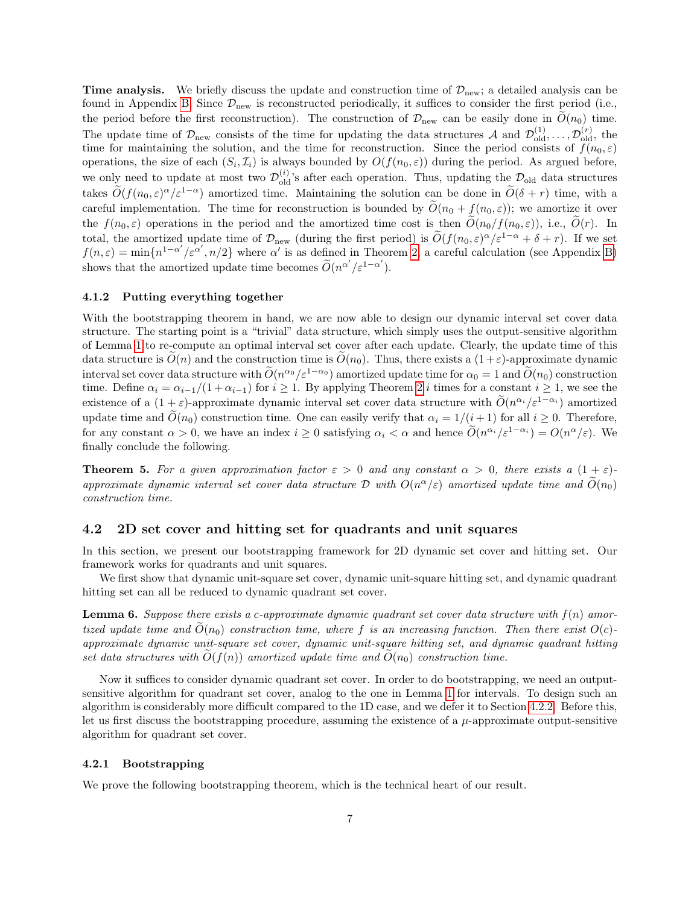**Time analysis.** We briefly discuss the update and construction time of  $\mathcal{D}_{\text{new}}$ ; a detailed analysis can be found in Appendix [B.](#page-27-0) Since  $\mathcal{D}_{new}$  is reconstructed periodically, it suffices to consider the first period (i.e., the period before the first reconstruction). The construction of  $\mathcal{D}_{\text{new}}$  can be easily done in  $\tilde{O}(n_0)$  time. The update time of  $\mathcal{D}_{\text{new}}$  consists of the time for updating the data structures A and  $\mathcal{D}_{\text{old}}^{(1)}, \ldots, \mathcal{D}_{\text{old}}^{(r)}$ , the time for maintaining the solution, and the time for reconstruction. Since the period consists of  $f(n_0, \varepsilon)$ operations, the size of each  $(S_i, \mathcal{I}_i)$  is always bounded by  $O(f(n_0, \varepsilon))$  during the period. As argued before, we only need to update at most two  $\mathcal{D}_{\text{old}}^{(i)}$ 's after each operation. Thus, updating the  $\mathcal{D}_{\text{old}}$  data structures takes  $\tilde{O}(f(n_0,\varepsilon)^{\alpha}/\varepsilon^{1-\alpha})$  amortized time. Maintaining the solution can be done in  $\tilde{O}(\delta + r)$  time, with a careful implementation. The time for reconstruction is bounded by  $\widetilde{O}(n_0 + f(n_0, \varepsilon))$ ; we amortize it over the  $f(n_0, \varepsilon)$  operations in the period and the amortized time cost is then  $\tilde{O}(n_0/f(n_0, \varepsilon))$ , i.e.,  $\tilde{O}(r)$ . In total, the amortized update time of  $\mathcal{D}_{\text{new}}$  (during the first period) is  $\widetilde{O}(f(n_0,\varepsilon)^{\alpha}/\varepsilon^{1-\alpha}+\delta+r)$ . If we set  $f(n,\varepsilon) = \min\{n^{1-\alpha'}/\varepsilon^{\alpha'}, n/2\}$  where  $\alpha'$  is as defined in Theorem [2,](#page-4-1) a careful calculation (see Appendix [B\)](#page-27-0) shows that the amortized update time becomes  $\widetilde{O}(n^{\alpha'}/\varepsilon^{1-\alpha'})$ .

#### 4.1.2 Putting everything together

With the bootstrapping theorem in hand, we are now able to design our dynamic interval set cover data structure. The starting point is a "trivial" data structure, which simply uses the output-sensitive algorithm of Lemma [1](#page-3-2) to re-compute an optimal interval set cover after each update. Clearly, the update time of this data structure is  $O(n)$  and the construction time is  $O(n_0)$ . Thus, there exists a  $(1+\varepsilon)$ -approximate dynamic interval set cover data structure with  $\widetilde{O}(n^{\alpha_0}/\varepsilon^{1-\alpha_0})$  amortized update time for  $\alpha_0 = 1$  and  $\widetilde{O}(n_0)$  construction time. Define  $\alpha_i = \alpha_{i-1}/(1 + \alpha_{i-1})$  for  $i \ge 1$ . By applying Theorem [2](#page-4-1) i times for a constant  $i \ge 1$ , we see the existence of a  $(1+\varepsilon)$ -approximate dynamic interval set cover data structure with  $O(n^{\alpha_i}/\varepsilon^{1-\alpha_i})$  amortized update time and  $\tilde{O}(n_0)$  construction time. One can easily verify that  $\alpha_i = 1/(i+1)$  for all  $i \geq 0$ . Therefore, for any constant  $\alpha > 0$ , we have an index  $i \geq 0$  satisfying  $\alpha_i < \alpha$  and hence  $\widetilde{O}(n^{\alpha_i}/\varepsilon^{1-\alpha_i}) = O(n^{\alpha}/\varepsilon)$ . We finally conclude the following.

**Theorem 5.** For a given approximation factor  $\varepsilon > 0$  and any constant  $\alpha > 0$ , there exists a  $(1 + \varepsilon)$ approximate dynamic interval set cover data structure  $\mathcal D$  with  $O(n^{\alpha}/\varepsilon)$  amortized update time and  $\widetilde{O}(n_0)$ construction time.

#### <span id="page-6-1"></span>4.2 2D set cover and hitting set for quadrants and unit squares

In this section, we present our bootstrapping framework for 2D dynamic set cover and hitting set. Our framework works for quadrants and unit squares.

We first show that dynamic unit-square set cover, dynamic unit-square hitting set, and dynamic quadrant hitting set can all be reduced to dynamic quadrant set cover.

<span id="page-6-0"></span>**Lemma 6.** Suppose there exists a c-approximate dynamic quadrant set cover data structure with  $f(n)$  amortized update time and  $\widetilde{O}(n_0)$  construction time, where f is an increasing function. Then there exist  $O(c)$ approximate dynamic unit-square set cover, dynamic unit-square hitting set, and dynamic quadrant hitting set data structures with  $O(f(n))$  amortized update time and  $O(n_0)$  construction time.

Now it suffices to consider dynamic quadrant set cover. In order to do bootstrapping, we need an outputsensitive algorithm for quadrant set cover, analog to the one in Lemma [1](#page-3-2) for intervals. To design such an algorithm is considerably more difficult compared to the 1D case, and we defer it to Section [4.2.2.](#page-10-0) Before this, let us first discuss the bootstrapping procedure, assuming the existence of a  $\mu$ -approximate output-sensitive algorithm for quadrant set cover.

#### 4.2.1 Bootstrapping

We prove the following bootstrapping theorem, which is the technical heart of our result.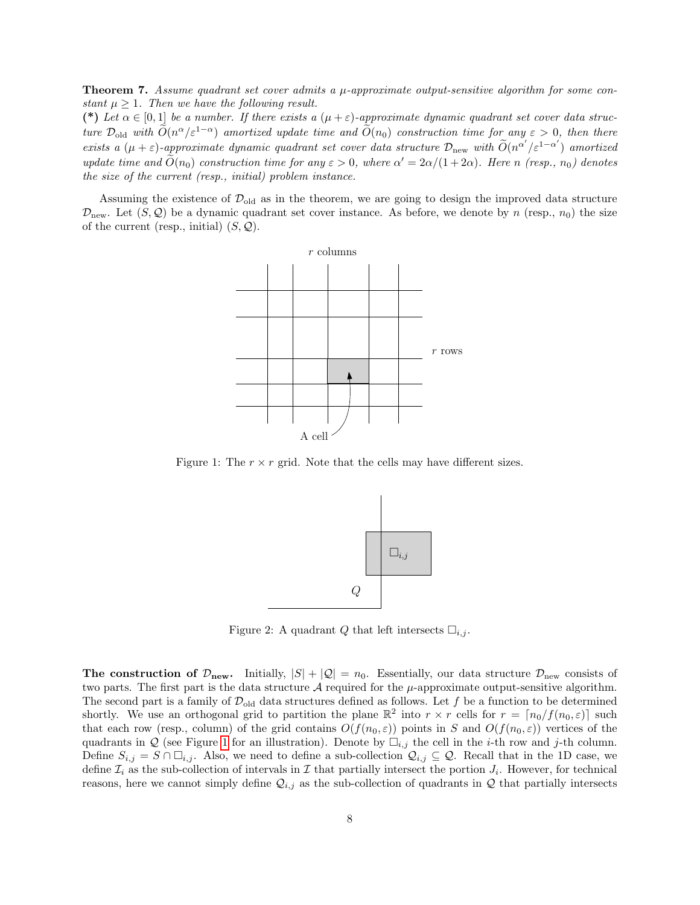<span id="page-7-2"></span>**Theorem 7.** Assume quadrant set cover admits a  $\mu$ -approximate output-sensitive algorithm for some constant  $\mu > 1$ . Then we have the following result.

(\*) Let  $\alpha \in [0,1]$  be a number. If there exists a  $(\mu + \varepsilon)$ -approximate dynamic quadrant set cover data structure  $\mathcal{D}_{old}$  with  $\tilde{O}(n^{\alpha}/\varepsilon^{1-\alpha})$  amortized update time and  $\tilde{O}(n_0)$  construction time for any  $\varepsilon > 0$ , then there exists a  $(\mu + \varepsilon)$ -approximate dynamic quadrant set cover data structure  $\mathcal{D}_{\text{new}}$  with  $\widetilde{O}(n^{\alpha'}/\varepsilon^{1-\alpha'})$  amortized update time and  $\widetilde{O}(n_0)$  construction time for any  $\varepsilon > 0$ , where  $\alpha' = 2\alpha/(1+2\alpha)$ . Here n (resp.,  $n_0$ ) denotes the size of the current (resp., initial) problem instance.

Assuming the existence of  $\mathcal{D}_{old}$  as in the theorem, we are going to design the improved data structure  $\mathcal{D}_{\text{new}}$ . Let  $(S, \mathcal{Q})$  be a dynamic quadrant set cover instance. As before, we denote by n (resp.,  $n_0$ ) the size of the current (resp., initial)  $(S, Q)$ .



<span id="page-7-0"></span>Figure 1: The  $r \times r$  grid. Note that the cells may have different sizes.



<span id="page-7-1"></span>Figure 2: A quadrant Q that left intersects  $\Box_{i,j}$ .

**The construction of**  $\mathcal{D}_{new}$ **.** Initially,  $|S| + |Q| = n_0$ . Essentially, our data structure  $\mathcal{D}_{new}$  consists of two parts. The first part is the data structure  $\mathcal A$  required for the  $\mu$ -approximate output-sensitive algorithm. The second part is a family of  $\mathcal{D}_{old}$  data structures defined as follows. Let f be a function to be determined shortly. We use an orthogonal grid to partition the plane  $\mathbb{R}^2$  into  $r \times r$  cells for  $r = \lfloor n_0/f(n_0, \varepsilon) \rfloor$  such that each row (resp., column) of the grid contains  $O(f(n_0, \varepsilon))$  points in S and  $O(f(n_0, \varepsilon))$  vertices of the quadrants in Q (see Figure [1](#page-7-0) for an illustration). Denote by  $\Box_{i,j}$  the cell in the *i*-th row and *j*-th column. Define  $S_{i,j} = S \cap \Box_{i,j}$ . Also, we need to define a sub-collection  $\mathcal{Q}_{i,j} \subseteq \mathcal{Q}$ . Recall that in the 1D case, we define  $\mathcal{I}_i$  as the sub-collection of intervals in  $\mathcal I$  that partially intersect the portion  $J_i$ . However, for technical reasons, here we cannot simply define  $\mathcal{Q}_{i,j}$  as the sub-collection of quadrants in  $\mathcal Q$  that partially intersects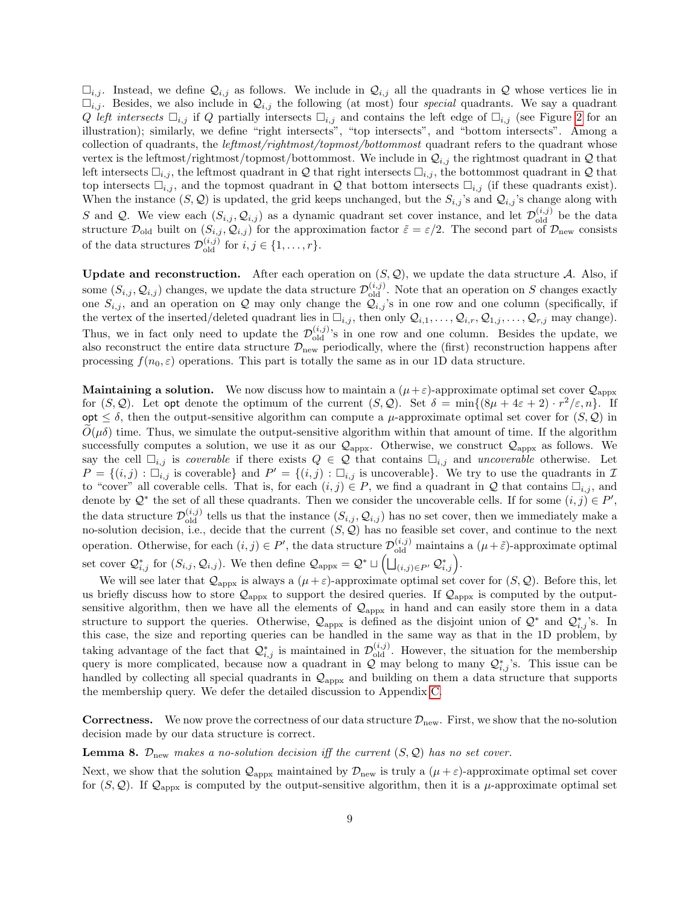$\Box_{i,j}$ . Instead, we define  $\mathcal{Q}_{i,j}$  as follows. We include in  $\mathcal{Q}_{i,j}$  all the quadrants in  $\mathcal Q$  whose vertices lie in  $\Box_{i,j}$ . Besides, we also include in  $\mathcal{Q}_{i,j}$  the following (at most) four special quadrants. We say a quadrant Q left intersects  $\Box_{i,j}$  if Q partially intersects  $\Box_{i,j}$  and contains the left edge of  $\Box_{i,j}$  (see Figure [2](#page-7-1) for an illustration); similarly, we define "right intersects", "top intersects", and "bottom intersects". Among a collection of quadrants, the *leftmost/rightmost/topmost/bottommost* quadrant refers to the quadrant whose vertex is the leftmost/rightmost/topmost/bottommost. We include in  $Q_{i,j}$  the rightmost quadrant in Q that left intersects  $\Box_{i,j}$ , the leftmost quadrant in Q that right intersects  $\Box_{i,j}$ , the bottommost quadrant in Q that top intersects  $\Box_{i,j}$ , and the topmost quadrant in Q that bottom intersects  $\Box_{i,j}$  (if these quadrants exist). When the instance  $(S, \mathcal{Q})$  is updated, the grid keeps unchanged, but the  $S_{i,j}$ 's and  $\mathcal{Q}_{i,j}$ 's change along with S and Q. We view each  $(S_{i,j}, Q_{i,j})$  as a dynamic quadrant set cover instance, and let  $\mathcal{D}_{old}^{(i,j)}$  be the data structure  $\mathcal{D}_{old}$  built on  $(S_{i,j}, \mathcal{Q}_{i,j})$  for the approximation factor  $\tilde{\varepsilon} = \varepsilon/2$ . The second part of  $\mathcal{D}_{new}$  consists of the data structures  $\mathcal{D}_{old}^{(i,j)}$  for  $i, j \in \{1, ..., r\}$ .

Update and reconstruction. After each operation on  $(S, \mathcal{Q})$ , we update the data structure A. Also, if some  $(S_{i,j}, \mathcal{Q}_{i,j})$  changes, we update the data structure  $\mathcal{D}_{old}^{(i,j)}$ . Note that an operation on S changes exactly one  $S_{i,j}$ , and an operation on Q may only change the  $\mathcal{Q}_{i,j}$ 's in one row and one column (specifically, if the vertex of the inserted/deleted quadrant lies in  $\Box_{i,j}$ , then only  $\mathcal{Q}_{i,1}, \ldots, \mathcal{Q}_{i,r}, \mathcal{Q}_{1,j}, \ldots, \mathcal{Q}_{r,j}$  may change). Thus, we in fact only need to update the  $\mathcal{D}_{old}^{(i,j)}$ 's in one row and one column. Besides the update, we also reconstruct the entire data structure  $\mathcal{D}_{\text{new}}$  periodically, where the (first) reconstruction happens after processing  $f(n_0, \varepsilon)$  operations. This part is totally the same as in our 1D data structure.

**Maintaining a solution.** We now discuss how to maintain a  $(\mu + \varepsilon)$ -approximate optimal set cover  $\mathcal{Q}_{\text{approx}}$ for  $(S, Q)$ . Let opt denote the optimum of the current  $(S, Q)$ . Set  $\delta = \min\{(8\mu + 4\varepsilon + 2) \cdot r^2/\varepsilon, n\}$ . If opt  $\leq \delta$ , then the output-sensitive algorithm can compute a  $\mu$ -approximate optimal set cover for  $(S, \mathcal{Q})$  in  $O(\mu\delta)$  time. Thus, we simulate the output-sensitive algorithm within that amount of time. If the algorithm successfully computes a solution, we use it as our  $\mathcal{Q}_{appx}$ . Otherwise, we construct  $\mathcal{Q}_{appx}$  as follows. We say the cell  $\Box_{i,j}$  is *coverable* if there exists  $Q \in \mathcal{Q}$  that contains  $\Box_{i,j}$  and *uncoverable* otherwise. Let  $P = \{(i,j): \overline{\Box}_{i,j} \text{ is coverable}\}\$ and  $P' = \{(i,j): \overline{\Box}_{i,j} \text{ is uncoverable}\}\$ . We try to use the quadrants in  $\mathcal{I}$ to "cover" all coverable cells. That is, for each  $(i, j) \in P$ , we find a quadrant in Q that contains  $\Box_{i,j}$ , and denote by  $\mathcal{Q}^*$  the set of all these quadrants. Then we consider the uncoverable cells. If for some  $(i, j) \in P'$ , the data structure  $\mathcal{D}_{old}^{(i,j)}$  tells us that the instance  $(S_{i,j}, \mathcal{Q}_{i,j})$  has no set cover, then we immediately make a no-solution decision, i.e., decide that the current  $(S, \mathcal{Q})$  has no feasible set cover, and continue to the next operation. Otherwise, for each  $(i, j) \in P'$ , the data structure  $\mathcal{D}_{old}^{(i,j)}$  maintains a  $(\mu + \tilde{\varepsilon})$ -approximate optimal set cover  $\mathcal{Q}_{i,j}^*$  for  $(S_{i,j}, \mathcal{Q}_{i,j})$ . We then define  $\mathcal{Q}_{\text{appx}} = \mathcal{Q}^* \sqcup \left( \bigsqcup_{(i,j) \in P'} \mathcal{Q}_{i,j}^* \right)$ .

We will see later that  $\mathcal{Q}_{\text{appx}}$  is always a  $(\mu + \varepsilon)$ -approximate optimal set cover for  $(S, \mathcal{Q})$ . Before this, let us briefly discuss how to store  $Q_{\text{appx}}$  to support the desired queries. If  $Q_{\text{appx}}$  is computed by the outputsensitive algorithm, then we have all the elements of  $\mathcal{Q}_{\text{appx}}$  in hand and can easily store them in a data structure to support the queries. Otherwise,  $\mathcal{Q}_{\text{appx}}$  is defined as the disjoint union of  $\mathcal{Q}^*$  and  $\mathcal{Q}^*_{i,j}$ 's. In this case, the size and reporting queries can be handled in the same way as that in the 1D problem, by taking advantage of the fact that  $\mathcal{Q}_{i,j}^*$  is maintained in  $\mathcal{D}_{old}^{(i,j)}$ . However, the situation for the membership query is more complicated, because now a quadrant in  $\mathcal{Q}$  may belong to many  $\mathcal{Q}_{i,j}^*$ 's. This issue can be handled by collecting all special quadrants in  $\mathcal{Q}_{\text{appx}}$  and building on them a data structure that supports the membership query. We defer the detailed discussion to Appendix [C.](#page-29-0)

**Correctness.** We now prove the correctness of our data structure  $\mathcal{D}_{\text{new}}$ . First, we show that the no-solution decision made by our data structure is correct.

<span id="page-8-0"></span>**Lemma 8.**  $\mathcal{D}_{\text{new}}$  makes a no-solution decision iff the current  $(S, \mathcal{Q})$  has no set cover.

Next, we show that the solution  $\mathcal{Q}_{appx}$  maintained by  $\mathcal{D}_{new}$  is truly a  $(\mu + \varepsilon)$ -approximate optimal set cover for  $(S, Q)$ . If  $\mathcal{Q}_{\text{appx}}$  is computed by the output-sensitive algorithm, then it is a  $\mu$ -approximate optimal set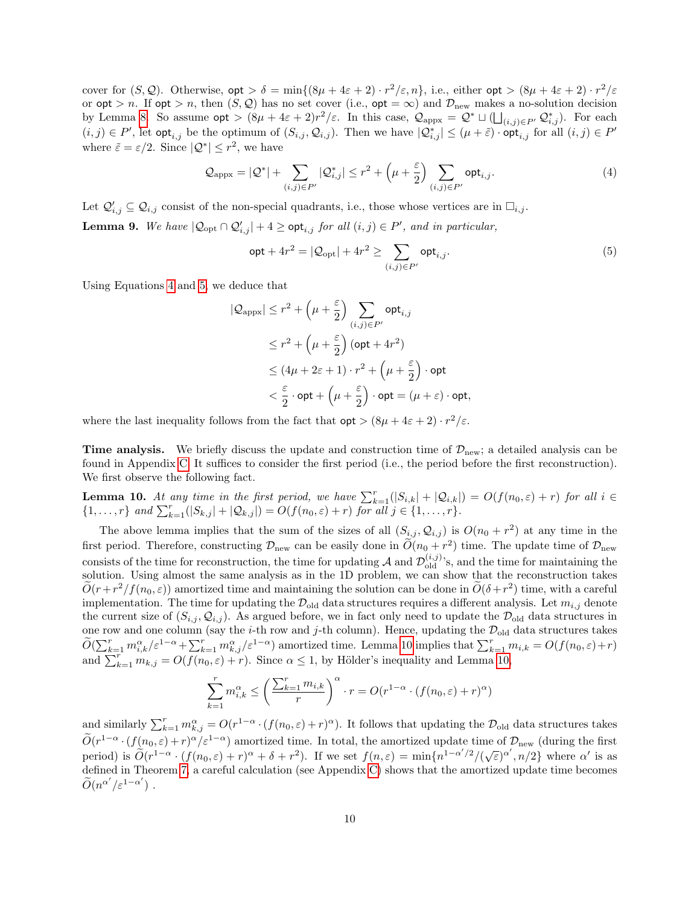cover for  $(S, \mathcal{Q})$ . Otherwise,  $opt > \delta = \min\{(8\mu + 4\varepsilon + 2) \cdot r^2/\varepsilon, n\}$ , i.e., either  $opt > (8\mu + 4\varepsilon + 2) \cdot r^2/\varepsilon$ or  $opt > n$ . If  $opt > n$ , then  $(S, Q)$  has no set cover (i.e.,  $opt = \infty$ ) and  $\mathcal{D}_{new}$  makes a no-solution decision by Lemma [8.](#page-8-0) So assume  $\mathsf{opt} > (8\mu + 4\varepsilon + 2)r^2/\varepsilon$ . In this case,  $\mathcal{Q}_{\text{appx}} = \mathcal{Q}^* \sqcup (\bigsqcup_{(i,j)\in P'} \mathcal{Q}_{i,j}^*)$ . For each  $(i, j) \in P'$ , let opt<sub>i,j</sub> be the optimum of  $(S_{i,j}, Q_{i,j})$ . Then we have  $|Q_{i,j}^*| \leq (\mu + \tilde{\varepsilon}) \cdot \mathsf{opt}_{i,j}$  for all  $(i, j) \in P'$ where  $\tilde{\varepsilon} = \varepsilon/2$ . Since  $|\mathcal{Q}^*| \leq r^2$ , we have

<span id="page-9-0"></span>
$$
\mathcal{Q}_{\text{approx}} = |\mathcal{Q}^*| + \sum_{(i,j)\in P'} |\mathcal{Q}^*_{i,j}| \le r^2 + \left(\mu + \frac{\varepsilon}{2}\right) \sum_{(i,j)\in P'} \text{opt}_{i,j}.
$$
\n(4)

<span id="page-9-3"></span>Let  $\mathcal{Q}'_{i,j} \subseteq \mathcal{Q}_{i,j}$  consist of the non-special quadrants, i.e., those whose vertices are in  $\square_{i,j}$ . **Lemma 9.** We have  $|Q_{opt} \cap Q'_{i,j}| + 4 \geq opt_{i,j}$  for all  $(i, j) \in P'$ , and in particular,

<span id="page-9-1"></span>
$$
\mathsf{opt} + 4r^2 = |\mathcal{Q}_{\text{opt}}| + 4r^2 \ge \sum_{(i,j) \in P'} \mathsf{opt}_{i,j}.
$$
 (5)

Using Equations [4](#page-9-0) and [5,](#page-9-1) we deduce that

$$
|\mathcal{Q}_{\text{appx}}| \le r^2 + \left(\mu + \frac{\varepsilon}{2}\right) \sum_{(i,j) \in P'} \text{opt}_{i,j}
$$
  
\n
$$
\le r^2 + \left(\mu + \frac{\varepsilon}{2}\right) (\text{opt} + 4r^2)
$$
  
\n
$$
\le (4\mu + 2\varepsilon + 1) \cdot r^2 + \left(\mu + \frac{\varepsilon}{2}\right) \cdot \text{opt}
$$
  
\n
$$
< \frac{\varepsilon}{2} \cdot \text{opt} + \left(\mu + \frac{\varepsilon}{2}\right) \cdot \text{opt} = (\mu + \varepsilon) \cdot \text{opt},
$$

where the last inequality follows from the fact that  $opt > (8\mu + 4\varepsilon + 2) \cdot r^2/\varepsilon$ .

**Time analysis.** We briefly discuss the update and construction time of  $\mathcal{D}_{\text{new}}$ ; a detailed analysis can be found in Appendix [C.](#page-29-0) It suffices to consider the first period (i.e., the period before the first reconstruction). We first observe the following fact.

<span id="page-9-2"></span>**Lemma 10.** At any time in the first period, we have  $\sum_{k=1}^{r}(|S_{i,k}| + |\mathcal{Q}_{i,k}|) = O(f(n_0,\varepsilon) + r)$  for all  $i \in$  $\{1, \ldots, r\}$  and  $\sum_{k=1}^{r}(|S_{k,j}| + |\mathcal{Q}_{k,j}|) = O(f(n_0, \varepsilon) + r)$  for all  $j \in \{1, \ldots, r\}$ .

The above lemma implies that the sum of the sizes of all  $(S_{i,j}, Q_{i,j})$  is  $O(n_0 + r^2)$  at any time in the first period. Therefore, constructing  $\mathcal{D}_{\text{new}}$  can be easily done in  $\widetilde{O}(n_0 + r^2)$  time. The update time of  $\mathcal{D}_{\text{new}}$ consists of the time for reconstruction, the time for updating A and  $\mathcal{D}_{old}^{(i,j)}$ 's, and the time for maintaining the solution. Using almost the same analysis as in the 1D problem, we can show that the reconstruction takes  $\widetilde{O}(r+r^2/f(n_0,\varepsilon))$  amortized time and maintaining the solution can be done in  $\widetilde{O}(\delta+r^2)$  time, with a careful implementation. The time for updating the  $\mathcal{D}_{old}$  data structures requires a different analysis. Let  $m_{i,j}$  denote the current size of  $(S_{i,j}, Q_{i,j})$ . As argued before, we in fact only need to update the  $\mathcal{D}_{old}$  data structures in one row and one column (say the *i*-th row and *j*-th column). Hence, updating the  $\mathcal{D}_{old}$  data structures takes  $\widetilde{O}(\sum_{k=1}^r m_{i,k}^{\alpha}/\varepsilon^{1-\alpha}+\sum_{k=1}^r m_{k,j}^{\alpha}/\varepsilon^{1-\alpha})$  amortized time. Lemma [10](#page-9-2) implies that  $\sum_{k=1}^r m_{i,k} = O(f(n_0,\varepsilon)+r)$ and  $\sum_{k=1}^{r} m_{k,j} = O(f(n_0, \varepsilon) + r)$ . Since  $\alpha \leq 1$ , by Hölder's inequality and Lemma [10,](#page-9-2)

$$
\sum_{k=1}^{r} m_{i,k}^{\alpha} \le \left(\frac{\sum_{k=1}^{r} m_{i,k}}{r}\right)^{\alpha} \cdot r = O(r^{1-\alpha} \cdot (f(n_0, \varepsilon) + r)^{\alpha})
$$

and similarly  $\sum_{k=1}^r m_{k,j}^{\alpha} = O(r^{1-\alpha} \cdot (f(n_0, \varepsilon) + r)^{\alpha})$ . It follows that updating the  $\mathcal{D}_{old}$  data structures takes  $\widetilde{O}(r^{1-\alpha} \cdot (f(n_0,\varepsilon)+r)^{\alpha}/\varepsilon^{1-\alpha})$  amortized time. In total, the amortized update time of  $\mathcal{D}_{\text{new}}$  (during the first  $\overline{O}(r^{1-\alpha} \cdot (f(n_0,\varepsilon)+r)^{\alpha} + \delta + r^2)$ . If we set  $f(n,\varepsilon) = \min\{n^{1-\alpha'/2}/(\sqrt{\varepsilon})^{\alpha'}, n/2\}$  where α' is as defined in Theorem [7,](#page-7-2) a careful calculation (see Appendix [C\)](#page-29-0) shows that the amortized update time becomes  $\widetilde{O}(n^{\alpha'}/\varepsilon^{1-\alpha'})$ .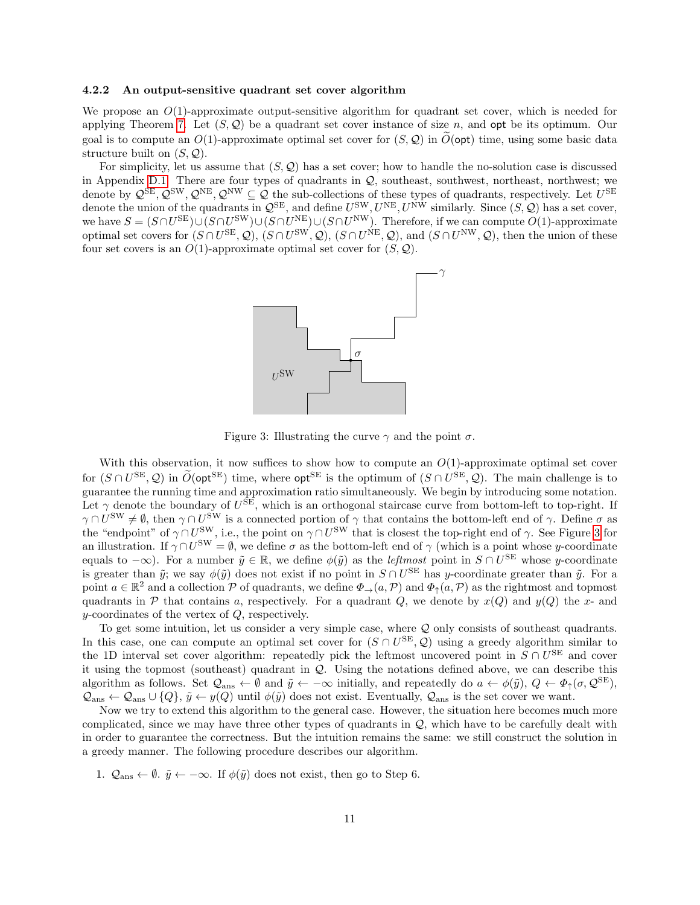#### <span id="page-10-0"></span>4.2.2 An output-sensitive quadrant set cover algorithm

We propose an  $O(1)$ -approximate output-sensitive algorithm for quadrant set cover, which is needed for applying Theorem [7.](#page-7-2) Let  $(S, Q)$  be a quadrant set cover instance of size n, and opt be its optimum. Our goal is to compute an  $O(1)$ -approximate optimal set cover for  $(S, \mathcal{Q})$  in  $\tilde{O}(\text{opt})$  time, using some basic data structure built on  $(S, \mathcal{Q})$ .

For simplicity, let us assume that  $(S, \mathcal{Q})$  has a set cover; how to handle the no-solution case is discussed in Appendix [D.1.](#page-31-0) There are four types of quadrants in  $Q$ , southeast, southwest, northwest; we denote by  $\mathcal{Q}^{\text{SE}},\mathcal{Q}^{\text{SW}},\mathcal{Q}^{\text{NE}},\mathcal{Q}^{\text{NW}}\subseteq\mathcal{Q}$  the sub-collections of these types of quadrants, respectively. Let  $U^{\text{SE}}$ denote the union of the quadrants in  $\mathcal{Q}^{\text{SE}}$ , and define  $U^{\text{SW}}, U^{\text{NE}}, U^{\text{NW}}$  similarly. Since  $(S, \mathcal{Q})$  has a set cover, we have  $S = (S \cap U^{\text{SE}}) \cup (S \cap U^{\text{SW}}) \cup (S \cap U^{\text{NW}}) \cup (S \cap U^{\text{NW}})$ . Therefore, if we can compute  $O(1)$ -approximate optimal set covers for  $(S \cap U^{\text{SE}}, \mathcal{Q}), (S \cap U^{\text{SW}}, \mathcal{Q}), (S \cap U^{\text{NE}}, \mathcal{Q}),$  and  $(S \cap U^{\text{NW}}, \mathcal{Q}),$  then the union of these four set covers is an  $O(1)$ -approximate optimal set cover for  $(S, \mathcal{Q})$ .



<span id="page-10-1"></span>Figure 3: Illustrating the curve  $\gamma$  and the point  $\sigma$ .

With this observation, it now suffices to show how to compute an  $O(1)$ -approximate optimal set cover for  $(S \cap U^{\text{SE}}, Q)$  in  $\widetilde{O}(\text{opt}^{\text{SE}})$  time, where  $\text{opt}^{\text{SE}}$  is the optimum of  $(S \cap U^{\text{SE}}, Q)$ . The main challenge is to guarantee the running time and approximation ratio simultaneously. We begin by introducing some notation. Let  $\gamma$  denote the boundary of  $U^{\text{SE}}$ , which is an orthogonal staircase curve from bottom-left to top-right. If  $\gamma \cap U^{\text{SW}} \neq \emptyset$ , then  $\gamma \cap U^{\text{SW}}$  is a connected portion of  $\gamma$  that contains the bottom-left end of  $\gamma$ . Define  $\sigma$  as the "endpoint" of  $\gamma \cap U^{\text{SW}}$ , i.e., the point on  $\gamma \cap U^{\text{SW}}$  that is closest the top-right end of  $\gamma$ . See Figure [3](#page-10-1) for an illustration. If  $\gamma \cap U^{\text{SW}} = \emptyset$ , we define  $\sigma$  as the bottom-left end of  $\gamma$  (which is a point whose y-coordinate equals to  $-\infty$ ). For a number  $\tilde{y} \in \mathbb{R}$ , we define  $\phi(\tilde{y})$  as the *leftmost* point in  $S \cap U^{\text{SE}}$  whose y-coordinate is greater than  $\tilde{y}$ ; we say  $\phi(\tilde{y})$  does not exist if no point in  $S \cap U^{\text{SE}}$  has y-coordinate greater than  $\tilde{y}$ . For a point  $a \in \mathbb{R}^2$  and a collection P of quadrants, we define  $\Phi_{\to}(a,\mathcal{P})$  and  $\Phi_{\uparrow}(a,\mathcal{P})$  as the rightmost and topmost quadrants in P that contains a, respectively. For a quadrant Q, we denote by  $x(Q)$  and  $y(Q)$  the x- and y-coordinates of the vertex of Q, respectively.

To get some intuition, let us consider a very simple case, where Q only consists of southeast quadrants. In this case, one can compute an optimal set cover for  $(S \cap U^{\text{SE}}, \mathcal{Q})$  using a greedy algorithm similar to the 1D interval set cover algorithm: repeatedly pick the leftmost uncovered point in  $S \cap U^{\text{SE}}$  and cover it using the topmost (southeast) quadrant in Q. Using the notations defined above, we can describe this algorithm as follows. Set  $\mathcal{Q}_{\text{ans}} \leftarrow \emptyset$  and  $\tilde{y} \leftarrow -\infty$  initially, and repeatedly do  $a \leftarrow \phi(\tilde{y}), Q \leftarrow \Phi_{\uparrow}(\sigma, \mathcal{Q}^{\text{SE}}),$  $\mathcal{Q}_{\text{ans}} \leftarrow \mathcal{Q}_{\text{ans}} \cup \{Q\}, \, \tilde{y} \leftarrow y(Q)$  until  $\phi(\tilde{y})$  does not exist. Eventually,  $\mathcal{Q}_{\text{ans}}$  is the set cover we want.

Now we try to extend this algorithm to the general case. However, the situation here becomes much more complicated, since we may have three other types of quadrants in Q, which have to be carefully dealt with in order to guarantee the correctness. But the intuition remains the same: we still construct the solution in a greedy manner. The following procedure describes our algorithm.

1.  $\mathcal{Q}_{\text{ans}} \leftarrow \emptyset$ .  $\tilde{y} \leftarrow -\infty$ . If  $\phi(\tilde{y})$  does not exist, then go to Step 6.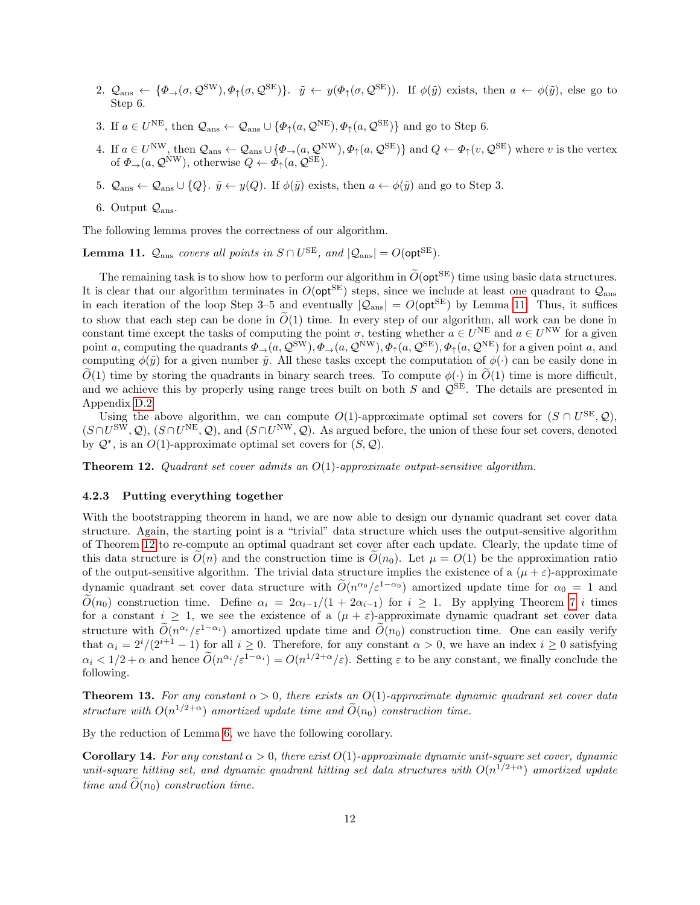- 2.  $\mathcal{Q}_{\text{ans}} \leftarrow {\phi_{\rightarrow}(\sigma, \mathcal{Q}^{\text{SW}}), \phi_{\uparrow}(\sigma, \mathcal{Q}^{\text{SE}})}$ .  $\tilde{y} \leftarrow y(\phi_{\uparrow}(\sigma, \mathcal{Q}^{\text{SE}}))$ . If  $\phi(\tilde{y})$  exists, then  $a \leftarrow \phi(\tilde{y})$ , else go to Step 6.
- 3. If  $a \in U^{\text{NE}}$ , then  $\mathcal{Q}_{\text{ans}} \leftarrow \mathcal{Q}_{\text{ans}} \cup \{ \Phi_{\uparrow}(a, \mathcal{Q}^{\text{NE}}), \Phi_{\uparrow}(a, \mathcal{Q}^{\text{SE}}) \}$  and go to Step 6.
- 4. If  $a \in U^{\text{NW}}$ , then  $\mathcal{Q}_{\text{ans}} \leftarrow \mathcal{Q}_{\text{ans}} \cup \{\Phi_{\rightarrow}(a, \mathcal{Q}^{\text{NW}}), \Phi_{\uparrow}(a, \mathcal{Q}^{\text{SE}})\}$  and  $Q \leftarrow \Phi_{\uparrow}(v, \mathcal{Q}^{\text{SE}})$  where v is the vertex of  $\Phi_{\rightarrow}(a, \mathcal{Q}^{\text{NW}})$ , otherwise  $Q \leftarrow \Phi_{\uparrow}(a, \mathcal{Q}^{\text{SE}})$ .
- 5.  $\mathcal{Q}_{\text{ans}} \leftarrow \mathcal{Q}_{\text{ans}} \cup \{Q\}$ .  $\tilde{y} \leftarrow y(Q)$ . If  $\phi(\tilde{y})$  exists, then  $a \leftarrow \phi(\tilde{y})$  and go to Step 3.
- 6. Output  $\mathcal{Q}_{\text{ans}}$ .

The following lemma proves the correctness of our algorithm.

<span id="page-11-0"></span>**Lemma 11.**  $Q_{\text{ans}}$  covers all points in  $S \cap U^{\text{SE}}$ , and  $|Q_{\text{ans}}| = O(\text{opt}^{\text{SE}})$ .

The remaining task is to show how to perform our algorithm in  $\tilde{O}(\text{opt}^{\text{SE}})$  time using basic data structures. It is clear that our algorithm terminates in  $O(\mathsf{opt}^{\mathsf{SE}})$  steps, since we include at least one quadrant to  $\mathcal{Q}_{\text{ans}}$ in each iteration of the loop Step 3–5 and eventually  $|Q_{\text{ans}}| = O(\text{opt}^{\text{SE}})$  by Lemma [11.](#page-11-0) Thus, it suffices to show that each step can be done in  $\tilde{O}(1)$  time. In every step of our algorithm, all work can be done in constant time except the tasks of computing the point  $\sigma$ , testing whether  $a \in U^{\text{NE}}$  and  $a \in U^{\text{NW}}$  for a given point a, computing the quadrants  $\Phi_{\to}(a,\mathcal{Q}^{\text{SW}}), \Phi_{\to}(a,\mathcal{Q}^{\text{NW}}), \Phi_{\uparrow}(a,\mathcal{Q}^{\text{SE}}), \Phi_{\uparrow}(a,\mathcal{Q}^{\text{NE}})$  for a given point a, and computing  $\phi(\tilde{y})$  for a given number  $\tilde{y}$ . All these tasks except the computation of  $\phi(\cdot)$  can be easily done in  $\tilde{O}(1)$  time by storing the quadrants in binary search trees. To compute  $\phi(\cdot)$  in  $\tilde{O}(1)$  time is more difficult, and we achieve this by properly using range trees built on both  $S$  and  $\mathcal{Q}^{\overline{S}}E$ . The details are presented in Appendix [D.2.](#page-31-1)

Using the above algorithm, we can compute  $O(1)$ -approximate optimal set covers for  $(S \cap U^{\text{SE}}, Q)$ ,  $(S \cap U^{\text{SW}}, \mathcal{Q}), (S \cap U^{\text{NE}}, \mathcal{Q}),$  and  $(S \cap U^{\text{NW}}, \mathcal{Q})$ . As argued before, the union of these four set covers, denoted by  $\mathcal{Q}^*$ , is an  $O(1)$ -approximate optimal set covers for  $(S, \mathcal{Q})$ .

<span id="page-11-1"></span>**Theorem 12.** Quadrant set cover admits an  $O(1)$ -approximate output-sensitive algorithm.

#### 4.2.3 Putting everything together

With the bootstrapping theorem in hand, we are now able to design our dynamic quadrant set cover data structure. Again, the starting point is a "trivial" data structure which uses the output-sensitive algorithm of Theorem [12](#page-11-1) to re-compute an optimal quadrant set cover after each update. Clearly, the update time of this data structure is  $O(n)$  and the construction time is  $O(n_0)$ . Let  $\mu = O(1)$  be the approximation ratio of the output-sensitive algorithm. The trivial data structure implies the existence of a  $(\mu + \varepsilon)$ -approximate dynamic quadrant set cover data structure with  $\tilde{O}(n^{\alpha_0}/\varepsilon^{1-\alpha_0})$  amortized update time for  $\alpha_0 = 1$  and  $\tilde{O}(n_0)$  construction time. Define  $\alpha_i = 2\alpha_{i-1}/(1+2\alpha_{i-1})$  for  $i \geq 1$ . By applying Theorem [7](#page-7-2) i times for a constant  $i \geq 1$ , we see the existence of a  $(\mu + \varepsilon)$ -approximate dynamic quadrant set cover data structure with  $\widetilde{O}(n^{\alpha_i}/\varepsilon^{1-\alpha_i})$  amortized update time and  $\widetilde{O}(n_0)$  construction time. One can easily verify that  $\alpha_i = 2^i/(2^{i+1}-1)$  for all  $i \geq 0$ . Therefore, for any constant  $\alpha > 0$ , we have an index  $i \geq 0$  satisfying  $\alpha_i < 1/2 + \alpha$  and hence  $\widetilde{O}(n^{\alpha_i}/\varepsilon^{1-\alpha_i}) = O(n^{1/2+\alpha}/\varepsilon)$ . Setting  $\varepsilon$  to be any constant, we finally conclude the following.

**Theorem 13.** For any constant  $\alpha > 0$ , there exists an O(1)-approximate dynamic quadrant set cover data structure with  $O(n^{1/2+\alpha})$  amortized update time and  $\widetilde{O}(n_0)$  construction time.

By the reduction of Lemma [6,](#page-6-0) we have the following corollary.

**Corollary 14.** For any constant  $\alpha > 0$ , there exist  $O(1)$ -approximate dynamic unit-square set cover, dynamic unit-square hitting set, and dynamic quadrant hitting set data structures with  $O(n^{1/2+\alpha})$  amortized update time and  $\widetilde{O}(n_0)$  construction time.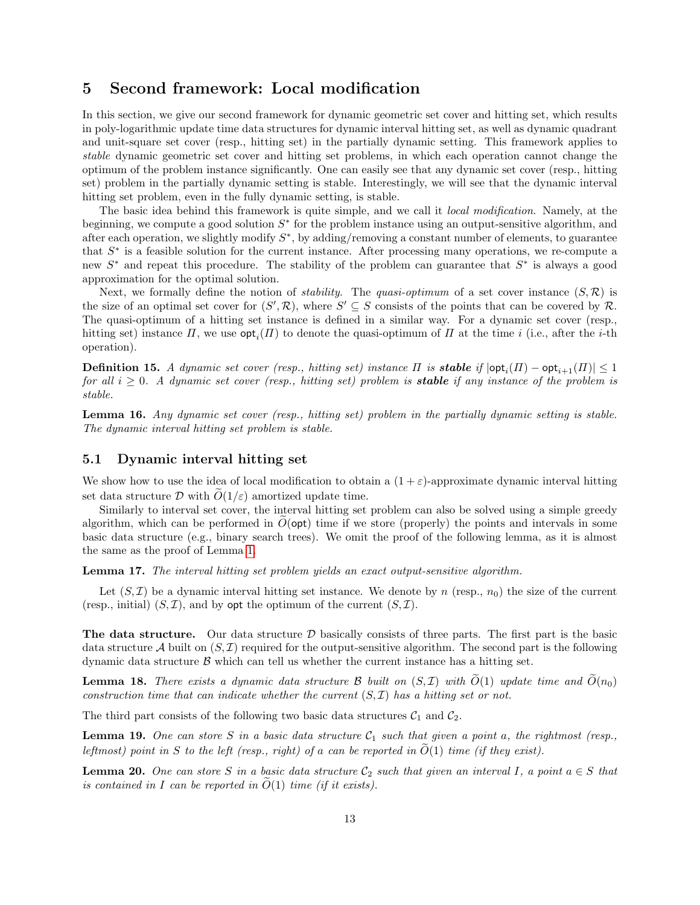## <span id="page-12-0"></span>5 Second framework: Local modification

In this section, we give our second framework for dynamic geometric set cover and hitting set, which results in poly-logarithmic update time data structures for dynamic interval hitting set, as well as dynamic quadrant and unit-square set cover (resp., hitting set) in the partially dynamic setting. This framework applies to stable dynamic geometric set cover and hitting set problems, in which each operation cannot change the optimum of the problem instance significantly. One can easily see that any dynamic set cover (resp., hitting set) problem in the partially dynamic setting is stable. Interestingly, we will see that the dynamic interval hitting set problem, even in the fully dynamic setting, is stable.

The basic idea behind this framework is quite simple, and we call it *local modification*. Namely, at the beginning, we compute a good solution  $S^*$  for the problem instance using an output-sensitive algorithm, and after each operation, we slightly modify  $S^*$ , by adding/removing a constant number of elements, to guarantee that  $S^*$  is a feasible solution for the current instance. After processing many operations, we re-compute a new  $S^*$  and repeat this procedure. The stability of the problem can guarantee that  $S^*$  is always a good approximation for the optimal solution.

Next, we formally define the notion of *stability*. The *quasi-optimum* of a set cover instance  $(S, \mathcal{R})$  is the size of an optimal set cover for  $(S',\mathcal{R})$ , where  $S' \subseteq S$  consists of the points that can be covered by R. The quasi-optimum of a hitting set instance is defined in a similar way. For a dynamic set cover (resp., hitting set) instance  $\Pi$ , we use  $\mathsf{opt}_i(\Pi)$  to denote the quasi-optimum of  $\Pi$  at the time i (i.e., after the *i*-th operation).

**Definition 15.** A dynamic set cover (resp., hitting set) instance  $\Pi$  is **stable** if  $|\textsf{opt}_i(\Pi) - \textsf{opt}_{i+1}(\Pi)| \leq 1$ for all  $i \geq 0$ . A dynamic set cover (resp., hitting set) problem is **stable** if any instance of the problem is stable.

<span id="page-12-3"></span>Lemma 16. Any dynamic set cover (resp., hitting set) problem in the partially dynamic setting is stable. The dynamic interval hitting set problem is stable.

## 5.1 Dynamic interval hitting set

We show how to use the idea of local modification to obtain a  $(1 + \varepsilon)$ -approximate dynamic interval hitting set data structure D with  $\tilde{O}(1/\varepsilon)$  amortized update time.

Similarly to interval set cover, the interval hitting set problem can also be solved using a simple greedy algorithm, which can be performed in  $O(\text{opt})$  time if we store (properly) the points and intervals in some basic data structure (e.g., binary search trees). We omit the proof of the following lemma, as it is almost the same as the proof of Lemma [1.](#page-3-2)

Lemma 17. The interval hitting set problem yields an exact output-sensitive algorithm.

Let  $(S,\mathcal{I})$  be a dynamic interval hitting set instance. We denote by n (resp.,  $n_0$ ) the size of the current (resp., initial)  $(S,\mathcal{I})$ , and by opt the optimum of the current  $(S,\mathcal{I})$ .

The data structure. Our data structure  $\mathcal D$  basically consists of three parts. The first part is the basic data structure A built on  $(S,\mathcal{I})$  required for the output-sensitive algorithm. The second part is the following dynamic data structure  $\beta$  which can tell us whether the current instance has a hitting set.

<span id="page-12-4"></span>**Lemma 18.** There exists a dynamic data structure B built on  $(S, \mathcal{I})$  with  $\widetilde{O}(1)$  update time and  $\widetilde{O}(n_0)$ construction time that can indicate whether the current  $(S,\mathcal{I})$  has a hitting set or not.

The third part consists of the following two basic data structures  $C_1$  and  $C_2$ .

<span id="page-12-1"></span>**Lemma 19.** One can store S in a basic data structure  $C_1$  such that given a point a, the rightmost (resp., leftmost) point in S to the left (resp., right) of a can be reported in  $O(1)$  time (if they exist).

<span id="page-12-2"></span>**Lemma 20.** One can store S in a basic data structure  $C_2$  such that given an interval I, a point  $a \in S$  that is contained in I can be reported in  $\widetilde{O}(1)$  time (if it exists).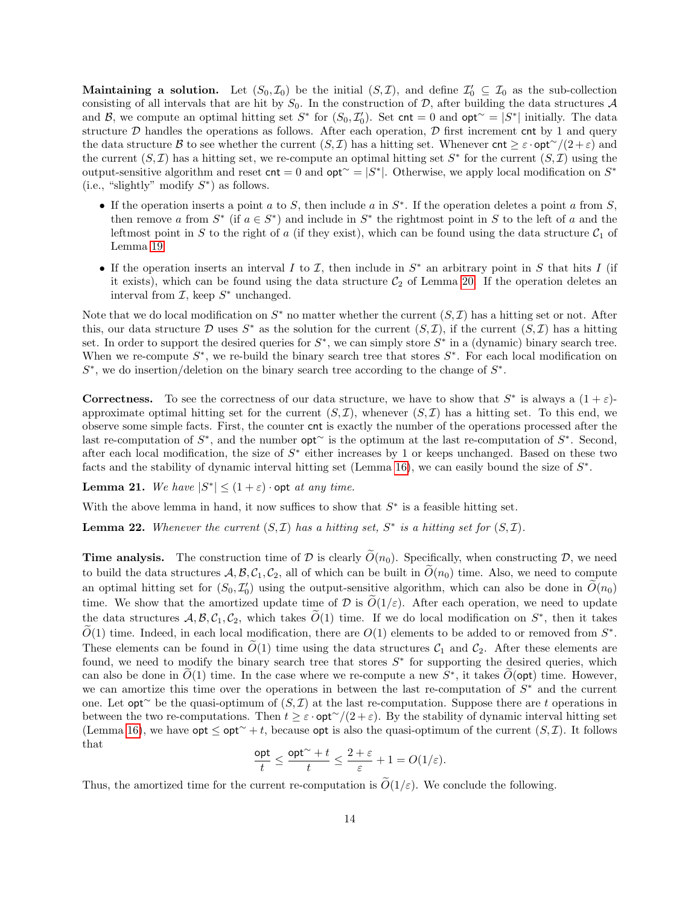Maintaining a solution. Let  $(S_0, \mathcal{I}_0)$  be the initial  $(S, \mathcal{I})$ , and define  $\mathcal{I}'_0 \subseteq \mathcal{I}_0$  as the sub-collection consisting of all intervals that are hit by  $S_0$ . In the construction of  $\mathcal{D}$ , after building the data structures  $\mathcal{A}$ and B, we compute an optimal hitting set  $S^*$  for  $(S_0, \mathcal{I}'_0)$ . Set cnt = 0 and opt∼ =  $|S^*|$  initially. The data structure  $D$  handles the operations as follows. After each operation,  $D$  first increment cnt by 1 and query the data structure B to see whether the current  $(S, \mathcal{I})$  has a hitting set. Whenever cnt  $\geq \varepsilon \cdot \mathsf{opt}^{\sim}/(2+\varepsilon)$  and the current  $(S, \mathcal{I})$  has a hitting set, we re-compute an optimal hitting set  $S^*$  for the current  $(S, \mathcal{I})$  using the output-sensitive algorithm and reset  $\text{cnt} = 0$  and  $\text{opt}^{\sim} = |S^*|$ . Otherwise, we apply local modification on  $S^*$ (i.e., "slightly" modify  $S^*$ ) as follows.

- If the operation inserts a point  $a$  to  $S$ , then include  $a$  in  $S^*$ . If the operation deletes a point  $a$  from  $S$ , then remove a from  $S^*$  (if  $a \in S^*$ ) and include in  $S^*$  the rightmost point in S to the left of a and the leftmost point in S to the right of a (if they exist), which can be found using the data structure  $C_1$  of Lemma [19.](#page-12-1)
- If the operation inserts an interval I to  $\mathcal I$ , then include in  $S^*$  an arbitrary point in S that hits I (if it exists), which can be found using the data structure  $C_2$  of Lemma [20.](#page-12-2) If the operation deletes an interval from  $I$ , keep  $S^*$  unchanged.

Note that we do local modification on  $S^*$  no matter whether the current  $(S, \mathcal{I})$  has a hitting set or not. After this, our data structure D uses  $S^*$  as the solution for the current  $(S, \mathcal{I})$ , if the current  $(S, \mathcal{I})$  has a hitting set. In order to support the desired queries for  $S^*$ , we can simply store  $S^*$  in a (dynamic) binary search tree. When we re-compute  $S^*$ , we re-build the binary search tree that stores  $S^*$ . For each local modification on  $S^*$ , we do insertion/deletion on the binary search tree according to the change of  $S^*$ .

**Correctness.** To see the correctness of our data structure, we have to show that  $S^*$  is always a  $(1 + \varepsilon)$ approximate optimal hitting set for the current  $(S,\mathcal{I})$ , whenever  $(S,\mathcal{I})$  has a hitting set. To this end, we observe some simple facts. First, the counter cnt is exactly the number of the operations processed after the last re-computation of S<sup>\*</sup>, and the number **opt**∼ is the optimum at the last re-computation of S<sup>\*</sup>. Second, after each local modification, the size of  $S^*$  either increases by 1 or keeps unchanged. Based on these two facts and the stability of dynamic interval hitting set (Lemma [16\)](#page-12-3), we can easily bound the size of  $S^*$ .

<span id="page-13-0"></span>**Lemma 21.** We have  $|S^*| \leq (1 + \varepsilon) \cdot \text{opt at any time.}$ 

With the above lemma in hand, it now suffices to show that  $S^*$  is a feasible hitting set.

<span id="page-13-1"></span>**Lemma 22.** Whenever the current  $(S, \mathcal{I})$  has a hitting set,  $S^*$  is a hitting set for  $(S, \mathcal{I})$ .

**Time analysis.** The construction time of D is clearly  $\tilde{O}(n_0)$ . Specifically, when constructing D, we need to build the data structures  $A, B, C_1, C_2$ , all of which can be built in  $\tilde{O}(n_0)$  time. Also, we need to compute an optimal hitting set for  $(S_0, \mathcal{I}'_0)$  using the output-sensitive algorithm, which can also be done in  $\widetilde{O}(n_0)$ time. We show that the amortized update time of D is  $\widetilde{O}(1/\varepsilon)$ . After each operation, we need to update the data structures  $\mathcal{A}, \mathcal{B}, \mathcal{C}_1, \mathcal{C}_2$ , which takes  $\widetilde{O}(1)$  time. If we do local modification on  $S^*$ , then it takes  $\widetilde{O}(1)$  time. Indeed, in each local modification, there are  $O(1)$  elements to be added to or removed from  $S^*$ . These elements can be found in  $\tilde{O}(1)$  time using the data structures  $\mathcal{C}_1$  and  $\mathcal{C}_2$ . After these elements are found, we need to modify the binary search tree that stores  $S^*$  for supporting the desired queries, which can also be done in  $\widetilde{O}(1)$  time. In the case where we re-compute a new  $S^*$ , it takes  $\widetilde{O}(\text{opt})$  time. However, we can amortize this time over the operations in between the last re-computation of  $S^*$  and the current one. Let opt∼ be the quasi-optimum of  $(S, \mathcal{I})$  at the last re-computation. Suppose there are t operations in between the two re-computations. Then  $t \geq \varepsilon \cdot \mathsf{opt}^{\sim}/(2 + \varepsilon)$ . By the stability of dynamic interval hitting set (Lemma [16\)](#page-12-3), we have  $opt \le opt \le pt^{\sim} + t$ , because  $opt$  is also the quasi-optimum of the current  $(S, \mathcal{I})$ . It follows that

$$
\frac{\mathsf{opt}}{t} \le \frac{\mathsf{opt}^\sim + t}{t} \le \frac{2+\varepsilon}{\varepsilon} + 1 = O(1/\varepsilon).
$$

Thus, the amortized time for the current re-computation is  $\tilde{O}(1/\varepsilon)$ . We conclude the following.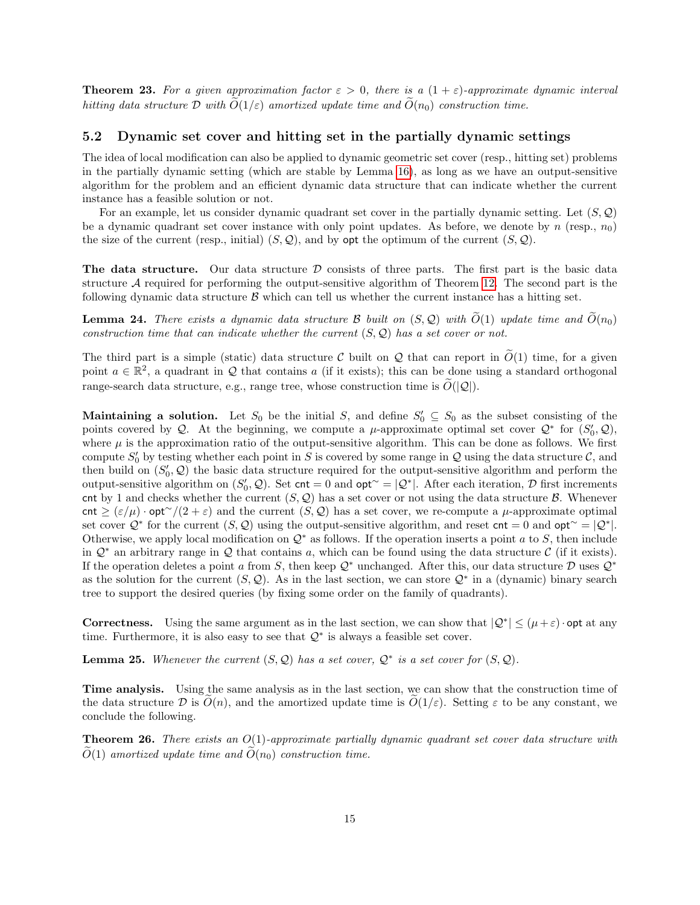**Theorem 23.** For a given approximation factor  $\varepsilon > 0$ , there is a  $(1 + \varepsilon)$ -approximate dynamic interval hitting data structure  $\mathcal D$  with  $\tilde O(1/\varepsilon)$  amortized update time and  $\tilde O(n_0)$  construction time.

#### 5.2 Dynamic set cover and hitting set in the partially dynamic settings

The idea of local modification can also be applied to dynamic geometric set cover (resp., hitting set) problems in the partially dynamic setting (which are stable by Lemma [16\)](#page-12-3), as long as we have an output-sensitive algorithm for the problem and an efficient dynamic data structure that can indicate whether the current instance has a feasible solution or not.

For an example, let us consider dynamic quadrant set cover in the partially dynamic setting. Let  $(S, \mathcal{Q})$ be a dynamic quadrant set cover instance with only point updates. As before, we denote by n (resp.,  $n_0$ ) the size of the current (resp., initial)  $(S, Q)$ , and by opt the optimum of the current  $(S, Q)$ .

The data structure. Our data structure  $D$  consists of three parts. The first part is the basic data structure  $A$  required for performing the output-sensitive algorithm of Theorem [12.](#page-11-1) The second part is the following dynamic data structure  $\beta$  which can tell us whether the current instance has a hitting set.

<span id="page-14-0"></span>**Lemma 24.** There exists a dynamic data structure B built on  $(S, Q)$  with  $\tilde{O}(1)$  update time and  $\tilde{O}(n_0)$ construction time that can indicate whether the current  $(S, \mathcal{Q})$  has a set cover or not.

The third part is a simple (static) data structure C built on Q that can report in  $\tilde{O}(1)$  time, for a given point  $a \in \mathbb{R}^2$ , a quadrant in Q that contains a (if it exists); this can be done using a standard orthogonal range-search data structure, e.g., range tree, whose construction time is  $\widetilde{O}(|\mathcal{Q}|)$ .

**Maintaining a solution.** Let  $S_0$  be the initial S, and define  $S'_0 \subseteq S_0$  as the subset consisting of the points covered by Q. At the beginning, we compute a  $\mu$ -approximate optimal set cover  $\mathcal{Q}^*$  for  $(S'_0, \mathcal{Q})$ , where  $\mu$  is the approximation ratio of the output-sensitive algorithm. This can be done as follows. We first compute  $S'_0$  by testing whether each point in S is covered by some range in Q using the data structure C, and then build on  $(S'_0, \mathcal{Q})$  the basic data structure required for the output-sensitive algorithm and perform the output-sensitive algorithm on  $(S'_0, \mathcal{Q})$ . Set cnt = 0 and opt∼ =  $|\mathcal{Q}^*|$ . After each iteration, D first increments cnt by 1 and checks whether the current  $(S, Q)$  has a set cover or not using the data structure B. Whenever cnt  $\geq (\varepsilon/\mu) \cdot \mathsf{opt}(\varepsilon')$  and the current  $(S, \mathcal{Q})$  has a set cover, we re-compute a  $\mu$ -approximate optimal set cover  $\mathcal{Q}^*$  for the current  $(S, \mathcal{Q})$  using the output-sensitive algorithm, and reset  $\mathsf{cnt} = 0$  and  $\mathsf{opt} \sim = |\mathcal{Q}^*|$ . Otherwise, we apply local modification on  $\mathcal{Q}^*$  as follows. If the operation inserts a point a to S, then include in  $\mathcal{Q}^*$  an arbitrary range in  $\mathcal Q$  that contains a, which can be found using the data structure C (if it exists). If the operation deletes a point a from S, then keep  $\mathcal{Q}^*$  unchanged. After this, our data structure D uses  $\mathcal{Q}^*$ as the solution for the current  $(S, Q)$ . As in the last section, we can store  $Q^*$  in a (dynamic) binary search tree to support the desired queries (by fixing some order on the family of quadrants).

**Correctness.** Using the same argument as in the last section, we can show that  $|Q^*| \leq (\mu + \varepsilon) \cdot \text{opt at any }$ time. Furthermore, it is also easy to see that  $\mathcal{Q}^*$  is always a feasible set cover.

<span id="page-14-1"></span>**Lemma 25.** Whenever the current  $(S, Q)$  has a set cover,  $Q^*$  is a set cover for  $(S, Q)$ .

Time analysis. Using the same analysis as in the last section, we can show that the construction time of the data structure D is  $O(n)$ , and the amortized update time is  $O(1/\varepsilon)$ . Setting  $\varepsilon$  to be any constant, we conclude the following.

**Theorem 26.** There exists an  $O(1)$ -approximate partially dynamic quadrant set cover data structure with  $\widetilde{O}(1)$  amortized update time and  $\widetilde{O}(n_0)$  construction time.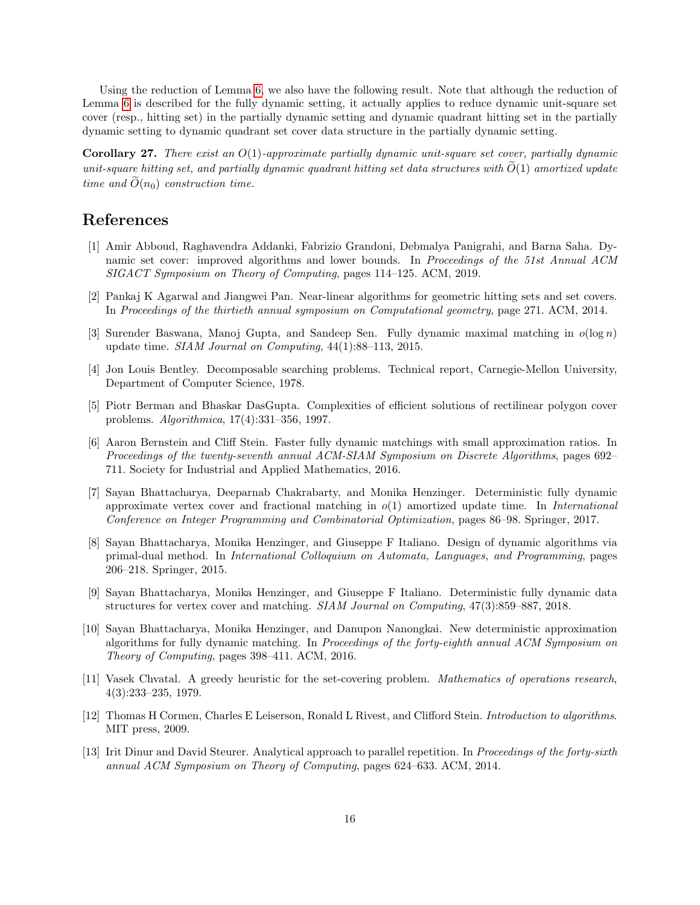Using the reduction of Lemma [6,](#page-6-0) we also have the following result. Note that although the reduction of Lemma [6](#page-6-0) is described for the fully dynamic setting, it actually applies to reduce dynamic unit-square set cover (resp., hitting set) in the partially dynamic setting and dynamic quadrant hitting set in the partially dynamic setting to dynamic quadrant set cover data structure in the partially dynamic setting.

**Corollary 27.** There exist an  $O(1)$ -approximate partially dynamic unit-square set cover, partially dynamic unit-square hitting set, and partially dynamic quadrant hitting set data structures with  $\tilde{O}(1)$  amortized update time and  $\tilde{O}(n_0)$  construction time.

# References

- <span id="page-15-9"></span>[1] Amir Abboud, Raghavendra Addanki, Fabrizio Grandoni, Debmalya Panigrahi, and Barna Saha. Dynamic set cover: improved algorithms and lower bounds. In Proceedings of the 51st Annual ACM SIGACT Symposium on Theory of Computing, pages 114–125. ACM, 2019.
- <span id="page-15-3"></span>[2] Pankaj K Agarwal and Jiangwei Pan. Near-linear algorithms for geometric hitting sets and set covers. In Proceedings of the thirtieth annual symposium on Computational geometry, page 271. ACM, 2014.
- <span id="page-15-4"></span>[3] Surender Baswana, Manoj Gupta, and Sandeep Sen. Fully dynamic maximal matching in  $o(\log n)$ update time. SIAM Journal on Computing, 44(1):88–113, 2015.
- <span id="page-15-11"></span>[4] Jon Louis Bentley. Decomposable searching problems. Technical report, Carnegie-Mellon University, Department of Computer Science, 1978.
- <span id="page-15-2"></span>[5] Piotr Berman and Bhaskar DasGupta. Complexities of efficient solutions of rectilinear polygon cover problems. Algorithmica, 17(4):331–356, 1997.
- <span id="page-15-5"></span>[6] Aaron Bernstein and Cliff Stein. Faster fully dynamic matchings with small approximation ratios. In Proceedings of the twenty-seventh annual ACM-SIAM Symposium on Discrete Algorithms, pages 692– 711. Society for Industrial and Applied Mathematics, 2016.
- <span id="page-15-6"></span>[7] Sayan Bhattacharya, Deeparnab Chakrabarty, and Monika Henzinger. Deterministic fully dynamic approximate vertex cover and fractional matching in  $o(1)$  amortized update time. In International Conference on Integer Programming and Combinatorial Optimization, pages 86–98. Springer, 2017.
- <span id="page-15-10"></span>[8] Sayan Bhattacharya, Monika Henzinger, and Giuseppe F Italiano. Design of dynamic algorithms via primal-dual method. In International Colloquium on Automata, Languages, and Programming, pages 206–218. Springer, 2015.
- <span id="page-15-7"></span>[9] Sayan Bhattacharya, Monika Henzinger, and Giuseppe F Italiano. Deterministic fully dynamic data structures for vertex cover and matching. SIAM Journal on Computing, 47(3):859–887, 2018.
- <span id="page-15-8"></span>[10] Sayan Bhattacharya, Monika Henzinger, and Danupon Nanongkai. New deterministic approximation algorithms for fully dynamic matching. In Proceedings of the forty-eighth annual ACM Symposium on Theory of Computing, pages 398–411. ACM, 2016.
- <span id="page-15-0"></span>[11] Vasek Chvatal. A greedy heuristic for the set-covering problem. Mathematics of operations research, 4(3):233–235, 1979.
- <span id="page-15-12"></span>[12] Thomas H Cormen, Charles E Leiserson, Ronald L Rivest, and Clifford Stein. Introduction to algorithms. MIT press, 2009.
- <span id="page-15-1"></span>[13] Irit Dinur and David Steurer. Analytical approach to parallel repetition. In Proceedings of the forty-sixth annual ACM Symposium on Theory of Computing, pages 624–633. ACM, 2014.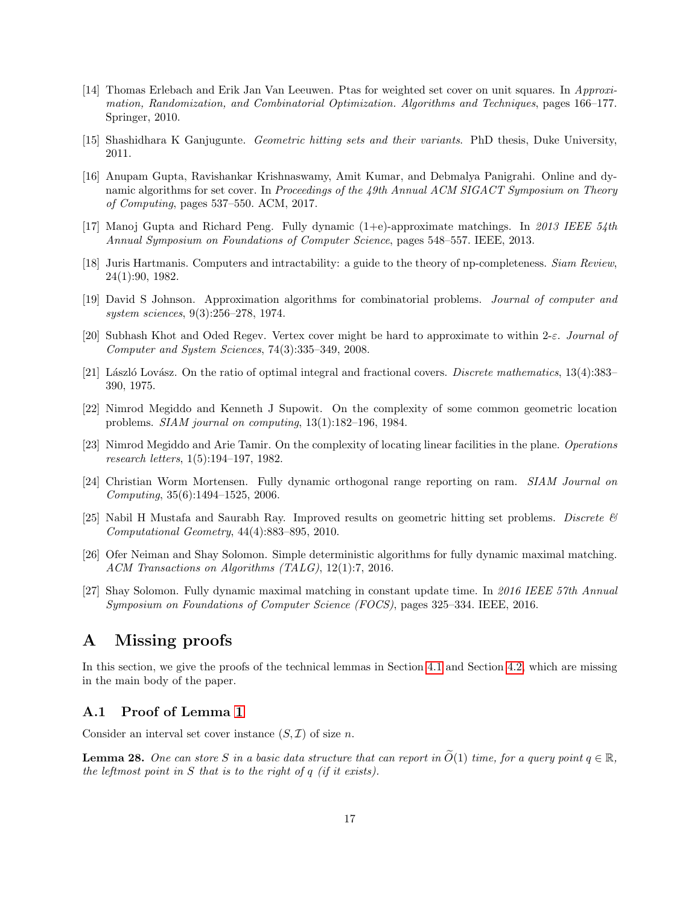- <span id="page-16-7"></span>[14] Thomas Erlebach and Erik Jan Van Leeuwen. Ptas for weighted set cover on unit squares. In Approximation, Randomization, and Combinatorial Optimization. Algorithms and Techniques, pages 166–177. Springer, 2010.
- <span id="page-16-12"></span>[15] Shashidhara K Ganjugunte. Geometric hitting sets and their variants. PhD thesis, Duke University, 2011.
- <span id="page-16-11"></span>[16] Anupam Gupta, Ravishankar Krishnaswamy, Amit Kumar, and Debmalya Panigrahi. Online and dynamic algorithms for set cover. In Proceedings of the 49th Annual ACM SIGACT Symposium on Theory of Computing, pages 537–550. ACM, 2017.
- <span id="page-16-8"></span>[17] Manoj Gupta and Richard Peng. Fully dynamic (1+e)-approximate matchings. In 2013 IEEE 54th Annual Symposium on Foundations of Computer Science, pages 548–557. IEEE, 2013.
- <span id="page-16-0"></span>[18] Juris Hartmanis. Computers and intractability: a guide to the theory of np-completeness. Siam Review, 24(1):90, 1982.
- <span id="page-16-1"></span>[19] David S Johnson. Approximation algorithms for combinatorial problems. Journal of computer and system sciences, 9(3):256–278, 1974.
- <span id="page-16-3"></span>[20] Subhash Khot and Oded Regev. Vertex cover might be hard to approximate to within 2-ε. Journal of Computer and System Sciences, 74(3):335–349, 2008.
- <span id="page-16-2"></span>[21] László Lovász. On the ratio of optimal integral and fractional covers. Discrete mathematics,  $13(4):383-$ 390, 1975.
- <span id="page-16-4"></span>[22] Nimrod Megiddo and Kenneth J Supowit. On the complexity of some common geometric location problems. SIAM journal on computing, 13(1):182–196, 1984.
- <span id="page-16-5"></span>[23] Nimrod Megiddo and Arie Tamir. On the complexity of locating linear facilities in the plane. Operations research letters, 1(5):194–197, 1982.
- <span id="page-16-14"></span>[24] Christian Worm Mortensen. Fully dynamic orthogonal range reporting on ram. SIAM Journal on Computing, 35(6):1494–1525, 2006.
- <span id="page-16-6"></span>[25] Nabil H Mustafa and Saurabh Ray. Improved results on geometric hitting set problems. Discrete  $\mathscr B$ Computational Geometry, 44(4):883–895, 2010.
- <span id="page-16-9"></span>[26] Ofer Neiman and Shay Solomon. Simple deterministic algorithms for fully dynamic maximal matching. ACM Transactions on Algorithms (TALG), 12(1):7, 2016.
- <span id="page-16-10"></span>[27] Shay Solomon. Fully dynamic maximal matching in constant update time. In 2016 IEEE 57th Annual Symposium on Foundations of Computer Science (FOCS), pages 325–334. IEEE, 2016.

# A Missing proofs

In this section, we give the proofs of the technical lemmas in Section [4.1](#page-3-3) and Section [4.2,](#page-6-1) which are missing in the main body of the paper.

## A.1 Proof of Lemma [1](#page-3-2)

Consider an interval set cover instance  $(S, \mathcal{I})$  of size n.

<span id="page-16-13"></span>**Lemma 28.** One can store S in a basic data structure that can report in  $\tilde{O}(1)$  time, for a query point  $q \in \mathbb{R}$ , the leftmost point in S that is to the right of  $q$  (if it exists).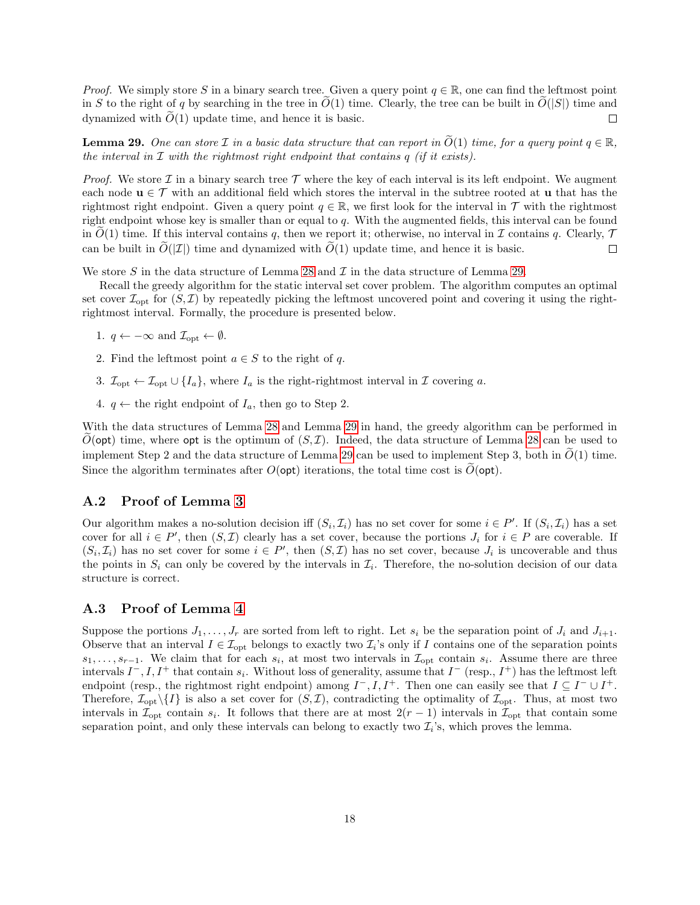*Proof.* We simply store S in a binary search tree. Given a query point  $q \in \mathbb{R}$ , one can find the leftmost point in S to the right of q by searching in the tree in  $O(1)$  time. Clearly, the tree can be built in  $O(|S|)$  time and dynamized with  $\widetilde{O}(1)$  update time, and hence it is basic. dynamized with  $\tilde{O}(1)$  update time, and hence it is basic.

<span id="page-17-0"></span>**Lemma 29.** One can store  $\mathcal I$  in a basic data structure that can report in  $\tilde{O}(1)$  time, for a query point  $q \in \mathbb{R}$ , the interval in  $\mathcal I$  with the rightmost right endpoint that contains  $q$  (if it exists).

*Proof.* We store  $\mathcal I$  in a binary search tree  $\mathcal T$  where the key of each interval is its left endpoint. We augment each node  $\mathbf{u} \in \mathcal{T}$  with an additional field which stores the interval in the subtree rooted at **u** that has the rightmost right endpoint. Given a query point  $q \in \mathbb{R}$ , we first look for the interval in T with the rightmost right endpoint whose key is smaller than or equal to q. With the augmented fields, this interval can be found in  $O(1)$  time. If this interval contains q, then we report it; otherwise, no interval in  $\mathcal I$  contains q. Clearly,  $\mathcal T$  can be built in  $\widetilde{O}(|\mathcal I|)$  time and dynamized with  $\widetilde{O}(1)$  update time, and hence it i can be built in  $\tilde{O}(|\mathcal{I}|)$  time and dynamized with  $\tilde{O}(1)$  update time, and hence it is basic.

We store S in the data structure of Lemma [28](#page-16-13) and  $\mathcal I$  in the data structure of Lemma [29.](#page-17-0)

Recall the greedy algorithm for the static interval set cover problem. The algorithm computes an optimal set cover  $\mathcal{I}_{\text{opt}}$  for  $(S, \mathcal{I})$  by repeatedly picking the leftmost uncovered point and covering it using the rightrightmost interval. Formally, the procedure is presented below.

- 1.  $q \leftarrow -\infty$  and  $\mathcal{I}_{\text{opt}} \leftarrow \emptyset$ .
- 2. Find the leftmost point  $a \in S$  to the right of q.
- 3.  $\mathcal{I}_{\text{opt}} \leftarrow \mathcal{I}_{\text{opt}} \cup \{I_a\}$ , where  $I_a$  is the right-rightmost interval in  $\mathcal{I}$  covering a.
- 4.  $q \leftarrow$  the right endpoint of  $I_a$ , then go to Step 2.

With the data structures of Lemma [28](#page-16-13) and Lemma [29](#page-17-0) in hand, the greedy algorithm can be performed in  $O(\text{opt})$  time, where opt is the optimum of  $(S,\mathcal{I})$ . Indeed, the data structure of Lemma [28](#page-16-13) can be used to implement Step 2 and the data structure of Lemma [29](#page-17-0) can be used to implement Step 3, both in  $\tilde{O}(1)$  time. Since the algorithm terminates after  $O(\text{opt})$  iterations, the total time cost is  $O(\text{opt})$ .

#### A.2 Proof of Lemma [3](#page-5-0)

Our algorithm makes a no-solution decision iff  $(S_i, \mathcal{I}_i)$  has no set cover for some  $i \in P'$ . If  $(S_i, \mathcal{I}_i)$  has a set cover for all  $i \in P'$ , then  $(S, \mathcal{I})$  clearly has a set cover, because the portions  $J_i$  for  $i \in P$  are coverable. If  $(S_i, \mathcal{I}_i)$  has no set cover for some  $i \in P'$ , then  $(S, \mathcal{I})$  has no set cover, because  $J_i$  is uncoverable and thus the points in  $S_i$  can only be covered by the intervals in  $\mathcal{I}_i$ . Therefore, the no-solution decision of our data structure is correct.

### A.3 Proof of Lemma [4](#page-5-4)

Suppose the portions  $J_1, \ldots, J_r$  are sorted from left to right. Let  $s_i$  be the separation point of  $J_i$  and  $J_{i+1}$ . Observe that an interval  $I \in \mathcal{I}_{\text{opt}}$  belongs to exactly two  $\mathcal{I}_i$ 's only if I contains one of the separation points  $s_1, \ldots, s_{r-1}$ . We claim that for each  $s_i$ , at most two intervals in  $\mathcal{I}_{\text{opt}}$  contain  $s_i$ . Assume there are three intervals  $I^-, I, I^+$  that contain  $s_i$ . Without loss of generality, assume that  $I^-$  (resp.,  $I^+$ ) has the leftmost left endpoint (resp., the rightmost right endpoint) among  $I^-, I, I^+$ . Then one can easily see that  $I \subseteq I^- \cup I^+$ . Therefore,  $\mathcal{I}_{\text{opt}}\setminus\{I\}$  is also a set cover for  $(S,\mathcal{I})$ , contradicting the optimality of  $\mathcal{I}_{\text{opt}}$ . Thus, at most two intervals in  $\mathcal{I}_{\text{opt}}$  contain  $s_i$ . It follows that there are at most  $2(r-1)$  intervals in  $\mathcal{I}_{\text{opt}}$  that contain some separation point, and only these intervals can belong to exactly two  $\mathcal{I}_i$ 's, which proves the lemma.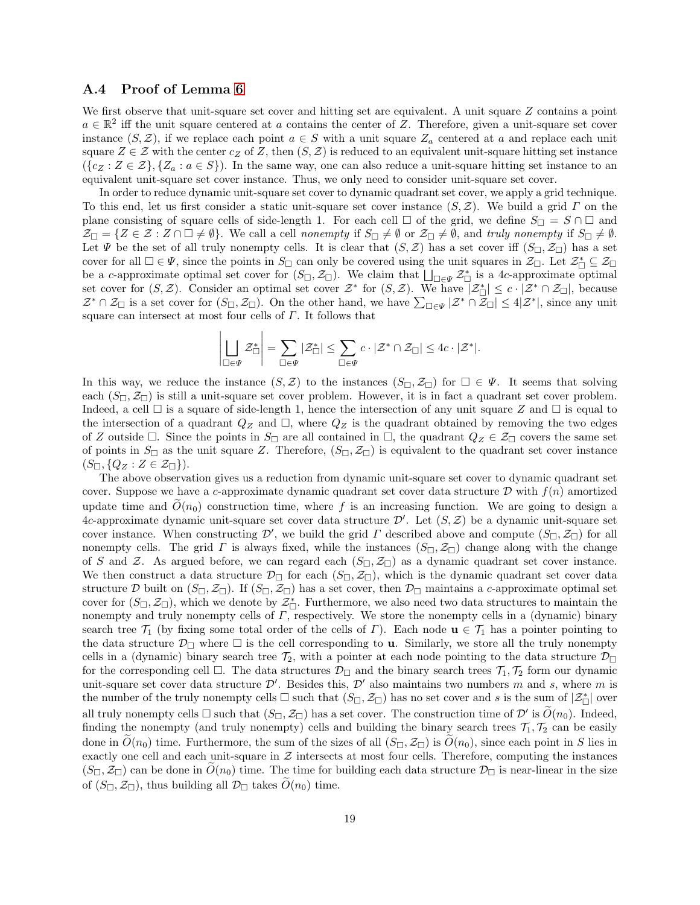#### A.4 Proof of Lemma [6](#page-6-0)

 $\overline{1}$ 

 $\overline{1}$ 

We first observe that unit-square set cover and hitting set are equivalent. A unit square Z contains a point  $a \in \mathbb{R}^2$  iff the unit square centered at a contains the center of Z. Therefore, given a unit-square set cover instance  $(S, \mathcal{Z})$ , if we replace each point  $a \in S$  with a unit square  $Z_a$  centered at a and replace each unit square  $Z \in \mathcal{Z}$  with the center  $c_Z$  of Z, then  $(S, \mathcal{Z})$  is reduced to an equivalent unit-square hitting set instance  $({c_Z : Z \in \mathcal{Z}}, {\{Z_a : a \in S\}})$ . In the same way, one can also reduce a unit-square hitting set instance to an equivalent unit-square set cover instance. Thus, we only need to consider unit-square set cover.

In order to reduce dynamic unit-square set cover to dynamic quadrant set cover, we apply a grid technique. To this end, let us first consider a static unit-square set cover instance  $(S, \mathcal{Z})$ . We build a grid  $\Gamma$  on the plane consisting of square cells of side-length 1. For each cell  $\Box$  of the grid, we define  $S_{\Box} = S \cap \Box$  and  $Z_{\Box} = \{Z \in \mathcal{Z} : Z \cap \Box \neq \emptyset\}$ . We call a cell nonempty if  $S_{\Box} \neq \emptyset$  or  $\mathcal{Z}_{\Box} \neq \emptyset$ , and truly nonempty if  $S_{\Box} \neq \emptyset$ . Let  $\Psi$  be the set of all truly nonempty cells. It is clear that  $(S, \mathcal{Z})$  has a set cover iff  $(S_{\Box}, \mathcal{Z}_{\Box})$  has a set cover for all  $\Box \in \Psi$ , since the points in  $S_{\Box}$  can only be covered using the unit squares in  $\mathcal{Z}_{\Box}$ . Let  $\mathcal{Z}_{\Box}^* \subseteq \mathcal{Z}_{\Box}$ be a c-approximate optimal set cover for  $(S_{\Box}, \mathcal{Z}_{\Box})$ . We claim that  $\bigsqcup_{\Box \in \Psi} \mathcal{Z}_{\Box}^*$  is a 4c-approximate optimal set cover for  $(S, \mathcal{Z})$ . Consider an optimal set cover  $\mathcal{Z}^*$  for  $(S, \mathcal{Z})$ . We have  $|\mathcal{Z}_{\Box}^*| \leq c \cdot |\mathcal{Z}^* \cap \mathcal{Z}_{\Box}|$ , because  $\mathcal{Z}^* \cap \mathcal{Z}_{\Box}$  is a set cover for  $(S_{\Box}, \mathcal{Z}_{\Box})$ . On the other hand, we have  $\sum_{\Box \in \Psi} |\mathcal{Z}^* \cap \overline{\mathcal{Z}}_{\Box}| \leq 4|\mathcal{Z}^*|$ , since any unit square can intersect at most four cells of Γ. It follows that

$$
\left|\bigsqcup_{\square \in \Psi} \mathcal{Z}_{\square}^*\right| = \sum_{\square \in \Psi} |\mathcal{Z}_{\square}^*| \leq \sum_{\square \in \Psi} c \cdot |\mathcal{Z}^* \cap \mathcal{Z}_{\square}| \leq 4c \cdot |\mathcal{Z}^*|.
$$

In this way, we reduce the instance  $(S, \mathcal{Z})$  to the instances  $(S_{\Box}, \mathcal{Z}_{\Box})$  for  $\Box \in \Psi$ . It seems that solving each  $(S_{\Box}, \mathcal{Z}_{\Box})$  is still a unit-square set cover problem. However, it is in fact a quadrant set cover problem. Indeed, a cell  $\Box$  is a square of side-length 1, hence the intersection of any unit square Z and  $\Box$  is equal to the intersection of a quadrant  $Q_Z$  and  $\Box$ , where  $Q_Z$  is the quadrant obtained by removing the two edges of Z outside  $\Box$ . Since the points in  $S_{\Box}$  are all contained in  $\Box$ , the quadrant  $Q_Z \in \mathcal{Z}_{\Box}$  covers the same set of points in  $S_{\Box}$  as the unit square Z. Therefore,  $(S_{\Box}, \mathcal{Z}_{\Box})$  is equivalent to the quadrant set cover instance  $(S_{\square}, \{Q_Z : Z \in \mathcal{Z}_{\square}\}).$ 

The above observation gives us a reduction from dynamic unit-square set cover to dynamic quadrant set cover. Suppose we have a c-approximate dynamic quadrant set cover data structure  $\mathcal D$  with  $f(n)$  amortized update time and  $O(n_0)$  construction time, where f is an increasing function. We are going to design a 4c-approximate dynamic unit-square set cover data structure  $\mathcal{D}'$ . Let  $(S, \mathcal{Z})$  be a dynamic unit-square set cover instance. When constructing  $\mathcal{D}'$ , we build the grid  $\Gamma$  described above and compute  $(S_{\Box}, \mathcal{Z}_{\Box})$  for all nonempty cells. The grid  $\Gamma$  is always fixed, while the instances  $(S_{\Box}, \mathcal{Z}_{\Box})$  change along with the change of S and Z. As argued before, we can regard each  $(S_{\Box}, \mathcal{Z}_{\Box})$  as a dynamic quadrant set cover instance. We then construct a data structure  $\mathcal{D}_{\Box}$  for each  $(S_{\Box}, \mathcal{Z}_{\Box})$ , which is the dynamic quadrant set cover data structure D built on  $(S_{\Box}, \mathcal{Z}_{\Box})$ . If  $(S_{\Box}, \mathcal{Z}_{\Box})$  has a set cover, then  $\mathcal{D}_{\Box}$  maintains a c-approximate optimal set cover for  $(S_{\Box}, \mathcal{Z}_{\Box})$ , which we denote by  $\mathcal{Z}_{\Box}^*$ . Furthermore, we also need two data structures to maintain the nonempty and truly nonempty cells of Γ, respectively. We store the nonempty cells in a (dynamic) binary search tree  $\mathcal{T}_1$  (by fixing some total order of the cells of Γ). Each node  $\mathbf{u} \in \mathcal{T}_1$  has a pointer pointing to the data structure  $\mathcal{D}_{\Box}$  where  $\Box$  is the cell corresponding to **u**. Similarly, we store all the truly nonempty cells in a (dynamic) binary search tree  $\mathcal{T}_2$ , with a pointer at each node pointing to the data structure  $\mathcal{D}_{\Box}$ for the corresponding cell  $\Box$ . The data structures  $\mathcal{D}_{\Box}$  and the binary search trees  $\mathcal{T}_1, \mathcal{T}_2$  form our dynamic unit-square set cover data structure  $\mathcal{D}'$ . Besides this,  $\mathcal{D}'$  also maintains two numbers m and s, where m is the number of the truly nonempty cells  $\square$  such that  $(S_{\square}, \mathcal{Z}_{\square})$  has no set cover and s is the sum of  $|\mathcal{Z}_{\square}^*|$  over all truly nonempty cells  $\square$  such that  $(S_\square, \mathcal{Z}_\square)$  has a set cover. The construction time of  $\mathcal{D}'$  is  $\widetilde{O}(n_0)$ . Indeed, finding the nonempty (and truly nonempty) cells and building the binary search trees  $\mathcal{T}_1, \mathcal{T}_2$  can be easily done in  $\tilde{O}(n_0)$  time. Furthermore, the sum of the sizes of all  $(S_{\Box}, \mathcal{Z}_{\Box})$  is  $\tilde{O}(n_0)$ , since each point in S lies in exactly one cell and each unit-square in  $\mathcal Z$  intersects at most four cells. Therefore, computing the instances  $(S_{\Box}, \mathcal{Z}_{\Box})$  can be done in  $O(n_0)$  time. The time for building each data structure  $\mathcal{D}_{\Box}$  is near-linear in the size of  $(S_{\square}, \mathcal{Z}_{\square})$ , thus building all  $\mathcal{D}_{\square}$  takes  $\widetilde{O}(n_0)$  time.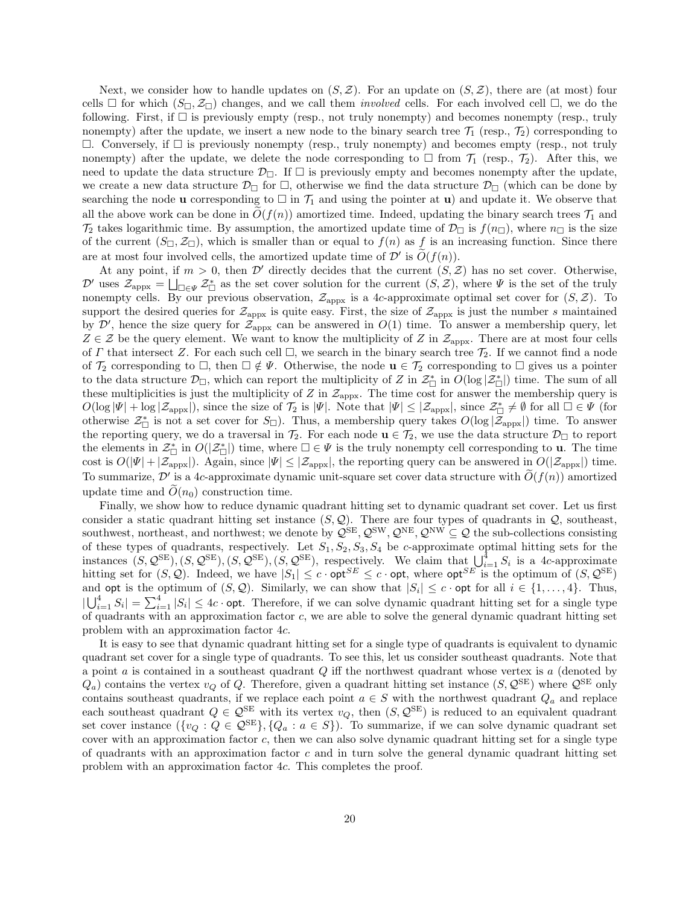Next, we consider how to handle updates on  $(S, \mathcal{Z})$ . For an update on  $(S, \mathcal{Z})$ , there are (at most) four cells  $\Box$  for which  $(S_{\Box}, \mathcal{Z}_{\Box})$  changes, and we call them *involved* cells. For each involved cell  $\Box$ , we do the following. First, if  $\Box$  is previously empty (resp., not truly nonempty) and becomes nonempty (resp., truly nonempty) after the update, we insert a new node to the binary search tree  $\mathcal{T}_1$  (resp.,  $\mathcal{T}_2$ ) corresponding to  $\Box$ . Conversely, if  $\Box$  is previously nonempty (resp., truly nonempty) and becomes empty (resp., not truly nonempty) after the update, we delete the node corresponding to  $\Box$  from  $\mathcal{T}_1$  (resp.,  $\mathcal{T}_2$ ). After this, we need to update the data structure  $\mathcal{D}_{\Box}$ . If  $\Box$  is previously empty and becomes nonempty after the update, we create a new data structure  $\mathcal{D}_{\Box}$  for  $\Box$ , otherwise we find the data structure  $\mathcal{D}_{\Box}$  (which can be done by searching the node **u** corresponding to  $\Box$  in  $\mathcal{T}_1$  and using the pointer at **u**) and update it. We observe that all the above work can be done in  $O(f(n))$  amortized time. Indeed, updating the binary search trees  $\mathcal{T}_1$  and  $\mathcal{T}_2$  takes logarithmic time. By assumption, the amortized update time of  $\mathcal{D}_{\Box}$  is  $f(n_{\Box})$ , where  $n_{\Box}$  is the size of the current  $(S_{\Box}, \mathcal{Z}_{\Box})$ , which is smaller than or equal to  $f(n)$  as f is an increasing function. Since there are at most four involved cells, the amortized update time of  $\mathcal{D}'$  is  $\widetilde{O}(f(n))$ .

At any point, if  $m > 0$ , then D' directly decides that the current  $(S, \mathcal{Z})$  has no set cover. Otherwise,  $\mathcal{D}'$  uses  $\mathcal{Z}_{\text{appx}} = \bigsqcup_{\Box \in \Psi} \mathcal{Z}_{\Box}^*$  as the set cover solution for the current  $(S, \mathcal{Z})$ , where  $\Psi$  is the set of the truly nonempty cells. By our previous observation,  $\mathcal{Z}_{\text{appx}}$  is a 4c-approximate optimal set cover for  $(S, \mathcal{Z})$ . To support the desired queries for  $\mathcal{Z}_{\text{appx}}$  is quite easy. First, the size of  $\mathcal{Z}_{\text{appx}}$  is just the number s maintained by  $\mathcal{D}'$ , hence the size query for  $\mathcal{Z}_{appx}$  can be answered in  $O(1)$  time. To answer a membership query, let  $Z \in \mathcal{Z}$  be the query element. We want to know the multiplicity of Z in  $\mathcal{Z}_{appx}$ . There are at most four cells of Γ that intersect Z. For each such cell  $\square$ , we search in the binary search tree  $\mathcal{T}_2$ . If we cannot find a node of  $\mathcal{T}_2$  corresponding to  $\Box$ , then  $\Box \notin \Psi$ . Otherwise, the node  $\mathbf{u} \in \mathcal{T}_2$  corresponding to  $\Box$  gives us a pointer to the data structure  $\mathcal{D}_{\Box}$ , which can report the multiplicity of Z in  $\mathcal{Z}_{\Box}^*$  in  $O(\log |\mathcal{Z}_{\Box}^*|)$  time. The sum of all these multiplicities is just the multiplicity of Z in  $\mathcal{Z}_{\text{approx}}$ . The time cost for answer the membership query is  $O(\log |\Psi| + \log |\mathcal{Z}_{\text{appx}}|)$ , since the size of  $\mathcal{T}_2$  is  $|\Psi|$ . Note that  $|\Psi| \leq |\mathcal{Z}_{\text{appx}}|$ , since  $\mathcal{Z}_{\square}^* \neq \emptyset$  for all  $\square \in \Psi$  (for otherwise  $\mathcal{Z}_{\Box}^*$  is not a set cover for  $S_{\Box}$ ). Thus, a membership query takes  $O(\log |\mathcal{\bar{Z}}_{\text{appx}}|)$  time. To answer the reporting query, we do a traversal in  $\mathcal{T}_2$ . For each node  $\mathbf{u} \in \mathcal{T}_2$ , we use the data structure  $\mathcal{D}_{\Box}$  to report the elements in  $\mathcal{Z}_{\Box}^*$  in  $O(|\mathcal{Z}_{\Box}^*|)$  time, where  $\Box \in \Psi$  is the truly nonempty cell corresponding to **u**. The time cost is  $O(|\Psi| + |\mathcal{Z}_{appx}|)$ . Again, since  $|\Psi| \leq |\mathcal{Z}_{appx}|$ , the reporting query can be answered in  $O(|\mathcal{Z}_{appx}|)$  time. To summarize,  $\mathcal{D}'$  is a 4c-approximate dynamic unit-square set cover data structure with  $\widetilde{O}(f(n))$  amortized update time and  $\tilde{O}(n_0)$  construction time.

Finally, we show how to reduce dynamic quadrant hitting set to dynamic quadrant set cover. Let us first consider a static quadrant hitting set instance  $(S, \mathcal{Q})$ . There are four types of quadrants in  $\mathcal{Q}$ , southeast, southwest, northeast, and northwest; we denote by  $\mathcal{Q}^{\text{SE}}, \mathcal{Q}^{\text{SW}}, \mathcal{Q}^{\text{NE}}, \mathcal{Q}^{\text{NW}} \subseteq \mathcal{Q}$  the sub-collections consisting of these types of quadrants, respectively. Let  $S_1, S_2, S_3, S_4$  be c-approximate optimal hitting sets for the instances  $(S, \mathcal{Q}^{\text{SE}}), (S, \mathcal{Q}^{\text{SE}}), (S, \mathcal{Q}^{\text{SE}}), (S, \mathcal{Q}^{\text{SE}}),$  respectively. We claim that  $\bigcup_{i=1}^{4} S_i$  is a 4c-approximate hitting set for  $(S, \mathcal{Q})$ . Indeed, we have  $|S_1| \leq c \cdot \mathsf{opt}^{SE} \leq c \cdot \mathsf{opt}$ , where  $\mathsf{opt}^{SE}$  is the optimum of  $(S, \mathcal{Q}^{SE})$ and opt is the optimum of  $(S, \mathcal{Q})$ . Similarly, we can show that  $|S_i| \leq c$  opt for all  $i \in \{1, ..., 4\}$ . Thus,  $|\bigcup_{i=1}^4 S_i| = \sum_{i=1}^4 |S_i| \le 4c$  opt. Therefore, if we can solve dynamic quadrant hitting set for a single type of quadrants with an approximation factor c, we are able to solve the general dynamic quadrant hitting set problem with an approximation factor 4c.

It is easy to see that dynamic quadrant hitting set for a single type of quadrants is equivalent to dynamic quadrant set cover for a single type of quadrants. To see this, let us consider southeast quadrants. Note that a point  $a$  is contained in a southeast quadrant  $Q$  iff the northwest quadrant whose vertex is  $a$  (denoted by  $Q_a$ ) contains the vertex  $v_Q$  of Q. Therefore, given a quadrant hitting set instance  $(S, \mathcal{Q}^{\text{SE}})$  where  $\mathcal{Q}^{\text{SE}}$  only contains southeast quadrants, if we replace each point  $a \in S$  with the northwest quadrant  $Q_a$  and replace each southeast quadrant  $Q \in \mathcal{Q}^{\text{SE}}$  with its vertex  $v_Q$ , then  $(S, \mathcal{Q}^{\text{SE}})$  is reduced to an equivalent quadrant set cover instance  $({v_Q : Q \in \mathcal{Q}^{\text{SE}}}, {Q_a : a \in S})$ . To summarize, if we can solve dynamic quadrant set cover with an approximation factor  $c$ , then we can also solve dynamic quadrant hitting set for a single type of quadrants with an approximation factor  $c$  and in turn solve the general dynamic quadrant hitting set problem with an approximation factor 4c. This completes the proof.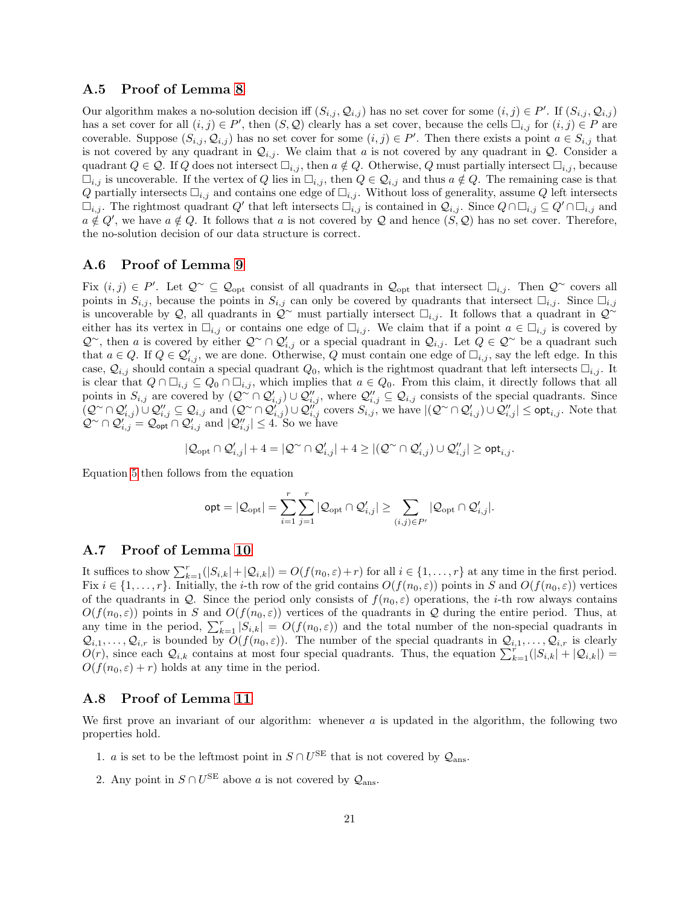#### A.5 Proof of Lemma [8](#page-8-0)

Our algorithm makes a no-solution decision iff  $(S_{i,j}, Q_{i,j})$  has no set cover for some  $(i, j) \in P'$ . If  $(S_{i,j}, Q_{i,j})$ has a set cover for all  $(i, j) \in P'$ , then  $(S, \mathcal{Q})$  clearly has a set cover, because the cells  $\Box_{i,j}$  for  $(i, j) \in P$  are coverable. Suppose  $(S_{i,j}, \mathcal{Q}_{i,j})$  has no set cover for some  $(i,j) \in P'$ . Then there exists a point  $a \in S_{i,j}$  that is not covered by any quadrant in  $\mathcal{Q}_{i,j}$ . We claim that a is not covered by any quadrant in  $\mathcal{Q}$ . Consider a quadrant  $Q \in \mathcal{Q}$ . If Q does not intersect  $\Box_{i,j}$ , then  $a \notin Q$ . Otherwise, Q must partially intersect  $\Box_{i,j}$ , because  $\Box_{i,j}$  is uncoverable. If the vertex of Q lies in  $\Box_{i,j}$ , then  $Q \in \mathcal{Q}_{i,j}$  and thus  $a \notin Q$ . The remaining case is that Q partially intersects  $\Box_{i,j}$  and contains one edge of  $\Box_{i,j}$ . Without loss of generality, assume Q left intersects  $\Box_{i,j}$ . The rightmost quadrant Q' that left intersects  $\Box_{i,j}$  is contained in  $\mathcal{Q}_{i,j}$ . Since  $Q \cap \Box_{i,j} \subseteq Q' \cap \Box_{i,j}$  and  $a \notin Q'$ , we have  $a \notin Q$ . It follows that a is not covered by Q and hence  $(S, Q)$  has no set cover. Therefore, the no-solution decision of our data structure is correct.

#### A.6 Proof of Lemma [9](#page-9-3)

Fix  $(i, j) \in P'$ . Let  $\mathcal{Q}^{\sim} \subseteq \mathcal{Q}_{\text{opt}}$  consist of all quadrants in  $\mathcal{Q}_{\text{opt}}$  that intersect  $\square_{i,j}$ . Then  $\mathcal{Q}^{\sim}$  covers all points in  $S_{i,j}$ , because the points in  $S_{i,j}$  can only be covered by quadrants that intersect  $\Box_{i,j}$ . Since  $\Box_{i,j}$ is uncoverable by Q, all quadrants in  $\mathcal{Q}^{\sim}$  must partially intersect  $\square_{i,j}$ . It follows that a quadrant in  $\mathcal{Q}^{\sim}$ either has its vertex in  $\Box_{i,j}$  or contains one edge of  $\Box_{i,j}$ . We claim that if a point  $a \in \Box_{i,j}$  is covered by  $\mathcal{Q}^{\sim}$ , then a is covered by either  $\mathcal{Q}^{\sim} \cap \mathcal{Q}'_{i,j}$  or a special quadrant in  $\mathcal{Q}_{i,j}$ . Let  $Q \in \mathcal{Q}^{\sim}$  be a quadrant such that  $a \in Q$ . If  $Q \in \mathcal{Q}'_{i,j}$ , we are done. Otherwise, Q must contain one edge of  $\Box_{i,j}$ , say the left edge. In this case,  $\mathcal{Q}_{i,j}$  should contain a special quadrant  $Q_0$ , which is the rightmost quadrant that left intersects  $\Box_{i,j}$ . It is clear that  $Q \cap \Box_{i,j} \subseteq Q_0 \cap \Box_{i,j}$ , which implies that  $a \in Q_0$ . From this claim, it directly follows that all points in  $S_{i,j}$  are covered by  $(Q^{\sim} \cap \mathcal{Q}'_{i,j}) \cup \mathcal{Q}''_{i,j}$ , where  $\mathcal{Q}''_{i,j} \subseteq \mathcal{Q}_{i,j}$  consists of the special quadrants. Since  $(\mathcal{Q} \cap \mathcal{Q}'_{i,j}) \cup \mathcal{Q}''_{i,j} \subseteq \mathcal{Q}_{i,j}$  and  $(\mathcal{Q} \cap \mathcal{Q}''_{i,j}) \cup \mathcal{Q}''_{i,j}$  covers  $S_{i,j}$ , we have  $|(\mathcal{Q} \cap \mathcal{Q}'_{i,j}) \cup \mathcal{Q}''_{i,j}| \leq \mathsf{opt}_{i,j}$ . Note that  $\mathcal{Q}^{\sim} \cap \mathcal{Q}'_{i,j} = \mathcal{Q}_{\text{opt}} \cap \mathcal{Q}'_{i,j}$  and  $|\mathcal{Q}''_{i,j}| \leq 4$ . So we have

$$
|\mathcal{Q}_{\text{opt}}\cap\mathcal{Q}_{i,j}'|+4=|\mathcal{Q}^{\sim}\cap\mathcal{Q}_{i,j}'|+4\geq |(\mathcal{Q}^{\sim}\cap\mathcal{Q}_{i,j}')\cup\mathcal{Q}_{i,j}''|\geq \text{opt}_{i,j}.
$$

Equation [5](#page-9-1) then follows from the equation

$$
\mathsf{opt} = |\mathcal{Q}_{\mathrm{opt}}| = \sum_{i=1}^r \sum_{j=1}^r |\mathcal{Q}_{\mathrm{opt}} \cap \mathcal{Q}'_{i,j}| \geq \sum_{(i,j) \in P'} |\mathcal{Q}_{\mathrm{opt}} \cap \mathcal{Q}'_{i,j}|.
$$

### A.7 Proof of Lemma [10](#page-9-2)

It suffices to show  $\sum_{k=1}^r(|S_{i,k}|+|\mathcal{Q}_{i,k}|) = O(f(n_0,\varepsilon)+r)$  for all  $i \in \{1,\ldots,r\}$  at any time in the first period. Fix  $i \in \{1, \ldots, r\}$ . Initially, the *i*-th row of the grid contains  $O(f(n_0, \varepsilon))$  points in S and  $O(f(n_0, \varepsilon))$  vertices of the quadrants in Q. Since the period only consists of  $f(n_0, \varepsilon)$  operations, the *i*-th row always contains  $O(f(n_0, \varepsilon))$  points in S and  $O(f(n_0, \varepsilon))$  vertices of the quadrants in Q during the entire period. Thus, at any time in the period,  $\sum_{k=1}^{r} |S_{i,k}| = O(f(n_0, \varepsilon))$  and the total number of the non-special quadrants in  $\mathcal{Q}_{i,1},\ldots,\mathcal{Q}_{i,r}$  is bounded by  $O(f(n_0,\varepsilon))$ . The number of the special quadrants in  $\mathcal{Q}_{i,1},\ldots,\mathcal{Q}_{i,r}$  is clearly  $O(r)$ , since each  $\mathcal{Q}_{i,k}$  contains at most four special quadrants. Thus, the equation  $\sum_{k=1}^{r}(|S_{i,k}| + |\mathcal{Q}_{i,k}|)$  $O(f(n_0, \varepsilon) + r)$  holds at any time in the period.

#### A.8 Proof of Lemma [11](#page-11-0)

We first prove an invariant of our algorithm: whenever  $a$  is updated in the algorithm, the following two properties hold.

- 1. *a* is set to be the leftmost point in  $S \cap U^{SE}$  that is not covered by  $\mathcal{Q}_{\text{ans}}$ .
- 2. Any point in  $S \cap U^{\text{SE}}$  above a is not covered by  $\mathcal{Q}_{\text{ans}}$ .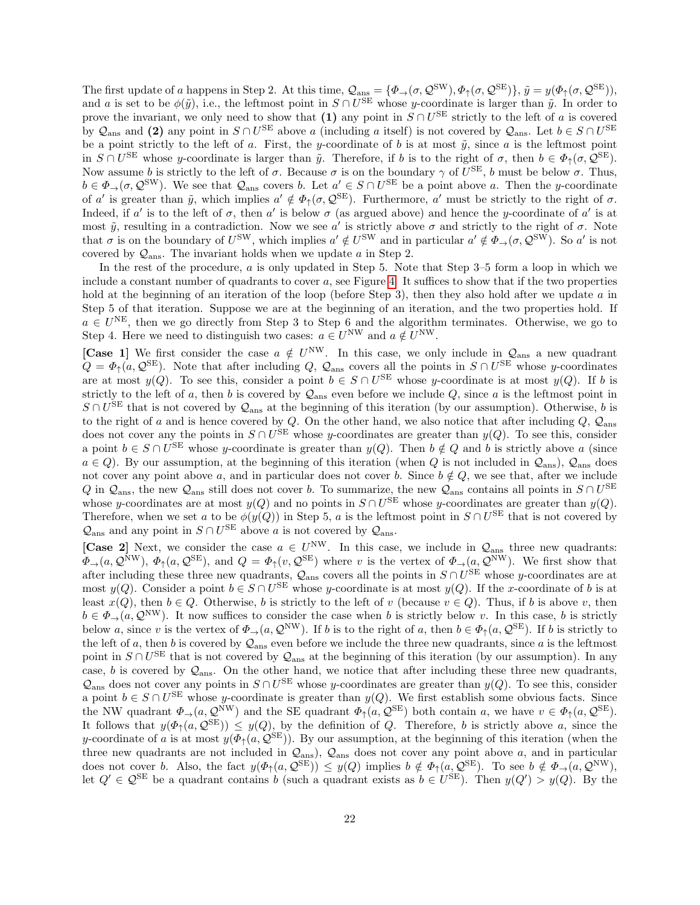The first update of a happens in Step 2. At this time,  $\mathcal{Q}_{\text{ans}} = {\phi_{\rightarrow}(\sigma, \mathcal{Q}^{\text{SW}}), \phi_{\uparrow}(\sigma, \mathcal{Q}^{\text{SE}})}$ ,  $\tilde{y} = y(\phi_{\uparrow}(\sigma, \mathcal{Q}^{\text{SE}}))$ , and a is set to be  $\phi(\tilde{y})$ , i.e., the leftmost point in  $S \cap U^{\text{SE}}$  whose y-coordinate is larger than  $\tilde{y}$ . In order to prove the invariant, we only need to show that (1) any point in  $S \cap U^{SE}$  strictly to the left of a is covered by  $\mathcal{Q}_{\text{ans}}$  and (2) any point in  $S \cap U^{\text{SE}}$  above a (including a itself) is not covered by  $\mathcal{Q}_{\text{ans}}$ . Let  $b \in S \cap U^{\text{SE}}$ be a point strictly to the left of a. First, the y-coordinate of b is at most  $\tilde{y}$ , since a is the leftmost point in  $S \cap U^{\text{SE}}$  whose y-coordinate is larger than  $\tilde{y}$ . Therefore, if b is to the right of  $\sigma$ , then  $b \in \Phi_{\uparrow}(\sigma, \mathcal{Q}^{\text{SE}})$ . Now assume b is strictly to the left of  $\sigma$ . Because  $\sigma$  is on the boundary  $\gamma$  of  $U^{\text{SE}}$ , b must be below  $\sigma$ . Thus,  $b \in \Phi_\to(\sigma, \mathcal{Q}^{\text{SW}})$ . We see that  $\mathcal{Q}_{\text{ans}}$  covers b. Let  $a' \in S \cap U^{\text{SE}}$  be a point above a. Then the y-coordinate of a' is greater than  $\tilde{y}$ , which implies  $a' \notin \Phi_{\uparrow}(\sigma, \mathcal{Q}^{\text{SE}})$ . Furthermore, a' must be strictly to the right of  $\sigma$ . Indeed, if a' is to the left of  $\sigma$ , then a' is below  $\sigma$  (as argued above) and hence the y-coordinate of a' is at most  $\tilde{y}$ , resulting in a contradiction. Now we see a' is strictly above  $\sigma$  and strictly to the right of  $\sigma$ . Note that  $\sigma$  is on the boundary of  $U^{\text{SW}}$ , which implies  $a' \notin U^{\text{SW}}$  and in particular  $a' \notin \Phi_{\to}(\sigma, \mathcal{Q}^{\text{SW}})$ . So  $a'$  is not covered by  $Q_{\text{ans}}$ . The invariant holds when we update a in Step 2.

In the rest of the procedure, a is only updated in Step 5. Note that Step 3–5 form a loop in which we include a constant number of quadrants to cover  $a$ , see Figure [4.](#page-22-0) It suffices to show that if the two properties hold at the beginning of an iteration of the loop (before Step 3), then they also hold after we update a in Step 5 of that iteration. Suppose we are at the beginning of an iteration, and the two properties hold. If  $a \in U<sup>NE</sup>$ , then we go directly from Step 3 to Step 6 and the algorithm terminates. Otherwise, we go to Step 4. Here we need to distinguish two cases:  $a \in U^{\text{NW}}$  and  $a \notin U^{\text{NW}}$ .

[Case 1] We first consider the case  $a \notin U^{\text{NW}}$ . In this case, we only include in  $\mathcal{Q}_{\text{ans}}$  a new quadrant  $Q = \Phi_{\uparrow}(a, \mathcal{Q}^{\text{SE}})$ . Note that after including  $Q$ ,  $\mathcal{Q}_{\text{ans}}$  covers all the points in  $S \cap U^{\text{SE}}$  whose y-coordinates are at most  $y(Q)$ . To see this, consider a point  $b \in S \cap U^{SE}$  whose y-coordinate is at most  $y(Q)$ . If b is strictly to the left of a, then b is covered by  $\mathcal{Q}_{\text{ans}}$  even before we include Q, since a is the leftmost point in  $S \cap U^{\text{SE}}$  that is not covered by  $\mathcal{Q}_{\text{ans}}$  at the beginning of this iteration (by our assumption). Otherwise, b is to the right of a and is hence covered by Q. On the other hand, we also notice that after including  $Q$ ,  $Q_{\text{ans}}$ does not cover any the points in  $S \cap U^{\text{SE}}$  whose y-coordinates are greater than  $y(Q)$ . To see this, consider a point  $b \in S \cap U^{\text{SE}}$  whose y-coordinate is greater than  $y(Q)$ . Then  $b \notin Q$  and b is strictly above a (since  $a \in Q$ ). By our assumption, at the beginning of this iteration (when Q is not included in  $\mathcal{Q}_{\text{ans}}$ ),  $\mathcal{Q}_{\text{ans}}$  does not cover any point above a, and in particular does not cover b. Since  $b \notin Q$ , we see that, after we include Q in  $\mathcal{Q}_{\text{ans}}$ , the new  $\mathcal{Q}_{\text{ans}}$  still does not cover b. To summarize, the new  $\mathcal{Q}_{\text{ans}}$  contains all points in  $S \cap U^{\text{SE}}$ whose y-coordinates are at most  $y(Q)$  and no points in  $S \cap U^{\text{SE}}$  whose y-coordinates are greater than  $y(Q)$ . Therefore, when we set a to be  $\phi(y(Q))$  in Step 5, a is the leftmost point in  $S \cap U^{\text{SE}}$  that is not covered by  $\mathcal{Q}_{\text{ans}}$  and any point in  $S \cap U^{\text{SE}}$  above a is not covered by  $\mathcal{Q}_{\text{ans}}$ .

[Case 2] Next, we consider the case  $a \in U^{\text{NW}}$ . In this case, we include in  $\mathcal{Q}_{\text{ans}}$  three new quadrants:  $\Phi_{\rightarrow}(a,\mathcal{Q}^{\text{NW}}), \ \Phi_{\uparrow}(a,\mathcal{Q}^{\text{SE}}), \text{ and } Q = \Phi_{\uparrow}(v,\mathcal{Q}^{\text{SE}})$  where v is the vertex of  $\Phi_{\rightarrow}(a,\mathcal{Q}^{\text{NW}})$ . We first show that after including these three new quadrants,  $\mathcal{Q}_{ans}$  covers all the points in  $S \cap U^{SE}$  whose y-coordinates are at most  $y(Q)$ . Consider a point  $b \in S \cap U^{\text{SE}}$  whose y-coordinate is at most  $y(Q)$ . If the x-coordinate of b is at least  $x(Q)$ , then  $b \in Q$ . Otherwise, b is strictly to the left of v (because  $v \in Q$ ). Thus, if b is above v, then  $b \in \Phi_\to(a, \mathcal{Q}^{\text{NW}})$ . It now suffices to consider the case when b is strictly below v. In this case, b is strictly below a, since v is the vertex of  $\Phi_{\to}(a, \mathcal{Q}^{\text{NW}})$ . If b is to the right of a, then  $b \in \Phi_{\uparrow}(a, \mathcal{Q}^{\text{SE}})$ . If b is strictly to the left of a, then b is covered by  $\mathcal{Q}_{\text{ans}}$  even before we include the three new quadrants, since a is the leftmost point in  $S \cap U^{\text{SE}}$  that is not covered by  $\mathcal{Q}_{\text{ans}}$  at the beginning of this iteration (by our assumption). In any case, b is covered by  $\mathcal{Q}_{\text{ans}}$ . On the other hand, we notice that after including these three new quadrants,  $\mathcal{Q}_{\text{ans}}$  does not cover any points in  $S \cap U^{\text{SE}}$  whose y-coordinates are greater than  $y(Q)$ . To see this, consider a point  $b \in S \cap U^{\text{SE}}$  whose y-coordinate is greater than  $y(Q)$ . We first establish some obvious facts. Since the NW quadrant  $\Phi_{\rightarrow}(a,\mathcal{Q}^{\text{NW}})$  and the SE quadrant  $\Phi_{\uparrow}(a,\mathcal{Q}^{\text{SE}})$  both contain a, we have  $v \in \Phi_{\uparrow}(a,\mathcal{Q}^{\text{SE}})$ . It follows that  $y(\Phi_{\uparrow}(a, \mathcal{Q}^{\text{SE}})) \leq y(Q)$ , by the definition of Q. Therefore, b is strictly above a, since the y-coordinate of a is at most  $y(\Phi_{\uparrow}(a, \mathcal{Q}^{\text{SE}}))$ . By our assumption, at the beginning of this iteration (when the three new quadrants are not included in  $\mathcal{Q}_{\text{ans}}$ ),  $\mathcal{Q}_{\text{ans}}$  does not cover any point above a, and in particular does not cover b. Also, the fact  $y(\Phi_{\uparrow}(a, \mathcal{Q}^{\text{SE}})) \leq y(Q)$  implies  $b \notin \Phi_{\uparrow}(a, \mathcal{Q}^{\text{SE}})$ . To see  $b \notin \Phi_{\rightarrow}(a, \mathcal{Q}^{\text{NW}})$ , let  $Q' \in \mathcal{Q}^{\text{SE}}$  be a quadrant contains b (such a quadrant exists as  $b \in U^{\text{SE}}$ ). Then  $y(Q') > y(Q)$ . By the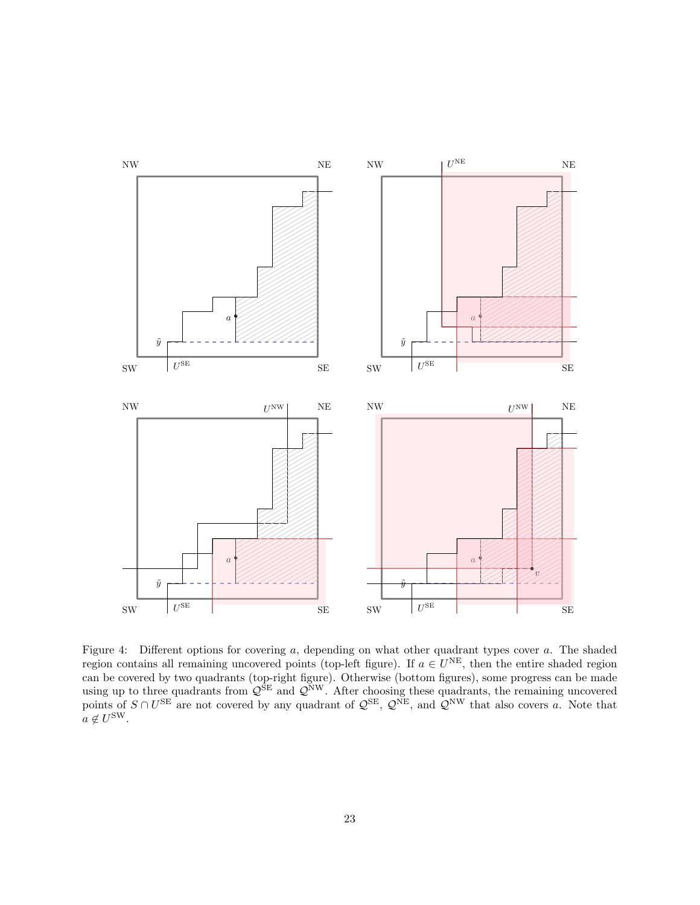

<span id="page-22-0"></span>Figure 4: Different options for covering a, depending on what other quadrant types cover a. The shaded region contains all remaining uncovered points (top-left figure). If  $a \in U^{\text{NE}}$ , then the entire shaded region can be covered by two quadrants (top-right figure). Otherwise (bottom figures), some progress can be made using up to three quadrants from  $\mathcal{Q}^{\text{SE}}$  and  $\mathcal{Q}^{\text{NW}}$ . After choosing these quadrants, the remaining uncovered points of  $S \cap U^{\text{SE}}$  are not covered by any quadrant of  $\mathcal{Q}^{\text{SE}}$ ,  $\mathcal{Q}^{\text{NE}}$ , and  $\mathcal{Q}^{\text{NW}}$  that also covers a. Note that  $a \notin U^{\text{SW}}$ .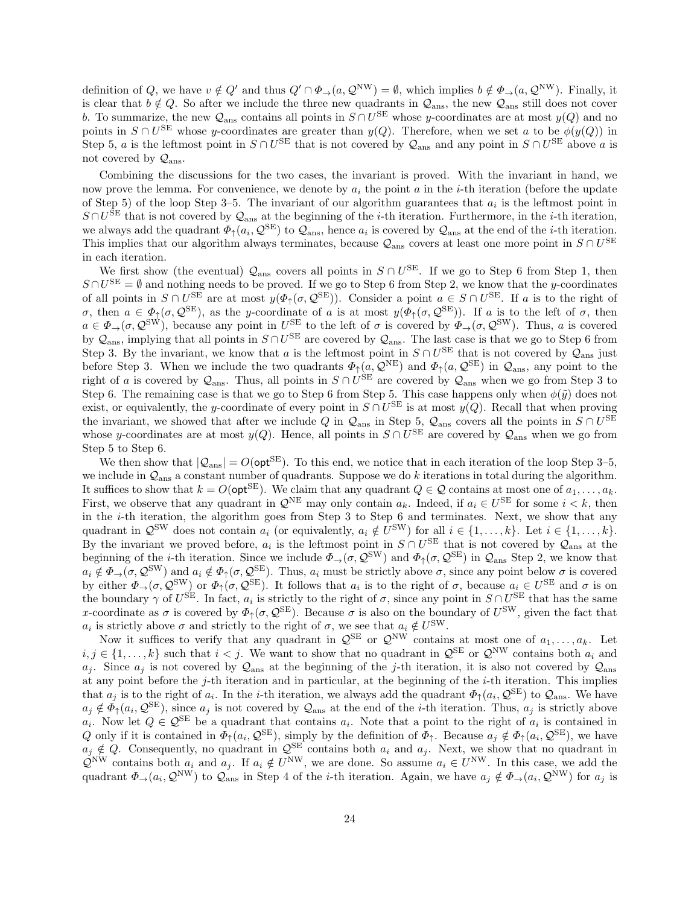definition of Q, we have  $v \notin Q'$  and thus  $Q' \cap \Phi_{\to}(a, \mathcal{Q}^{\text{NW}}) = \emptyset$ , which implies  $b \notin \Phi_{\to}(a, \mathcal{Q}^{\text{NW}})$ . Finally, it is clear that  $b \notin Q$ . So after we include the three new quadrants in  $\mathcal{Q}_{\text{ans}}$ , the new  $\mathcal{Q}_{\text{ans}}$  still does not cover b. To summarize, the new  $\mathcal{Q}_{\text{ans}}$  contains all points in  $S \cap U^{\text{SE}}$  whose y-coordinates are at most  $y(Q)$  and no points in  $S \cap U^{\text{SE}}$  whose y-coordinates are greater than  $y(Q)$ . Therefore, when we set a to be  $\phi(y(Q))$  in Step 5, a is the leftmost point in  $S \cap U^{\text{SE}}$  that is not covered by  $\mathcal{Q}_{\text{ans}}$  and any point in  $S \cap U^{\text{SE}}$  above a is not covered by  $\mathcal{Q}_{\text{ans}}$ .

Combining the discussions for the two cases, the invariant is proved. With the invariant in hand, we now prove the lemma. For convenience, we denote by  $a_i$  the point a in the *i*-th iteration (before the update of Step 5) of the loop Step 3-5. The invariant of our algorithm guarantees that  $a_i$  is the leftmost point in  $S \cap U^{\text{SE}}$  that is not covered by  $\mathcal{Q}_{\text{ans}}$  at the beginning of the *i*-th iteration. Furthermore, in the *i*-th iteration, we always add the quadrant  $\Phi_{\uparrow}(a_i, \mathcal{Q}^{\text{SE}})$  to  $\mathcal{Q}_{\text{ans}}$ , hence  $a_i$  is covered by  $\mathcal{Q}_{\text{ans}}$  at the end of the *i*-th iteration. This implies that our algorithm always terminates, because  $\mathcal{Q}_{\text{ans}}$  covers at least one more point in  $S \cap U^{\text{SE}}$ in each iteration.

We first show (the eventual)  $\mathcal{Q}_{\text{ans}}$  covers all points in  $S \cap U^{\text{SE}}$ . If we go to Step 6 from Step 1, then  $S \cap U^{\text{SE}} = \emptyset$  and nothing needs to be proved. If we go to Step 6 from Step 2, we know that the y-coordinates of all points in  $S \cap U^{\text{SE}}$  are at most  $y(\Phi_{\uparrow}(\sigma, \mathcal{Q}^{\text{SE}}))$ . Consider a point  $a \in S \cap U^{\text{SE}}$ . If a is to the right of σ, then  $a \in \Phi_{\uparrow}(\sigma, \mathcal{Q}^{\text{SE}})$ , as the y-coordinate of a is at most  $y(\Phi_{\uparrow}(\sigma, \mathcal{Q}^{\text{SE}}))$ . If a is to the left of σ, then  $a \in \Phi_\to(\sigma, \mathcal{Q}^{\text{SW}})$ , because any point in  $U^{\text{SE}}$  to the left of  $\sigma$  is covered by  $\Phi_\to(\sigma, \mathcal{Q}^{\text{SW}})$ . Thus, a is covered by  $\mathcal{Q}_{\text{ans}}$ , implying that all points in  $S \cap U^{\text{SE}}$  are covered by  $\mathcal{Q}_{\text{ans}}$ . The last case is that we go to Step 6 from Step 3. By the invariant, we know that a is the leftmost point in  $S \cap U^{SE}$  that is not covered by  $\mathcal{Q}_{\text{ans}}$  just before Step 3. When we include the two quadrants  $\Phi_{\uparrow}(a, \mathcal{Q}^{\text{NE}})$  and  $\Phi_{\uparrow}(a, \mathcal{Q}^{\text{SE}})$  in  $\mathcal{Q}_{\text{ans}}$ , any point to the right of a is covered by  $\mathcal{Q}_{\text{ans}}$ . Thus, all points in  $S \cap U^{\text{SE}}$  are covered by  $\mathcal{Q}_{\text{ans}}$  when we go from Step 3 to Step 6. The remaining case is that we go to Step 6 from Step 5. This case happens only when  $\phi(\tilde{y})$  does not exist, or equivalently, the y-coordinate of every point in  $S \cap U^{\text{SE}}$  is at most  $y(Q)$ . Recall that when proving the invariant, we showed that after we include Q in  $\mathcal{Q}_{\text{ans}}$  in Step 5,  $\mathcal{Q}_{\text{ans}}$  covers all the points in  $S \cap U^{\text{SE}}$ whose y-coordinates are at most  $y(Q)$ . Hence, all points in  $S \cap U^{SE}$  are covered by  $\mathcal{Q}_{\text{ans}}$  when we go from Step 5 to Step 6.

We then show that  $|Q_{\text{ans}}| = O(\text{opt}^{\text{SE}})$ . To this end, we notice that in each iteration of the loop Step 3–5, we include in  $\mathcal{Q}_{\text{ans}}$  a constant number of quadrants. Suppose we do k iterations in total during the algorithm. It suffices to show that  $k = O(\mathsf{opt}^{\mathsf{SE}})$ . We claim that any quadrant  $Q \in \mathcal{Q}$  contains at most one of  $a_1, \ldots, a_k$ . First, we observe that any quadrant in  $\mathcal{Q}^{NE}$  may only contain  $a_k$ . Indeed, if  $a_i \in U^{SE}$  for some  $i < k$ , then in the  $i$ -th iteration, the algorithm goes from Step 3 to Step 6 and terminates. Next, we show that any quadrant in  $\mathcal{Q}^{\text{SW}}$  does not contain  $a_i$  (or equivalently,  $a_i \notin U^{\text{SW}}$ ) for all  $i \in \{1, ..., k\}$ . Let  $i \in \{1, ..., k\}$ . By the invariant we proved before,  $a_i$  is the leftmost point in  $S \cap U^{SE}$  that is not covered by  $\mathcal{Q}_{ans}$  at the beginning of the *i*-th iteration. Since we include  $\Phi_{\rightarrow}(\sigma, \mathcal{Q}^{\text{SW}})$  and  $\Phi_{\uparrow}(\sigma, \mathcal{Q}^{\text{SE}})$  in  $\mathcal{Q}_{\text{ans}}$  Step 2, we know that  $a_i \notin \Phi_\to(\sigma, \mathcal{Q}^{\text{SW}})$  and  $a_i \notin \Phi_\uparrow(\sigma, \mathcal{Q}^{\text{SE}})$ . Thus,  $a_i$  must be strictly above  $\sigma$ , since any point below  $\sigma$  is covered by either  $\Phi_{\rightarrow}(\sigma, \mathcal{Q}^{\text{SW}})$  or  $\Phi_{\uparrow}(\sigma, \mathcal{Q}^{\text{SE}})$ . It follows that  $a_i$  is to the right of  $\sigma$ , because  $a_i \in U^{\text{SE}}$  and  $\sigma$  is on the boundary  $\gamma$  of  $U^{\text{SE}}$ . In fact,  $a_i$  is strictly to the right of  $\sigma$ , since any point in  $S \cap U^{\text{SE}}$  that has the same x-coordinate as  $\sigma$  is covered by  $\Phi_{\uparrow}(\sigma, \mathcal{Q}^{\text{SE}})$ . Because  $\sigma$  is also on the boundary of  $U^{\text{SW}}$ , given the fact that  $a_i$  is strictly above  $\sigma$  and strictly to the right of  $\sigma$ , we see that  $a_i \notin U^{\text{SW}}$ .

Now it suffices to verify that any quadrant in  $\mathcal{Q}^{\text{SE}}$  or  $\mathcal{Q}^{\text{NW}}$  contains at most one of  $a_1, \ldots, a_k$ . Let  $i, j \in \{1, \ldots, k\}$  such that  $i < j$ . We want to show that no quadrant in  $\mathcal{Q}^{\text{SE}}$  or  $\mathcal{Q}^{\text{NW}}$  contains both  $a_i$  and  $a_j$ . Since  $a_j$  is not covered by  $\mathcal{Q}_{\text{ans}}$  at the beginning of the j-th iteration, it is also not covered by  $\mathcal{Q}_{\text{ans}}$ at any point before the j-th iteration and in particular, at the beginning of the  $i$ -th iteration. This implies that  $a_j$  is to the right of  $a_i$ . In the *i*-th iteration, we always add the quadrant  $\Phi_{\uparrow}(a_i, \mathcal{Q}^{\text{SE}})$  to  $\mathcal{Q}_{\text{ans}}$ . We have  $a_j \notin \Phi_{\uparrow}(a_i, \mathcal{Q}^{\text{SE}})$ , since  $a_j$  is not covered by  $\mathcal{Q}_{\text{ans}}$  at the end of the *i*-th iteration. Thus,  $a_j$  is strictly above  $a_i$ . Now let  $Q \in \mathcal{Q}^{\text{SE}}$  be a quadrant that contains  $a_i$ . Note that a point to the right of  $a_i$  is contained in Q only if it is contained in  $\Phi_{\uparrow}(a_i, \mathcal{Q}^{\text{SE}})$ , simply by the definition of  $\Phi_{\uparrow}$ . Because  $a_j \notin \Phi_{\uparrow}(a_i, \mathcal{Q}^{\text{SE}})$ , we have  $a_j \notin Q$ . Consequently, no quadrant in  $\mathcal{Q}^{\text{SE}}$  contains both  $a_i$  and  $a_j$ . Next, we show that no quadrant in  $\mathcal{Q}^{\text{NW}}$  contains both  $a_i$  and  $a_j$ . If  $a_i \notin U^{\text{NW}}$ , we are done. So assume  $a_i \in U^{\text{NW}}$ . In this case, we add the quadrant  $\Phi_{\to}(a_i, \mathcal{Q}^{\text{NW}})$  to  $\mathcal{Q}_{\text{ans}}$  in Step 4 of the *i*-th iteration. Again, we have  $a_j \notin \Phi_{\to}(a_i, \mathcal{Q}^{\text{NW}})$  for  $a_j$  is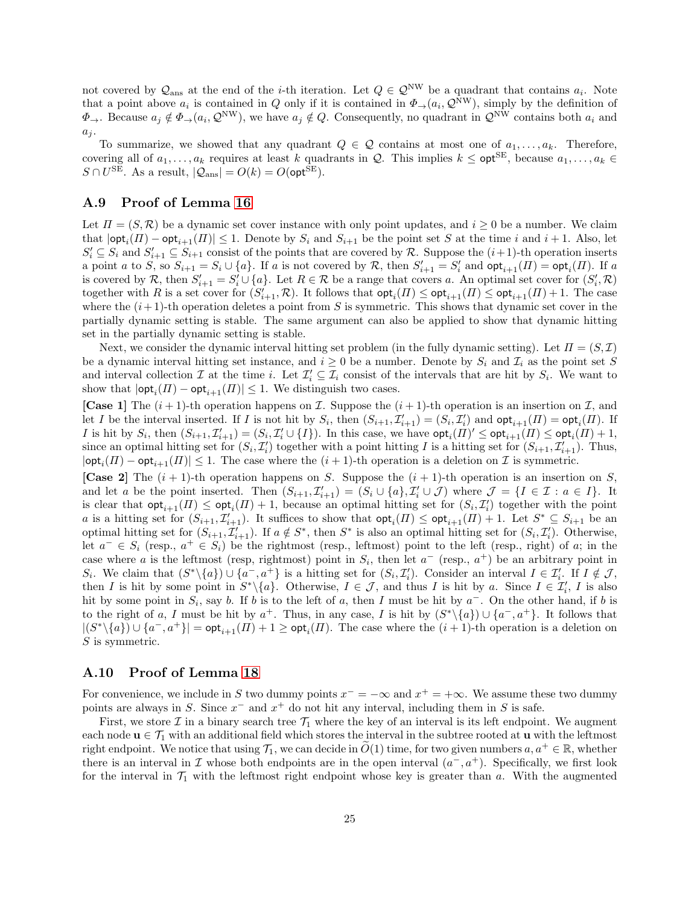not covered by  $\mathcal{Q}_{\text{ans}}$  at the end of the *i*-th iteration. Let  $Q \in \mathcal{Q}^{\text{NW}}$  be a quadrant that contains  $a_i$ . Note that a point above  $a_i$  is contained in Q only if it is contained in  $\Phi_\to(a_i, \mathcal{Q}^{\text{NW}})$ , simply by the definition of  $\Phi_{\rightarrow}$ . Because  $a_j \notin \Phi_{\rightarrow}(a_i, \mathcal{Q}^{\text{NW}})$ , we have  $a_j \notin Q$ . Consequently, no quadrant in  $\mathcal{Q}^{\text{NW}}$  contains both  $a_i$  and  $a_j$ .

To summarize, we showed that any quadrant  $Q \in \mathcal{Q}$  contains at most one of  $a_1, \ldots, a_k$ . Therefore, covering all of  $a_1, \ldots, a_k$  requires at least k quadrants in Q. This implies  $k \leq \text{opt}^{\text{SE}}$ , because  $a_1, \ldots, a_k \in$  $S \cap U^{\text{SE}}$ . As a result,  $|\mathcal{Q}_{\text{ans}}| = O(k) = O(\text{opt}^{\text{SE}})$ .

#### A.9 Proof of Lemma [16](#page-12-3)

Let  $\Pi = (S, \mathcal{R})$  be a dynamic set cover instance with only point updates, and  $i \geq 0$  be a number. We claim that  $|\textsf{opt}_i(\Pi) - \textsf{opt}_{i+1}(\Pi)| \leq 1$ . Denote by  $S_i$  and  $S_{i+1}$  be the point set S at the time i and  $i+1$ . Also, let  $S_i' \subseteq S_i$  and  $S_{i+1}' \subseteq S_{i+1}$  consist of the points that are covered by R. Suppose the  $(i+1)$ -th operation inserts a point a to S, so  $S_{i+1} = S_i \cup \{a\}$ . If a is not covered by R, then  $S'_{i+1} = S'_i$  and  $\mathsf{opt}_{i+1}(H) = \mathsf{opt}_i(H)$ . If a is covered by R, then  $S'_{i+1} = S'_{i} \cup \{a\}$ . Let  $R \in \mathcal{R}$  be a range that covers a. An optimal set cover for  $(S'_{i}, \mathcal{R})$ together with R is a set cover for  $(S'_{i+1}, \mathcal{R})$ . It follows that  $\mathsf{opt}_i(\Pi) \le \mathsf{opt}_{i+1}(\Pi) \le \mathsf{opt}_{i+1}(\Pi) + 1$ . The case where the  $(i+1)$ -th operation deletes a point from S is symmetric. This shows that dynamic set cover in the partially dynamic setting is stable. The same argument can also be applied to show that dynamic hitting set in the partially dynamic setting is stable.

Next, we consider the dynamic interval hitting set problem (in the fully dynamic setting). Let  $\Pi = (S, \mathcal{I})$ be a dynamic interval hitting set instance, and  $i \geq 0$  be a number. Denote by  $S_i$  and  $\mathcal{I}_i$  as the point set S and interval collection  $\mathcal I$  at the time i. Let  $\mathcal I'_i \subseteq \mathcal I_i$  consist of the intervals that are hit by  $S_i$ . We want to show that  $|\textsf{opt}_i(\Pi) - \textsf{opt}_{i+1}(\Pi)| \leq 1$ . We distinguish two cases.

**[Case 1]** The  $(i + 1)$ -th operation happens on  $\mathcal{I}$ . Suppose the  $(i + 1)$ -th operation is an insertion on  $\mathcal{I}$ , and let I be the interval inserted. If I is not hit by  $S_i$ , then  $(S_{i+1}, \mathcal{I}'_{i+1}) = (S_i, \mathcal{I}'_i)$  and  $\textsf{opt}_{i+1}(H) = \textsf{opt}_i(H)$ . If I is hit by  $S_i$ , then  $(S_{i+1}, \mathcal{I}'_{i+1}) = (S_i, \mathcal{I}'_i \cup \{I\})$ . In this case, we have  $\mathsf{opt}_i(\Pi)' \leq \mathsf{opt}_{i+1}(\Pi) \leq \mathsf{opt}_i(\Pi) + 1$ , since an optimal hitting set for  $(S_i, \mathcal{I}'_i)$  together with a point hitting I is a hitting set for  $(S_{i+1}, \mathcal{I}'_{i+1})$ . Thus,  $|\textsf{opt}_i(\Pi) - \textsf{opt}_{i+1}(\Pi)| \leq 1$ . The case where the  $(i+1)$ -th operation is a deletion on  $\mathcal I$  is symmetric.

[Case 2] The  $(i + 1)$ -th operation happens on S. Suppose the  $(i + 1)$ -th operation is an insertion on S, and let a be the point inserted. Then  $(S_{i+1}, \mathcal{I}'_{i+1}) = (S_i \cup \{a\}, \mathcal{I}'_i \cup \mathcal{J})$  where  $\mathcal{J} = \{I \in \mathcal{I} : a \in I\}$ . It is clear that  $\textsf{opt}_{i+1}(H) \le \textsf{opt}_{i}(H) + 1$ , because an optimal hitting set for  $(S_i, \mathcal{I}'_i)$  together with the point a is a hitting set for  $(S_{i+1}, \mathcal{I}'_{i+1})$ . It suffices to show that  $\mathsf{opt}_i(\Pi) \le \mathsf{opt}_{i+1}(\Pi) + 1$ . Let  $S^* \subseteq S_{i+1}$  be an optimal hitting set for  $(S_{i+1}, \mathcal{I}'_{i+1})$ . If  $a \notin S^*$ , then  $S^*$  is also an optimal hitting set for  $(S_i, \mathcal{I}'_i)$ . Otherwise, let  $a^- \in S_i$  (resp.,  $a^+ \in S_i$ ) be the rightmost (resp., leftmost) point to the left (resp., right) of a; in the case where a is the leftmost (resp, rightmost) point in  $S_i$ , then let  $a^-$  (resp.,  $a^+$ ) be an arbitrary point in  $S_i$ . We claim that  $(S^*\setminus\{a\})\cup\{a^-,a^+\}$  is a hitting set for  $(S_i,\mathcal{I}'_i)$ . Consider an interval  $I\in\mathcal{I}'_i$ . If  $I\notin\mathcal{J}$ , then I is hit by some point in  $S^*\backslash\{a\}$ . Otherwise,  $I \in \mathcal{J}$ , and thus I is hit by a. Since  $I \in \mathcal{I}'_i$ , I is also hit by some point in  $S_i$ , say b. If b is to the left of a, then I must be hit by  $a^-$ . On the other hand, if b is to the right of a, I must be hit by  $a^+$ . Thus, in any case, I is hit by  $(S^*\setminus\{a\})\cup\{a^-,a^+\}$ . It follows that  $|(S^*\setminus\{a\}) \cup \{a^-,a^+\}| = \mathsf{opt}_{i+1}(H) + 1 \geq \mathsf{opt}_i(H)$ . The case where the  $(i+1)$ -th operation is a deletion on S is symmetric.

## A.10 Proof of Lemma [18](#page-12-4)

For convenience, we include in S two dummy points  $x^- = -\infty$  and  $x^+ = +\infty$ . We assume these two dummy points are always in S. Since  $x^-$  and  $x^+$  do not hit any interval, including them in S is safe.

First, we store  $\mathcal I$  in a binary search tree  $\mathcal T_1$  where the key of an interval is its left endpoint. We augment each node  $u \in \mathcal{T}_1$  with an additional field which stores the interval in the subtree rooted at u with the leftmost right endpoint. We notice that using  $\mathcal{T}_1$ , we can decide in  $\tilde{O}(1)$  time, for two given numbers  $a, a^+ \in \mathbb{R}$ , whether there is an interval in  $\mathcal I$  whose both endpoints are in the open interval  $(a^-, a^+)$ . Specifically, we first look for the interval in  $\mathcal{T}_1$  with the leftmost right endpoint whose key is greater than a. With the augmented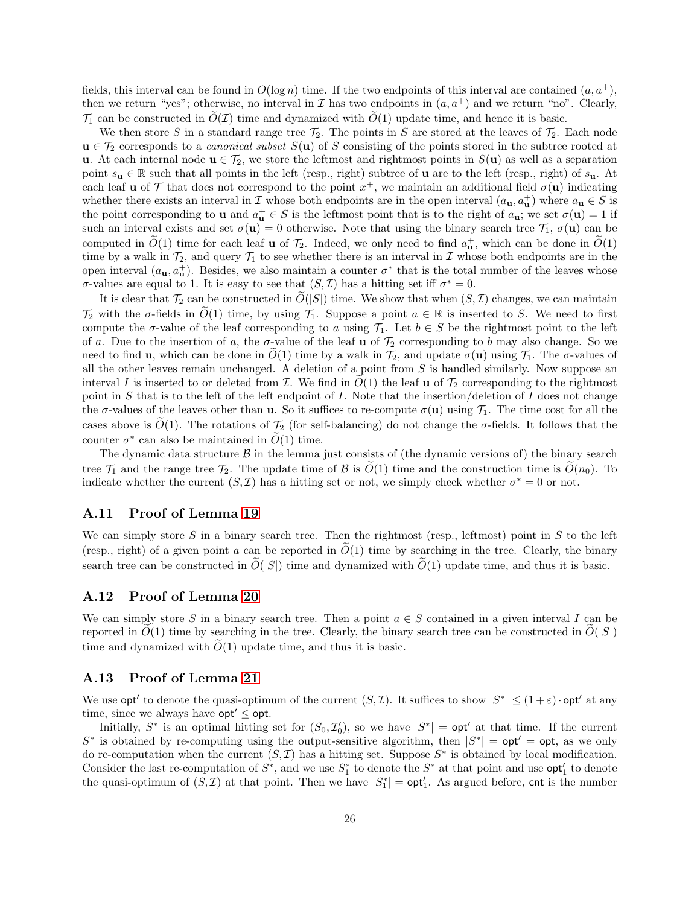fields, this interval can be found in  $O(\log n)$  time. If the two endpoints of this interval are contained  $(a, a<sup>+</sup>)$ , then we return "yes"; otherwise, no interval in  $\mathcal I$  has two endpoints in  $(a, a^+)$  and we return "no". Clearly,  $\mathcal{T}_1$  can be constructed in  $\tilde{O}(\mathcal{I})$  time and dynamized with  $\tilde{O}(1)$  update time, and hence it is basic.

We then store S in a standard range tree  $\mathcal{T}_2$ . The points in S are stored at the leaves of  $\mathcal{T}_2$ . Each node  $u \in \mathcal{T}_2$  corresponds to a *canonical subset*  $S(u)$  of S consisting of the points stored in the subtree rooted at u. At each internal node  $u \in \mathcal{T}_2$ , we store the leftmost and rightmost points in  $S(u)$  as well as a separation point  $s_u \in \mathbb{R}$  such that all points in the left (resp., right) subtree of **u** are to the left (resp., right) of  $s_u$ . At each leaf **u** of T that does not correspond to the point  $x^+$ , we maintain an additional field  $\sigma(\mathbf{u})$  indicating whether there exists an interval in  $\mathcal I$  whose both endpoints are in the open interval  $(a_{\mathbf{u}}, a_{\mathbf{u}}^+)$  where  $a_{\mathbf{u}} \in S$  is the point corresponding to **u** and  $a_{\mathbf{u}}^+ \in S$  is the leftmost point that is to the right of  $a_{\mathbf{u}}$ ; we set  $\sigma(\mathbf{u}) = 1$  if such an interval exists and set  $\sigma(\mathbf{u}) = 0$  otherwise. Note that using the binary search tree  $\mathcal{T}_1$ ,  $\sigma(\mathbf{u})$  can be computed in  $\tilde{O}(1)$  time for each leaf **u** of  $\mathcal{T}_2$ . Indeed, we only need to find  $a_{\mathbf{u}}^+$ , which can be done in  $\tilde{O}(1)$ time by a walk in  $\mathcal{T}_2$ , and query  $\mathcal{T}_1$  to see whether there is an interval in I whose both endpoints are in the open interval  $(a_{\mathbf{u}}, a_{\mathbf{u}}^+)$ . Besides, we also maintain a counter  $\sigma^*$  that is the total number of the leaves whose σ-values are equal to 1. It is easy to see that  $(S, I)$  has a hitting set iff  $\sigma^* = 0$ .

It is clear that  $\mathcal{T}_2$  can be constructed in  $O(|S|)$  time. We show that when  $(S, \mathcal{I})$  changes, we can maintain  $\mathcal{T}_2$  with the  $\sigma$ -fields in  $\tilde{O}(1)$  time, by using  $\mathcal{T}_1$ . Suppose a point  $a \in \mathbb{R}$  is inserted to S. We need to first compute the  $\sigma$ -value of the leaf corresponding to a using  $\mathcal{T}_1$ . Let  $b \in S$  be the rightmost point to the left of a. Due to the insertion of a, the  $\sigma$ -value of the leaf **u** of  $\mathcal{T}_2$  corresponding to b may also change. So we need to find **u**, which can be done in  $O(1)$  time by a walk in  $\mathcal{T}_2$ , and update  $\sigma(\mathbf{u})$  using  $\mathcal{T}_1$ . The  $\sigma$ -values of all the other leaves remain unchanged. A deletion of a point from  $S$  is handled similarly. Now suppose an interval I is inserted to or deleted from  $\mathcal I$ . We find in  $O(1)$  the leaf u of  $\mathcal T_2$  corresponding to the rightmost point in S that is to the left of the left endpoint of I. Note that the insertion/deletion of I does not change the  $\sigma$ -values of the leaves other than **u**. So it suffices to re-compute  $\sigma(\mathbf{u})$  using  $\mathcal{T}_1$ . The time cost for all the cases above is  $O(1)$ . The rotations of  $\mathcal{T}_2$  (for self-balancing) do not change the  $\sigma$ -fields. It follows that the counter  $\sigma^*$  can also be maintained in  $\widetilde{O}(1)$  time.

The dynamic data structure  $\beta$  in the lemma just consists of (the dynamic versions of) the binary search tree  $\mathcal{T}_1$  and the range tree  $\mathcal{T}_2$ . The update time of B is  $\tilde{O}(1)$  time and the construction time is  $\tilde{O}(n_0)$ . To indicate whether the current  $(S, \mathcal{I})$  has a hitting set or not, we simply check whether  $\sigma^* = 0$  or not.

#### A.11 Proof of Lemma [19](#page-12-1)

We can simply store S in a binary search tree. Then the rightmost (resp., leftmost) point in S to the left (resp., right) of a given point a can be reported in  $O(1)$  time by searching in the tree. Clearly, the binary search tree can be constructed in  $\tilde{O}(|S|)$  time and dynamized with  $\tilde{O}(1)$  update time, and thus it is basic.

### A.12 Proof of Lemma [20](#page-12-2)

We can simply store S in a binary search tree. Then a point  $a \in S$  contained in a given interval I can be reported in  $O(1)$  time by searching in the tree. Clearly, the binary search tree can be constructed in  $O(|S|)$ time and dynamized with  $\tilde{O}(1)$  update time, and thus it is basic.

### A.13 Proof of Lemma [21](#page-13-0)

We use  $\mathsf{opt}'$  to denote the quasi-optimum of the current  $(S, \mathcal{I})$ . It suffices to show  $|S^*| \leq (1+\varepsilon) \cdot \mathsf{opt}'$  at any time, since we always have  $opt' \leq opt$ .

Initially,  $S^*$  is an optimal hitting set for  $(S_0, \mathcal{I}'_0)$ , so we have  $|S^*| = \mathsf{opt}'$  at that time. If the current S<sup>\*</sup> is obtained by re-computing using the output-sensitive algorithm, then  $|S^*| = \mathsf{opt}' = \mathsf{opt}$ , as we only do re-computation when the current  $(S, \mathcal{I})$  has a hitting set. Suppose  $S^*$  is obtained by local modification. Consider the last re-computation of  $S^*$ , and we use  $S_1^*$  to denote the  $S^*$  at that point and use  $\mathsf{opt}'_1$  to denote the quasi-optimum of  $(S, \mathcal{I})$  at that point. Then we have  $|S_1^*| = \mathsf{opt}'_1$ . As argued before, cnt is the number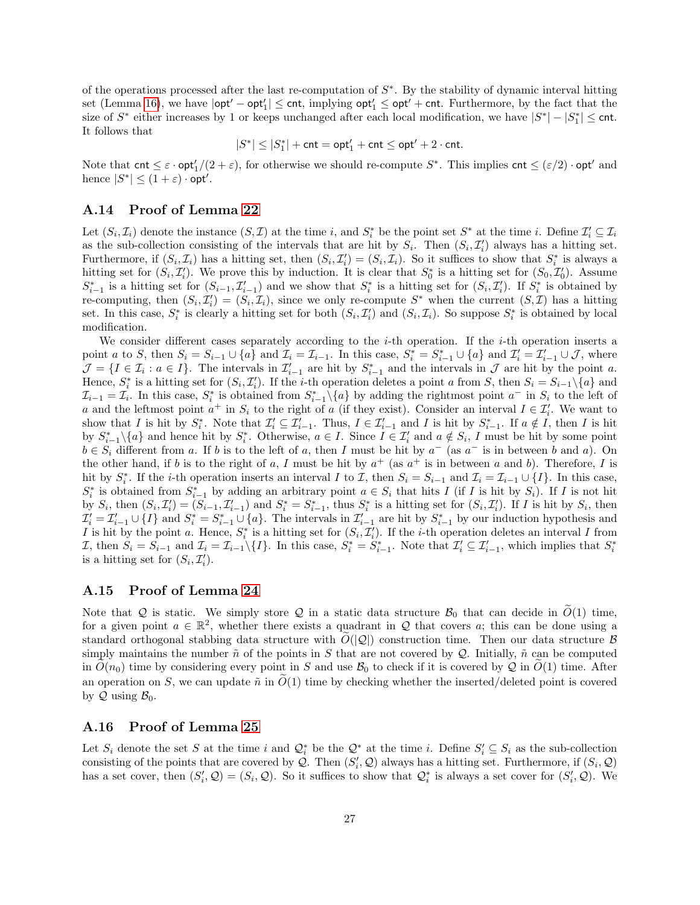of the operations processed after the last re-computation of  $S^*$ . By the stability of dynamic interval hitting  $\text{set (Lemma 16), we have } |\textsf{opt}' - \textsf{opt}'_1| \le \textsf{cnt}, \text{ implying } \textsf{opt}'_1 \le \textsf{opt}' + \textsf{cnt}.$  $\text{set (Lemma 16), we have } |\textsf{opt}' - \textsf{opt}'_1| \le \textsf{cnt}, \text{ implying } \textsf{opt}'_1 \le \textsf{opt}' + \textsf{cnt}.$  $\text{set (Lemma 16), we have } |\textsf{opt}' - \textsf{opt}'_1| \le \textsf{cnt}, \text{ implying } \textsf{opt}'_1 \le \textsf{opt}' + \textsf{cnt}.$  Furthermore, by the fact that the size of  $S^*$  either increases by 1 or keeps unchanged after each local modification, we have  $|S^*| - |S_1^*| \leq \text{cnt}$ . It follows that

$$
|S^*| \leq |S_1^*| + \mathsf{cnt} = \mathsf{opt}'_1 + \mathsf{cnt} \leq \mathsf{opt}' + 2 \cdot \mathsf{cnt}.
$$

Note that  $\text{cnt} \leq \varepsilon \cdot \text{opt}'_1/(2+\varepsilon)$ , for otherwise we should re-compute  $S^*$ . This implies  $\text{cnt} \leq (\varepsilon/2) \cdot \text{opt}'$  and hence  $|S^*| \leq (1 + \varepsilon) \cdot \mathsf{opt}'.$ 

## A.14 Proof of Lemma [22](#page-13-1)

Let  $(S_i, \mathcal{I}_i)$  denote the instance  $(S, \mathcal{I})$  at the time i, and  $S_i^*$  be the point set  $S^*$  at the time i. Define  $\mathcal{I}'_i \subseteq \mathcal{I}_i$ as the sub-collection consisting of the intervals that are hit by  $S_i$ . Then  $(S_i, \mathcal{I}'_i)$  always has a hitting set. Furthermore, if  $(S_i, \mathcal{I}_i)$  has a hitting set, then  $(S_i, \mathcal{I}'_i) = (S_i, \mathcal{I}_i)$ . So it suffices to show that  $S_i^*$  is always a hitting set for  $(S_i, \mathcal{I}'_i)$ . We prove this by induction. It is clear that  $S_0^*$  is a hitting set for  $(S_0, \mathcal{I}'_0)$ . Assume  $S_{i-1}^*$  is a hitting set for  $(S_{i-1}, \mathcal{I}_{i-1}')$  and we show that  $S_i^*$  is a hitting set for  $(S_i, \mathcal{I}_i')$ . If  $S_i^*$  is obtained by re-computing, then  $(S_i, \mathcal{I}'_i) = (S_i, \mathcal{I}_i)$ , since we only re-compute  $S^*$  when the current  $(S, \mathcal{I})$  has a hitting set. In this case,  $S_i^*$  is clearly a hitting set for both  $(S_i, \mathcal{I}'_i)$  and  $(S_i, \mathcal{I}_i)$ . So suppose  $S_i^*$  is obtained by local modification.

We consider different cases separately according to the  $i$ -th operation. If the  $i$ -th operation inserts a point a to S, then  $S_i = S_{i-1} \cup \{a\}$  and  $\mathcal{I}_i = \mathcal{I}_{i-1}$ . In this case,  $S_i^* = S_{i-1}^* \cup \{a\}$  and  $\mathcal{I}'_i = \mathcal{I}'_{i-1} \cup \mathcal{J}$ , where  $\mathcal{J} = \{I \in \mathcal{I}_i : a \in I\}.$  The intervals in  $\mathcal{I}'_{i-1}$  are hit by  $S^*_{i-1}$  and the intervals in  $\mathcal{J}$  are hit by the point a. Hence,  $S_i^*$  is a hitting set for  $(S_i, \mathcal{I}'_i)$ . If the *i*-th operation deletes a point a from S, then  $S_i = S_{i-1} \setminus \{a\}$  and  $\mathcal{I}_{i-1} = \mathcal{I}_i$ . In this case,  $S_i^*$  is obtained from  $S_{i-1}^* \setminus \{a\}$  by adding the rightmost point  $a^-$  in  $S_i$  to the left of a and the leftmost point  $a^+$  in  $S_i$  to the right of a (if they exist). Consider an interval  $I \in \mathcal{I}'_i$ . We want to show that I is hit by  $S_i^*$ . Note that  $\mathcal{I}'_i \subseteq \mathcal{I}'_{i-1}$ . Thus,  $I \in \mathcal{I}'_{i-1}$  and I is hit by  $S_{i-1}^*$ . If  $a \notin I$ , then I is hit by  $S_{i-1}^*\setminus\{a\}$  and hence hit by  $S_i^*$ . Otherwise,  $a \in I$ . Since  $I \in \mathcal{I}'_i$  and  $a \notin S_i$ , I must be hit by some point  $b \in S_i$  different from a. If b is to the left of a, then I must be hit by  $a^-$  (as  $a^-$  is in between b and a). On the other hand, if b is to the right of a, I must be hit by  $a^+$  (as  $a^+$  is in between a and b). Therefore, I is hit by  $S_i^*$ . If the *i*-th operation inserts an interval I to I, then  $S_i = S_{i-1}$  and  $\mathcal{I}_i = \mathcal{I}_{i-1} \cup \{I\}$ . In this case,  $S_i^*$  is obtained from  $S_{i-1}^*$  by adding an arbitrary point  $a \in S_i$  that hits I (if I is hit by  $S_i$ ). If I is not hit by  $S_i$ , then  $(S_i, \mathcal{I}'_i) = (S_{i-1}, \mathcal{I}'_{i-1})$  and  $S_i^* = S_{i-1}^*$ , thus  $S_i^*$  is a hitting set for  $(S_i, \mathcal{I}'_i)$ . If I is hit by  $S_i$ , then  $\mathcal{I}'_i = \mathcal{I}'_{i-1} \cup \{I\}$  and  $S_i^* = S_{i-1}^* \cup \{a\}$ . The intervals in  $\mathcal{I}'_{i-1}$  are hit by  $S_{i-1}^*$  by our induction hypothesis and I is hit by the point a. Hence,  $S_i^*$  is a hitting set for  $(S_i, \mathcal{I}'_i)$ . If the *i*-th operation deletes an interval I from I, then  $S_i = S_{i-1}$  and  $\mathcal{I}_i = \mathcal{I}_{i-1} \setminus \{I\}$ . In this case,  $S_i^* = S_{i-1}^*$ . Note that  $\mathcal{I}'_i \subseteq \mathcal{I}'_{i-1}$ , which implies that  $S_i^*$ is a hitting set for  $(S_i, \mathcal{I}'_i)$ .

## A.15 Proof of Lemma [24](#page-14-0)

Note that Q is static. We simply store Q in a static data structure  $\mathcal{B}_0$  that can decide in  $O(1)$  time, for a given point  $a \in \mathbb{R}^2$ , whether there exists a quadrant in Q that covers a; this can be done using a standard orthogonal stabbing data structure with  $O(|\mathcal{Q}|)$  construction time. Then our data structure  $\beta$ simply maintains the number  $\tilde{n}$  of the points in S that are not covered by Q. Initially,  $\tilde{n}$  can be computed in  $O(n_0)$  time by considering every point in S and use  $\mathcal{B}_0$  to check if it is covered by Q in  $O(1)$  time. After an operation on S, we can update  $\tilde{n}$  in  $O(1)$  time by checking whether the inserted/deleted point is covered by  $\mathcal Q$  using  $\mathcal B_0$ .

#### A.16 Proof of Lemma [25](#page-14-1)

Let  $S_i$  denote the set S at the time i and  $\mathcal{Q}_i^*$  be the  $\mathcal{Q}^*$  at the time i. Define  $S_i' \subseteq S_i$  as the sub-collection consisting of the points that are covered by  $Q$ . Then  $(S'_i, Q)$  always has a hitting set. Furthermore, if  $(S_i, Q)$ has a set cover, then  $(S_i, Q) = (S_i, Q)$ . So it suffices to show that  $Q_i^*$  is always a set cover for  $(S_i, Q)$ . We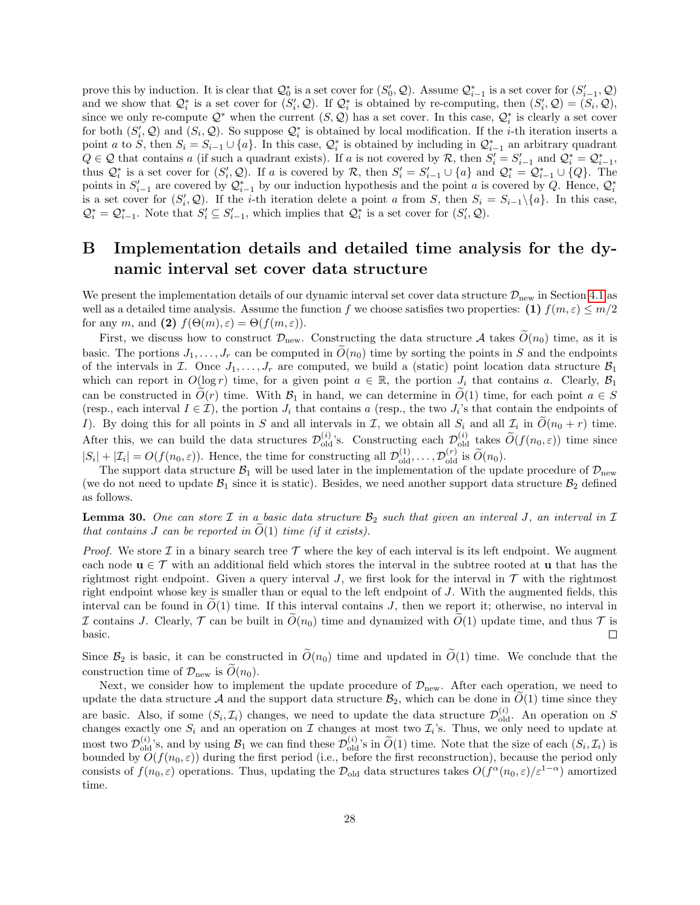prove this by induction. It is clear that  $\mathcal{Q}_0^*$  is a set cover for  $(S'_0, \mathcal{Q})$ . Assume  $\mathcal{Q}_{i-1}^*$  is a set cover for  $(S'_{i-1}, \mathcal{Q})$ and we show that  $\mathcal{Q}_i^*$  is a set cover for  $(S_i', \mathcal{Q})$ . If  $\mathcal{Q}_i^*$  is obtained by re-computing, then  $(S_i', \mathcal{Q}) = (S_i, \mathcal{Q})$ , since we only re-compute  $\mathcal{Q}^*$  when the current  $(S, \mathcal{Q})$  has a set cover. In this case,  $\mathcal{Q}_i^*$  is clearly a set cover for both  $(S'_i, Q)$  and  $(S_i, Q)$ . So suppose  $Q_i^*$  is obtained by local modification. If the *i*-th iteration inserts a point a to S, then  $S_i = S_{i-1} \cup \{a\}$ . In this case,  $\mathcal{Q}_i^*$  is obtained by including in  $\mathcal{Q}_{i-1}^*$  an arbitrary quadrant  $Q \in \mathcal{Q}$  that contains a (if such a quadrant exists). If a is not covered by R, then  $S_i' = S_{i-1}'$  and  $\mathcal{Q}_i^* = \mathcal{Q}_{i-1}^*$ , thus  $\mathcal{Q}_i^*$  is a set cover for  $(S_i', \mathcal{Q})$ . If a is covered by R, then  $S_i' = S_{i-1}' \cup \{a\}$  and  $\mathcal{Q}_i^* = \mathcal{Q}_{i-1}^* \cup \{Q\}$ . The points in  $S'_{i-1}$  are covered by  $\mathcal{Q}_{i-1}^*$  by our induction hypothesis and the point a is covered by Q. Hence,  $\mathcal{Q}_i^*$ is a set cover for  $(S_i, \mathcal{Q})$ . If the *i*-th iteration delete a point a from S, then  $S_i = S_{i-1} \setminus \{a\}$ . In this case,  $\mathcal{Q}_{i}^{*} = \mathcal{Q}_{i-1}^{*}$ . Note that  $S'_{i} \subseteq S'_{i-1}$ , which implies that  $\mathcal{Q}_{i}^{*}$  is a set cover for  $(S'_{i}, \mathcal{Q})$ .

# <span id="page-27-0"></span>B Implementation details and detailed time analysis for the dynamic interval set cover data structure

We present the implementation details of our dynamic interval set cover data structure  $\mathcal{D}_{\text{new}}$  in Section [4.1](#page-3-3) as well as a detailed time analysis. Assume the function f we choose satisfies two properties: (1)  $f(m,\varepsilon) \leq m/2$ for any m, and (2)  $f(\Theta(m), \varepsilon) = \Theta(f(m, \varepsilon)).$ 

First, we discuss how to construct  $\mathcal{D}_{\text{new}}$ . Constructing the data structure A takes  $\tilde{O}(n_0)$  time, as it is basic. The portions  $J_1, \ldots, J_r$  can be computed in  $\widetilde{O}(n_0)$  time by sorting the points in S and the endpoints of the intervals in I. Once  $J_1, \ldots, J_r$  are computed, we build a (static) point location data structure  $\mathcal{B}_1$ which can report in  $O(\log r)$  time, for a given point  $a \in \mathbb{R}$ , the portion  $J_i$  that contains a. Clearly,  $\mathcal{B}_1$ can be constructed in  $\tilde{O}(r)$  time. With  $\mathcal{B}_1$  in hand, we can determine in  $\tilde{O}(1)$  time, for each point  $a \in S$ (resp., each interval  $I \in \mathcal{I}$ ), the portion  $J_i$  that contains a (resp., the two  $J_i$ 's that contain the endpoints of I). By doing this for all points in S and all intervals in T, we obtain all  $S_i$  and all  $\mathcal{I}_i$  in  $O(n_0 + r)$  time. After this, we can build the data structures  $\mathcal{D}_{old}^{(i)}$ 's. Constructing each  $\mathcal{D}_{old}^{(i)}$  takes  $\tilde{O}(f(n_0, \varepsilon))$  time since  $|S_i| + |\mathcal{I}_i| = O(f(n_0, \varepsilon))$ . Hence, the time for constructing all  $\mathcal{D}_{old}^{(1)}, \ldots, \mathcal{D}_{old}^{(r)}$  is  $\widetilde{O}(n_0)$ .

The support data structure  $\mathcal{B}_1$  will be used later in the implementation of the update procedure of  $\mathcal{D}_{new}$ (we do not need to update  $\mathcal{B}_1$  since it is static). Besides, we need another support data structure  $\mathcal{B}_2$  defined as follows.

**Lemma 30.** One can store  $\mathcal I$  in a basic data structure  $\mathcal B_2$  such that given an interval J, an interval in  $\mathcal I$ that contains  $J$  can be reported in  $O(1)$  time (if it exists).

*Proof.* We store  $\mathcal I$  in a binary search tree  $\mathcal T$  where the key of each interval is its left endpoint. We augment each node  $\mathbf{u} \in \mathcal{T}$  with an additional field which stores the interval in the subtree rooted at **u** that has the rightmost right endpoint. Given a query interval J, we first look for the interval in  $\mathcal T$  with the rightmost right endpoint whose key is smaller than or equal to the left endpoint of J. With the augmented fields, this interval can be found in  $O(1)$  time. If this interval contains J, then we report it; otherwise, no interval in I contains J. Clearly,  $\mathcal T$  can be built in  $\tilde{O}(n_0)$  time and dynamized with  $\tilde{O}(1)$  update time, and thus  $\mathcal T$  is basic. basic.

Since  $\mathcal{B}_2$  is basic, it can be constructed in  $\widetilde{O}(n_0)$  time and updated in  $\widetilde{O}(1)$  time. We conclude that the construction time of  $\mathcal{D}_{\text{new}}$  is  $\tilde{O}(n_0)$ .

Next, we consider how to implement the update procedure of  $\mathcal{D}_{\text{new}}$ . After each operation, we need to update the data structure A and the support data structure  $\mathcal{B}_2$ , which can be done in  $O(1)$  time since they are basic. Also, if some  $(S_i, \mathcal{I}_i)$  changes, we need to update the data structure  $\mathcal{D}_{old}^{(i)}$ . An operation on S changes exactly one  $S_i$  and an operation on  $\mathcal I$  changes at most two  $\mathcal I_i$ 's. Thus, we only need to update at most two  $\mathcal{D}_{old}^{(i)}$ 's, and by using  $\mathcal{B}_1$  we can find these  $\mathcal{D}_{old}^{(i)}$ 's in  $\widetilde{O}(1)$  time. Note that the size of each  $(S_i, \mathcal{I}_i)$  is bounded by  $O(f(n_0, \varepsilon))$  during the first period (i.e., before the first reconstruction), because the period only consists of  $f(n_0, \varepsilon)$  operations. Thus, updating the  $\mathcal{D}_{old}$  data structures takes  $O(f^{\alpha}(n_0, \varepsilon)/\varepsilon^{1-\alpha})$  amortized time.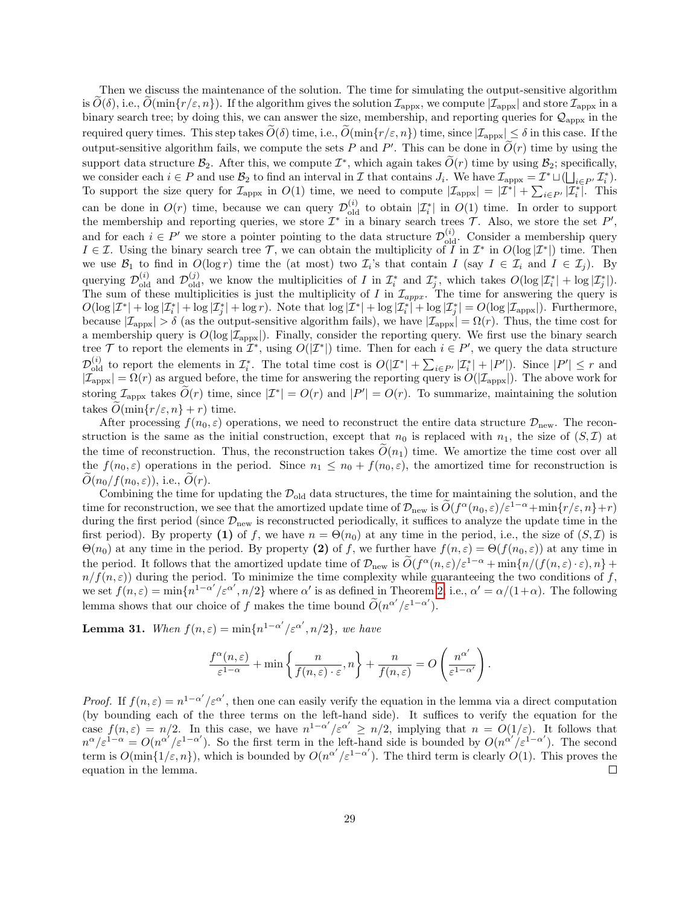Then we discuss the maintenance of the solution. The time for simulating the output-sensitive algorithm is  $O(\delta)$ , i.e.,  $O(\min\{r/\varepsilon, n\})$ . If the algorithm gives the solution  $\mathcal{I}_{\text{appx}}$ , we compute  $|\mathcal{I}_{\text{appx}}|$  and store  $\mathcal{I}_{\text{appx}}$  in a binary search tree; by doing this, we can answer the size, membership, and reporting queries for  $\mathcal{Q}_{\text{approx}}$  in the required query times. This step takes  $\tilde{O}(\delta)$  time, i.e.,  $\tilde{O}(\min\{r/\varepsilon, n\})$  time, since  $|\mathcal{I}_{\text{appx}}| \leq \delta$  in this case. If the output-sensitive algorithm fails, we compute the sets P and P'. This can be done in  $\widetilde{O}(r)$  time by using the support data structure  $\mathcal{B}_2$ . After this, we compute  $\mathcal{I}^*$ , which again takes  $\widetilde{O}(r)$  time by using  $\mathcal{B}_2$ ; specifically, we consider each  $i \in P$  and use  $\mathcal{B}_2$  to find an interval in  $\mathcal I$  that contains  $J_i$ . We have  $\mathcal I_{\text{appx}} = \mathcal I^* \sqcup (\bigsqcup_{i \in P'} \mathcal I_i^*)$ . To support the size query for  $\mathcal{I}_{\text{appx}}$  in  $O(1)$  time, we need to compute  $|\mathcal{I}_{\text{appx}}| = |\mathcal{I}^*| + \sum_{i \in P'} |\mathcal{I}_i^*|$ . This can be done in  $O(r)$  time, because we can query  $\mathcal{D}_{old}^{(i)}$  to obtain  $|\mathcal{I}_i^*|$  in  $O(1)$  time. In order to support the membership and reporting queries, we store  $\mathcal{I}^*$  in a binary search trees  $\mathcal{T}$ . Also, we store the set  $P'$ , and for each  $i \in P'$  we store a pointer pointing to the data structure  $\mathcal{D}_{old}^{(i)}$ . Consider a membership query  $I \in \mathcal{I}$ . Using the binary search tree  $\mathcal{T}$ , we can obtain the multiplicity of  $\overline{I}$  in  $\mathcal{I}^*$  in  $O(\log |\mathcal{I}^*|)$  time. Then we use  $\mathcal{B}_1$  to find in  $O(\log r)$  time the (at most) two  $\mathcal{I}_i$ 's that contain  $I$  (say  $I \in \mathcal{I}_i$  and  $I \in \mathcal{I}_j$ ). By querying  $\mathcal{D}_{old}^{(i)}$  and  $\mathcal{D}_{old}^{(j)}$ , we know the multiplicities of I in  $\mathcal{I}_i^*$  and  $\mathcal{I}_j^*$ , which takes  $O(\log |\mathcal{I}_i^*| + \log |\mathcal{I}_j^*|)$ . The sum of these multiplicities is just the multiplicity of I in  $\mathcal{I}_{appx}$ . The time for answering the query is  $O(\log |\mathcal{I}^*| + \log |\mathcal{I}^*_i| + \log |\mathcal{I}^*_j| + \log r)$ . Note that  $\log |\mathcal{I}^*| + \log |\mathcal{I}^*_i| + \log |\mathcal{I}^*_j| = O(\log |\mathcal{I}_{\text{appx}}|)$ . Furthermore, because  $|\mathcal{I}_{\text{appx}}| > \delta$  (as the output-sensitive algorithm fails), we have  $|\mathcal{I}_{\text{appx}}| = \Omega(r)$ . Thus, the time cost for a membership query is  $O(\log |\mathcal{I}_{\text{appx}}|)$ . Finally, consider the reporting query. We first use the binary search tree T to report the elements in  $\mathcal{I}^*$ , using  $O(|\mathcal{I}^*|)$  time. Then for each  $i \in P'$ , we query the data structure  $\mathcal{D}_{\text{old}}^{(i)}$  to report the elements in  $\mathcal{I}_{i}^{*}$ . The total time cost is  $O(|\mathcal{I}^{*}| + \sum_{i \in P'} |\mathcal{I}_{i}^{*}| + |P'|)$ . Since  $|P'| \leq r$  and  $|\mathcal{I}_{\text{appx}}| = \Omega(r)$  as argued before, the time for answering the reporting query is  $O(|\mathcal{I}_{\text{appx}}|)$ . The above work for storing  $\mathcal{I}_{\text{appx}}$  takes  $\tilde{O}(r)$  time, since  $|\mathcal{I}^*| = O(r)$  and  $|P'| = O(r)$ . To summarize, maintaining the solution takes  $O(\min\{r/\varepsilon, n\} + r)$  time.

After processing  $f(n_0, \varepsilon)$  operations, we need to reconstruct the entire data structure  $\mathcal{D}_{\text{new}}$ . The reconstruction is the same as the initial construction, except that  $n_0$  is replaced with  $n_1$ , the size of  $(S,\mathcal{I})$  at the time of reconstruction. Thus, the reconstruction takes  $\tilde{O}(n_1)$  time. We amortize the time cost over all the  $f(n_0, \varepsilon)$  operations in the period. Since  $n_1 \leq n_0 + f(n_0, \varepsilon)$ , the amortized time for reconstruction is  $\tilde{O}(n_0/f(n_0,\varepsilon))$ , i.e.,  $\tilde{O}(r)$ .

Combining the time for updating the  $\mathcal{D}_{old}$  data structures, the time for maintaining the solution, and the time for reconstruction, we see that the amortized update time of  $\mathcal{D}_{\text{new}}$  is  $\widetilde{O}(f^{\alpha}(n_0,\varepsilon)/\varepsilon^{1-\alpha}+\min\{r/\varepsilon,n\}+r)$ during the first period (since  $\mathcal{D}_{new}$  is reconstructed periodically, it suffices to analyze the update time in the first period). By property (1) of f, we have  $n = \Theta(n_0)$  at any time in the period, i.e., the size of  $(S, \mathcal{I})$  is  $\Theta(n_0)$  at any time in the period. By property (2) of f, we further have  $f(n,\varepsilon) = \Theta(f(n_0,\varepsilon))$  at any time in the period. It follows that the amortized update time of  $\mathcal{D}_{\text{new}}$  is  $\widetilde{O}(f^{\alpha}(n,\varepsilon)/\varepsilon^{1-\alpha} + \min\{n/(f(n,\varepsilon)\cdot\varepsilon),n\} +$  $n/f(n, \varepsilon)$  during the period. To minimize the time complexity while guaranteeing the two conditions of f, we set  $f(n,\varepsilon) = \min\{n^{1-\alpha'}/\varepsilon^{\alpha'}, n/2\}$  where  $\alpha'$  is as defined in Theorem [2,](#page-4-1) i.e.,  $\alpha' = \alpha/(1+\alpha)$ . The following lemma shows that our choice of f makes the time bound  $\widetilde{O}(n^{\alpha'}/\varepsilon^{1-\alpha'})$ .

**Lemma 31.** When  $f(n,\varepsilon) = \min\{n^{1-\alpha'}/\varepsilon^{\alpha'}, n/2\}$ , we have

$$
\frac{f^{\alpha}(n,\varepsilon)}{\varepsilon^{1-\alpha}} + \min\left\{\frac{n}{f(n,\varepsilon)\cdot\varepsilon},n\right\} + \frac{n}{f(n,\varepsilon)} = O\left(\frac{n^{\alpha'}}{\varepsilon^{1-\alpha'}}\right).
$$

Proof. If  $f(n,\varepsilon) = n^{1-\alpha'}/\varepsilon^{\alpha'}$ , then one can easily verify the equation in the lemma via a direct computation (by bounding each of the three terms on the left-hand side). It suffices to verify the equation for the case  $f(n,\varepsilon) = n/2$ . In this case, we have  $n^{1-\alpha'}/\varepsilon^{\alpha'} \ge n/2$ , implying that  $n = O(1/\varepsilon)$ . It follows that  $n^{\alpha}/\varepsilon^{1-\alpha} = O(n^{\alpha'}/\varepsilon^{1-\alpha'})$ . So the first term in the left-hand side is bounded by  $O(n^{\alpha'}/\varepsilon^{1-\alpha'})$ . The second term is  $O(\min\{1/\varepsilon,n\})$ , which is bounded by  $O(n^{\alpha'}/\varepsilon^{1-\alpha'})$ . The third term is clearly  $O(1)$ . This proves the equation in the lemma.  $\Box$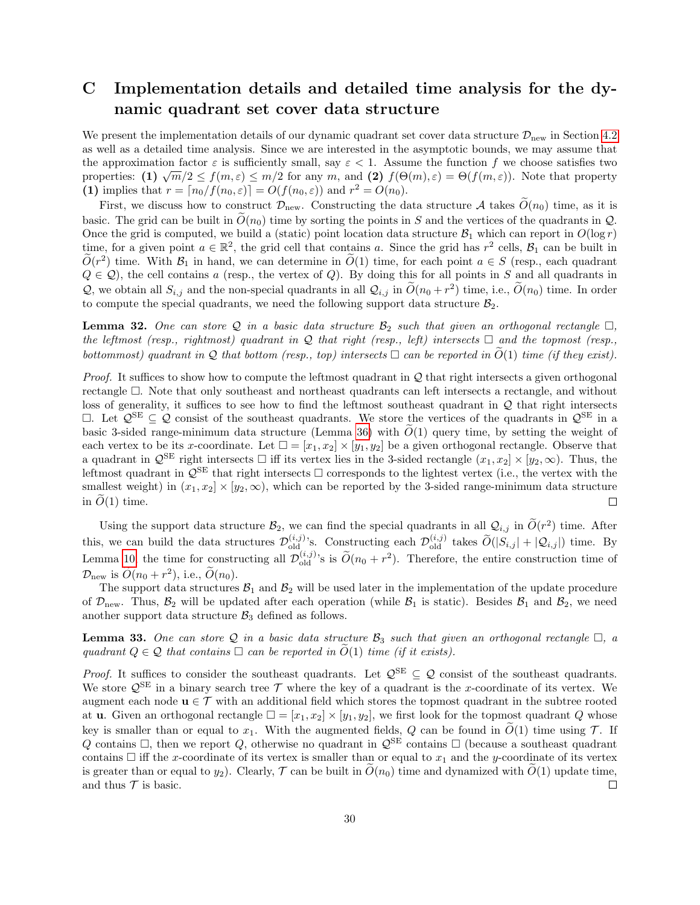# <span id="page-29-0"></span>C Implementation details and detailed time analysis for the dynamic quadrant set cover data structure

We present the implementation details of our dynamic quadrant set cover data structure  $\mathcal{D}_{\text{new}}$  in Section [4.2](#page-6-1) as well as a detailed time analysis. Since we are interested in the asymptotic bounds, we may assume that the approximation factor  $\varepsilon$  is sufficiently small, say  $\varepsilon < 1$ . Assume the function f we choose satisfies two properties: (1)  $\sqrt{m}/2 \le f(m,\varepsilon) \le m/2$  for any m, and (2)  $f(\Theta(m),\varepsilon) = \Theta(f(m,\varepsilon))$ . Note that property (1) implies that  $r = \lfloor n_0/f(n_0, \varepsilon) \rfloor = O(f(n_0, \varepsilon))$  and  $r^2 = O(n_0)$ .

First, we discuss how to construct  $\mathcal{D}_{\text{new}}$ . Constructing the data structure A takes  $\tilde{O}(n_0)$  time, as it is basic. The grid can be built in  $\tilde{O}(n_0)$  time by sorting the points in S and the vertices of the quadrants in Q. Once the grid is computed, we build a (static) point location data structure  $\mathcal{B}_1$  which can report in  $O(\log r)$ time, for a given point  $a \in \mathbb{R}^2$ , the grid cell that contains a. Since the grid has  $r^2$  cells,  $\mathcal{B}_1$  can be built in  $\widetilde{O}(r^2)$  time. With  $\mathcal{B}_1$  in hand, we can determine in  $\widetilde{O}(1)$  time, for each point  $a \in S$  (resp., each quadrant  $Q \in \mathcal{Q}$ , the cell contains a (resp., the vertex of  $Q$ ). By doing this for all points in S and all quadrants in Q, we obtain all  $S_{i,j}$  and the non-special quadrants in all  $\mathcal{Q}_{i,j}$  in  $\widetilde{O}(n_0 + r^2)$  time, i.e.,  $\widetilde{O}(n_0)$  time. In order to compute the special quadrants, we need the following support data structure  $B_2$ .

**Lemma 32.** One can store Q in a basic data structure  $\mathcal{B}_2$  such that given an orthogonal rectangle  $\Box$ , the leftmost (resp., rightmost) quadrant in Q that right (resp., left) intersects  $\Box$  and the topmost (resp., bottommost) quadrant in Q that bottom (resp., top) intersects  $\Box$  can be reported in  $\widetilde{O}(1)$  time (if they exist).

*Proof.* It suffices to show how to compute the leftmost quadrant in  $Q$  that right intersects a given orthogonal rectangle  $\Box$ . Note that only southeast and northeast quadrants can left intersects a rectangle, and without loss of generality, it suffices to see how to find the leftmost southeast quadrant in Q that right intersects  $□$ . Let  $\mathcal{Q}^{\text{SE}} \subseteq \mathcal{Q}$  consist of the southeast quadrants. We store the vertices of the quadrants in  $\mathcal{Q}^{\text{SE}}$  in a basic 3-sided range-minimum data structure (Lemma [36\)](#page-34-0) with  $O(1)$  query time, by setting the weight of each vertex to be its x-coordinate. Let  $\square = [x_1, x_2] \times [y_1, y_2]$  be a given orthogonal rectangle. Observe that a quadrant in  $\mathcal{Q}^{\text{SE}}$  right intersects  $\Box$  iff its vertex lies in the 3-sided rectangle  $(x_1, x_2] \times [y_2, \infty)$ . Thus, the leftmost quadrant in  $\mathcal{Q}^{\text{SE}}$  that right intersects  $\Box$  corresponds to the lightest vertex (i.e., the vertex with the smallest weight) in  $(x_1, x_2] \times [y_2, \infty)$ , which can be reported by the 3-sided range-minimum data structure in  $\ddot{O}(1)$  time.  $\Box$ 

Using the support data structure  $\mathcal{B}_2$ , we can find the special quadrants in all  $\mathcal{Q}_{i,j}$  in  $\tilde{O}(r^2)$  time. After this, we can build the data structures  $\mathcal{D}_{old}^{(i,j)}$ 's. Constructing each  $\mathcal{D}_{old}^{(i,j)}$  takes  $\widetilde{O}(|S_{i,j}| + |\mathcal{Q}_{i,j}|)$  time. By Lemma [10,](#page-9-2) the time for constructing all  $\mathcal{D}_{old}^{(i,j)}$ 's is  $\tilde{O}(n_0 + r^2)$ . Therefore, the entire construction time of  $\mathcal{D}_{\text{new}}$  is  $\widetilde{O}(n_0 + r^2)$ , i.e.,  $\widetilde{O}(n_0)$ .

The support data structures  $B_1$  and  $B_2$  will be used later in the implementation of the update procedure of  $\mathcal{D}_{\text{new}}$ . Thus,  $\mathcal{B}_2$  will be updated after each operation (while  $\mathcal{B}_1$  is static). Besides  $\mathcal{B}_1$  and  $\mathcal{B}_2$ , we need another support data structure  $\mathcal{B}_3$  defined as follows.

**Lemma 33.** One can store Q in a basic data structure  $\mathcal{B}_3$  such that given an orthogonal rectangle  $\Box$ , a quadrant  $Q \in \mathcal{Q}$  that contains  $\Box$  can be reported in  $O(1)$  time (if it exists).

*Proof.* It suffices to consider the southeast quadrants. Let  $\mathcal{Q}^{\text{SE}} \subseteq \mathcal{Q}$  consist of the southeast quadrants. We store  $\mathcal{Q}^{\text{SE}}$  in a binary search tree  $\mathcal T$  where the key of a quadrant is the x-coordinate of its vertex. We augment each node  $\mathbf{u} \in \mathcal{T}$  with an additional field which stores the topmost quadrant in the subtree rooted at **u**. Given an orthogonal rectangle  $\square = [x_1, x_2] \times [y_1, y_2]$ , we first look for the topmost quadrant Q whose key is smaller than or equal to  $x_1$ . With the augmented fields, Q can be found in  $\tilde{O}(1)$  time using T. If Q contains  $\Box$ , then we report Q, otherwise no quadrant in  $\mathcal{Q}^{\text{SE}}$  contains  $\Box$  (because a southeast quadrant contains  $\Box$  iff the x-coordinate of its vertex is smaller than or equal to  $x_1$  and the y-coordinate of its vertex is greater than or equal to  $y_2$ ). Clearly,  $\mathcal T$  can be built in  $O(n_0)$  time and dynamized with  $O(1)$  update time, and thus  $\mathcal T$  is basic. and thus  $\mathcal T$  is basic.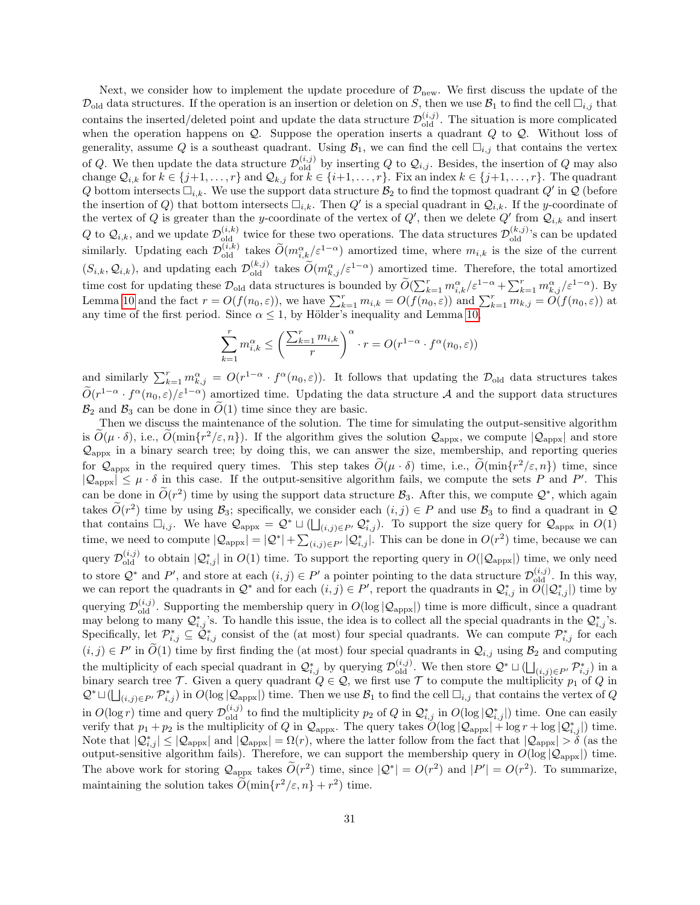Next, we consider how to implement the update procedure of  $\mathcal{D}_{\text{new}}$ . We first discuss the update of the  $\mathcal{D}_{old}$  data structures. If the operation is an insertion or deletion on S, then we use  $\mathcal{B}_1$  to find the cell  $\Box_{i,j}$  that contains the inserted/deleted point and update the data structure  $\mathcal{D}_{old}^{(i,j)}$ . The situation is more complicated when the operation happens on  $Q$ . Suppose the operation inserts a quadrant  $Q$  to  $Q$ . Without loss of generality, assume Q is a southeast quadrant. Using  $\mathcal{B}_1$ , we can find the cell  $\Box_{i,j}$  that contains the vertex of Q. We then update the data structure  $\mathcal{D}_{old}^{(i,j)}$  by inserting Q to  $\mathcal{Q}_{i,j}$ . Besides, the insertion of Q may also change  $\mathcal{Q}_{i,k}$  for  $k \in \{j+1,\ldots,r\}$  and  $\mathcal{Q}_{k,j}$  for  $k \in \{i+1,\ldots,r\}$ . Fix an index  $k \in \{j+1,\ldots,r\}$ . The quadrant Q bottom intersects  $\Box_{i,k}$ . We use the support data structure  $\mathcal{B}_2$  to find the topmost quadrant Q' in Q (before the insertion of Q) that bottom intersects  $\Box_{i,k}$ . Then Q' is a special quadrant in  $\mathcal{Q}_{i,k}$ . If the y-coordinate of the vertex of Q is greater than the y-coordinate of the vertex of  $Q'$ , then we delete  $Q'$  from  $\mathcal{Q}_{i,k}$  and insert Q to  $\mathcal{Q}_{i,k}$ , and we update  $\mathcal{D}_{old}^{(i,k)}$  twice for these two operations. The data structures  $\mathcal{D}_{old}^{(k,j)}$ 's can be updated similarly. Updating each  $\mathcal{D}_{old}^{(i,k)}$  takes  $\widetilde{O}(m_{i,k}^{\alpha}/\varepsilon^{1-\alpha})$  amortized time, where  $m_{i,k}$  is the size of the current  $(S_{i,k}, \mathcal{Q}_{i,k})$ , and updating each  $\mathcal{D}_{old}^{(k,j)}$  takes  $\widetilde{O}(m_{k,j}^{\alpha}/\varepsilon^{1-\alpha})$  amortized time. Therefore, the total amortized time cost for updating these  $\mathcal{D}_{old}$  data structures is bounded by  $\widetilde{O}(\sum_{k=1}^r m_{i,k}^{\alpha}/\varepsilon^{1-\alpha} + \sum_{k=1}^r m_{k,j}^{\alpha}/\varepsilon^{1-\alpha})$ . By Lemma [10](#page-9-2) and the fact  $r = O(f(n_0, \varepsilon))$ , we have  $\sum_{k=1}^r m_{i,k} = O(f(n_0, \varepsilon))$  and  $\sum_{k=1}^r m_{k,j} = O(f(n_0, \varepsilon))$  at any time of the first period. Since  $\alpha \leq 1$ , by Hölder's inequality and Lemma [10,](#page-9-2)

$$
\sum_{k=1}^{r} m_{i,k}^{\alpha} \le \left(\frac{\sum_{k=1}^{r} m_{i,k}}{r}\right)^{\alpha} \cdot r = O(r^{1-\alpha} \cdot f^{\alpha}(n_0, \varepsilon))
$$

and similarly  $\sum_{k=1}^r m_{k,j}^{\alpha} = O(r^{1-\alpha} \cdot f^{\alpha}(n_0, \varepsilon))$ . It follows that updating the  $\mathcal{D}_{old}$  data structures takes  $\widetilde{O}(r^{1-\alpha} \cdot f^{\alpha}(n_0, \varepsilon)/\varepsilon^{1-\alpha})$  amortized time. Updating the data structure A and the support data structures  $\mathcal{B}_2$  and  $\mathcal{B}_3$  can be done in  $\tilde{O}(1)$  time since they are basic.

Then we discuss the maintenance of the solution. The time for simulating the output-sensitive algorithm is  $\widetilde{O}(\mu \cdot \delta)$ , i.e.,  $\widetilde{O}(\min\{r^2/\varepsilon, n\})$ . If the algorithm gives the solution  $\mathcal{Q}_{\text{appx}}$ , we compute  $|\mathcal{Q}_{\text{appx}}|$  and store  $\mathcal{Q}_{\text{approx}}$  in a binary search tree; by doing this, we can answer the size, membership, and reporting queries for  $\mathcal{Q}_{\text{appx}}$  in the required query times. This step takes  $\tilde{O}(\mu \cdot \delta)$  time, i.e.,  $\tilde{O}(\min\{r^2/\varepsilon, n\})$  time, since  $|Q_{\text{appx}}| \leq \mu \cdot \delta$  in this case. If the output-sensitive algorithm fails, we compute the sets P and P'. This can be done in  $\tilde{O}(r^2)$  time by using the support data structure  $\mathcal{B}_3$ . After this, we compute  $\mathcal{Q}^*$ , which again takes  $\widetilde{O}(r^2)$  time by using  $\mathcal{B}_3$ ; specifically, we consider each  $(i, j) \in P$  and use  $\mathcal{B}_3$  to find a quadrant in  $\mathcal{Q}$ that contains  $\Box_{i,j}$ . We have  $\mathcal{Q}_{\text{approx}} = \mathcal{Q}^* \sqcup (\bigsqcup_{(i,j)\in P'} \mathcal{Q}_{i,j}^*$ ). To support the size query for  $\mathcal{Q}_{\text{approx}}$  in  $O(1)$ time, we need to compute  $|Q_{\text{appx}}| = |Q^*| + \sum_{(i,j) \in P'} |Q^*_{i,j}|$ . This can be done in  $O(r^2)$  time, because we can query  $\mathcal{D}_{old}^{(i,j)}$  to obtain  $|\mathcal{Q}_{i,j}^*|$  in  $O(1)$  time. To support the reporting query in  $O(|\mathcal{Q}_{appx}|)$  time, we only need to store  $\mathcal{Q}^*$  and  $P'$ , and store at each  $(i, j) \in P'$  a pointer pointing to the data structure  $\mathcal{D}_{old}^{(i,j)}$ . In this way, we can report the quadrants in  $\mathcal{Q}^*$  and for each  $(i, j) \in P'$ , report the quadrants in  $\mathcal{Q}_{i,j}^*$  in  $\widetilde{O(|\mathcal{Q}_{i,j}^*)}$  time by querying  $\mathcal{D}_{old}^{(i,j)}$ . Supporting the membership query in  $O(log|Q_{appx}|)$  time is more difficult, since a quadrant may belong to many  $\mathcal{Q}_{i,j}^*$ 's. To handle this issue, the idea is to collect all the special quadrants in the  $\mathcal{Q}_{i,j}^*$ 's. Specifically, let  $\mathcal{P}_{i,j}^* \subseteq \tilde{\mathcal{Q}}_{i,j}^*$  consist of the (at most) four special quadrants. We can compute  $\mathcal{P}_{i,j}^*$  for each  $(i, j) \in P'$  in  $\widetilde{O}(1)$  time by first finding the (at most) four special quadrants in  $\mathcal{Q}_{i,j}$  using  $\mathcal{B}_2$  and computing the multiplicity of each special quadrant in  $\mathcal{Q}_{i,j}^*$  by querying  $\mathcal{D}_{old}^{(i,j)}$ . We then store  $\mathcal{Q}^* \sqcup (\bigsqcup_{(i,j) \in P'} \mathcal{P}_{i,j}^*)$  in a binary search tree T. Given a query quadrant  $Q \in \mathcal{Q}$ , we first use T to compute the multiplicity  $p_1$  of Q in  $\mathcal{Q}^* \sqcup (\bigsqcup_{(i,j)\in P'} \mathcal{P}_{i,j}^* )$  in  $O(\log |\mathcal{Q}_{\text{appx}}|)$  time. Then we use  $\mathcal{B}_1$  to find the cell  $\Box_{i,j}$  that contains the vertex of  $Q$ in  $O(\log r)$  time and query  $\mathcal{D}_{old}^{(i,j)}$  to find the multiplicity  $p_2$  of Q in  $\mathcal{Q}_{i,j}^*$  in  $O(\log |\mathcal{Q}_{i,j}^*|)$  time. One can easily verify that  $p_1 + p_2$  is the multiplicity of Q in  $\mathcal{Q}_{\text{appx}}$ . The query takes  $\mathcal{O}(\log |\mathcal{Q}_{\text{appx}}| + \log r + \log |\mathcal{Q}_{i,j}^*|)$  time. Note that  $|\mathcal{Q}_{i,j}^*| \leq |\mathcal{Q}_{\text{approx}}|$  and  $|\mathcal{Q}_{\text{approx}}| = \Omega(r)$ , where the latter follow from the fact that  $|\mathcal{Q}_{\text{approx}}| > \delta$  (as the output-sensitive algorithm fails). Therefore, we can support the membership query in  $O(\log |Q_{\text{appx}}|)$  time. The above work for storing  $\mathcal{Q}_{\text{appx}}$  takes  $\tilde{O}(r^2)$  time, since  $|\mathcal{Q}^*| = O(r^2)$  and  $|P'| = O(r^2)$ . To summarize, maintaining the solution takes  $\widetilde{O}(\min\{r^2/\varepsilon, n\} + r^2)$  time.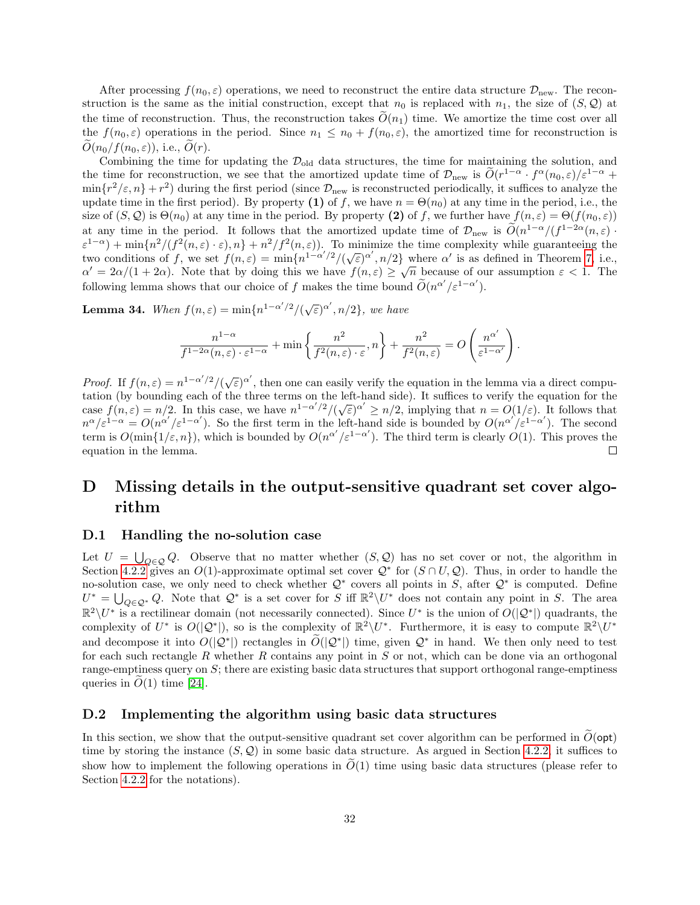After processing  $f(n_0, \varepsilon)$  operations, we need to reconstruct the entire data structure  $\mathcal{D}_{\text{new}}$ . The reconstruction is the same as the initial construction, except that  $n_0$  is replaced with  $n_1$ , the size of  $(S, \mathcal{Q})$  at the time of reconstruction. Thus, the reconstruction takes  $\widetilde{O}(n_1)$  time. We amortize the time cost over all the  $f(n_0, \varepsilon)$  operations in the period. Since  $n_1 \leq n_0 + f(n_0, \varepsilon)$ , the amortized time for reconstruction is  $O(n_0/f(n_0, \varepsilon))$ , i.e.,  $O(r)$ .

Combining the time for updating the  $\mathcal{D}_{old}$  data structures, the time for maintaining the solution, and the time for reconstruction, we see that the amortized update time of  $\mathcal{D}_{\text{new}}$  is  $\tilde{O}(r^{1-\alpha} \cdot f^{\alpha}(n_0, \varepsilon)/\varepsilon^{1-\alpha} +$  $\min\{r^2/\varepsilon, n\} + r^2$  during the first period (since  $\mathcal{D}_{\text{new}}$  is reconstructed periodically, it suffices to analyze the update time in the first period). By property (1) of f, we have  $n = \Theta(n_0)$  at any time in the period, i.e., the size of  $(S, \mathcal{Q})$  is  $\Theta(n_0)$  at any time in the period. By property (2) of f, we further have  $f(n, \varepsilon) = \Theta(f(n_0, \varepsilon))$ at any time in the period. It follows that the amortized update time of  $\mathcal{D}_{\text{new}}$  is  $\widetilde{O}(n^{1-\alpha}/(f^{1-2\alpha}(n,\varepsilon)))$  $\varepsilon^{1-\alpha}$ ) + min $\{n^2/(f^2(n,\varepsilon)\cdot\varepsilon),n\}$  +  $n^2/f^2(n,\varepsilon)$ ). To minimize the time complexity while guaranteeing the  $\epsilon$  =  $\gamma$  + min<sub>{n</sub> /(j (n, ε) · ε), n} + n /j (n, ε). To minimize the time complexity while guaranteeing the<br>two conditions of f, we set  $f(n,\epsilon) = \min\{n^{1-\alpha'/2}/(\sqrt{\epsilon})^{\alpha'}, n/2\}$  where  $\alpha'$  is as defined in Theorem [7,](#page-7-2) i.e.,  $\alpha' = 2\alpha/(1+2\alpha)$ . Note that by doing this we have  $f(n,\varepsilon) \geq \sqrt{n}$  because of our assumption  $\varepsilon < 1$ . The following lemma shows that our choice of f makes the time bound  $\widetilde{O}(n^{\alpha'}/\varepsilon^{1-\alpha'})$ .

**Lemma 34.** When  $f(n,\varepsilon) = \min\{n^{1-\alpha'/2}/(\sqrt{\varepsilon})^{\alpha'}, n/2\}$ , we have

$$
\frac{n^{1-\alpha}}{f^{1-2\alpha}(n,\varepsilon)\cdot\varepsilon^{1-\alpha}} + \min\left\{\frac{n^2}{f^2(n,\varepsilon)\cdot\varepsilon},n\right\} + \frac{n^2}{f^2(n,\varepsilon)} = O\left(\frac{n^{\alpha'}}{\varepsilon^{1-\alpha'}}\right).
$$

*Proof.* If  $f(n,\varepsilon) = n^{1-\alpha'/2}/(\sqrt{\varepsilon})^{\alpha'}$ , then one can easily verify the equation in the lemma via a direct computation (by bounding each of the three terms on the left-hand side). It suffices to verify the equation for the case  $f(n,\varepsilon) = n/2$ . In this case, we have  $n^{1-\alpha'/2}/(\sqrt{\varepsilon})^{\alpha'} \ge n/2$ , implying that  $n = O(1/\varepsilon)$ . It follows that  $n^{\alpha}/\varepsilon^{1-\alpha} = O(n^{\alpha'}/\varepsilon^{1-\alpha'})$ . So the first term in the left-hand side is bounded by  $O(n^{\alpha'})\varepsilon^{1-\alpha'}$ ). The second term is  $O(\min\{1/\varepsilon,n\})$ , which is bounded by  $O(n^{\alpha'}/\varepsilon^{1-\alpha'})$ . The third term is clearly  $O(1)$ . This proves the equation in the lemma.  $\Box$ 

# D Missing details in the output-sensitive quadrant set cover algorithm

#### <span id="page-31-0"></span>D.1 Handling the no-solution case

Let  $U = \bigcup_{Q \in \mathcal{Q}} Q$ . Observe that no matter whether  $(S, \mathcal{Q})$  has no set cover or not, the algorithm in Section [4.2.2](#page-10-0) gives an  $O(1)$ -approximate optimal set cover  $\mathcal{Q}^*$  for  $(S \cap U, \mathcal{Q})$ . Thus, in order to handle the no-solution case, we only need to check whether  $\mathcal{Q}^*$  covers all points in S, after  $\mathcal{Q}^*$  is computed. Define  $U^* = \bigcup_{Q \in \mathcal{Q}^*} Q$ . Note that  $\mathcal{Q}^*$  is a set cover for S iff  $\mathbb{R}^2 \setminus U^*$  does not contain any point in S. The area  $\mathbb{R}^2 \setminus U^*$  is a rectilinear domain (not necessarily connected). Since  $U^*$  is the union of  $O(|\mathcal{Q}^*|)$  quadrants, the complexity of  $U^*$  is  $O(|\mathcal{Q}^*|)$ , so is the complexity of  $\mathbb{R}^2 \setminus U^*$ . Furthermore, it is easy to compute  $\mathbb{R}^2 \setminus U^*$ and decompose it into  $O(|Q^*|)$  rectangles in  $\widetilde{O}(|Q^*|)$  time, given  $Q^*$  in hand. We then only need to test for each such rectangle R whether R contains any point in  $S$  or not, which can be done via an orthogonal range-emptiness query on S; there are existing basic data structures that support orthogonal range-emptiness queries in  $O(1)$  time [\[24\]](#page-16-14).

#### <span id="page-31-1"></span>D.2 Implementing the algorithm using basic data structures

In this section, we show that the output-sensitive quadrant set cover algorithm can be performed in  $\tilde{O}(\text{opt})$ time by storing the instance  $(S, \mathcal{Q})$  in some basic data structure. As argued in Section [4.2.2,](#page-10-0) it suffices to show how to implement the following operations in  $\tilde{O}(1)$  time using basic data structures (please refer to Section [4.2.2](#page-10-0) for the notations).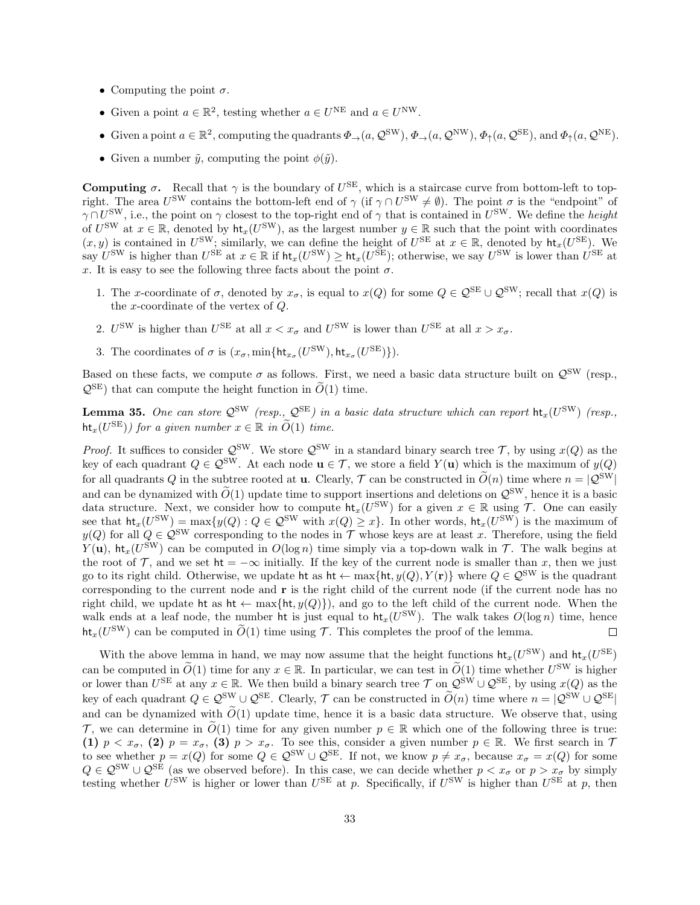- Computing the point  $\sigma$ .
- Given a point  $a \in \mathbb{R}^2$ , testing whether  $a \in U^{\text{NE}}$  and  $a \in U^{\text{NW}}$ .
- Given a point  $a \in \mathbb{R}^2$ , computing the quadrants  $\Phi_{\to}(a, \mathcal{Q}^{\text{SW}}), \Phi_{\to}(a, \mathcal{Q}^{\text{NW}}), \Phi_{\uparrow}(a, \mathcal{Q}^{\text{SE}})$ , and  $\Phi_{\uparrow}(a, \mathcal{Q}^{\text{NE}})$ .
- Given a number  $\tilde{y}$ , computing the point  $\phi(\tilde{y})$ .

**Computing**  $\sigma$ **.** Recall that  $\gamma$  is the boundary of  $U^{SE}$ , which is a staircase curve from bottom-left to topright. The area  $U^{\text{SW}}$  contains the bottom-left end of  $\gamma$  (if  $\gamma \cap U^{\text{SW}} \neq \emptyset$ ). The point  $\sigma$  is the "endpoint" of  $\gamma \cap U^{\text{SW}}$ , i.e., the point on  $\gamma$  closest to the top-right end of  $\gamma$  that is contained in  $U^{\text{SW}}$ . We define the *height* of  $U^{\text{SW}}$  at  $x \in \mathbb{R}$ , denoted by  $\text{ht}_x(U^{\text{SW}})$ , as the largest number  $y \in \mathbb{R}$  such that the point with coordinates  $(x, y)$  is contained in  $U^{\text{SW}}$ ; similarly, we can define the height of  $U^{\text{SE}}$  at  $x \in \mathbb{R}$ , denoted by  $\mathsf{ht}_x(U^{\text{SE}})$ . We  $\mathcal{L}^{\text{SW}}$  is higher than  $U^{\text{SE}}$  at  $x \in \mathbb{R}$  if  $\mathsf{ht}_x(U^{\text{SW}}) \geq \mathsf{ht}_x(U^{\text{SE}})$ ; otherwise, we say  $U^{\text{SW}}$  is lower than  $U^{\text{SE}}$  at x. It is easy to see the following three facts about the point  $\sigma$ .

- 1. The x-coordinate of  $\sigma$ , denoted by  $x_{\sigma}$ , is equal to  $x(Q)$  for some  $Q \in \mathcal{Q}^{\text{SE}} \cup \mathcal{Q}^{\text{SW}}$ ; recall that  $x(Q)$  is the x-coordinate of the vertex of Q.
- 2.  $U^{\text{SW}}$  is higher than  $U^{\text{SE}}$  at all  $x < x_{\sigma}$  and  $U^{\text{SW}}$  is lower than  $U^{\text{SE}}$  at all  $x > x_{\sigma}$ .
- 3. The coordinates of  $\sigma$  is  $(x_{\sigma}, \min\{\text{ht}_{x_{\sigma}}(U^{\text{SW}}), \text{ht}_{x_{\sigma}}(U^{\text{SE}})\}).$

Based on these facts, we compute  $\sigma$  as follows. First, we need a basic data structure built on  $\mathcal{Q}^{\text{SW}}$  (resp.,  $\mathcal{Q}^{\text{SE}}$ ) that can compute the height function in  $\widetilde{O}(1)$  time.

<span id="page-32-0"></span>**Lemma 35.** One can store  $Q^{\text{SW}}$  (resp.,  $Q^{\text{SE}}$ ) in a basic data structure which can report  $\text{ht}_x(U^{\text{SW}})$  (resp.,  $\mathsf{ht}_x(U^{\text{SE}})$  for a given number  $x \in \mathbb{R}$  in  $\widetilde{O}(1)$  time.

*Proof.* It suffices to consider  $\mathcal{Q}^{\text{SW}}$ . We store  $\mathcal{Q}^{\text{SW}}$  in a standard binary search tree  $\mathcal{T}$ , by using  $x(Q)$  as the key of each quadrant  $Q \in \mathcal{Q}^{\text{SW}}$ . At each node  $\mathbf{u} \in \mathcal{T}$ , we store a field  $Y(\mathbf{u})$  which is the maximum of  $y(Q)$ for all quadrants Q in the subtree rooted at **u**. Clearly,  $\mathcal{T}$  can be constructed in  $\tilde{O}(n)$  time where  $n = |Q^{SW}|$ and can be dynamized with  $\tilde{O}(1)$  update time to support insertions and deletions on  $\mathcal{Q}^{\text{SW}}$ , hence it is a basic data structure. Next, we consider how to compute  $\text{ht}_x(U^{\text{SW}})$  for a given  $x \in \mathbb{R}$  using  $\mathcal{T}$ . One can easily see that  $\text{ht}_x(U^{\text{SW}}) = \max\{y(Q): Q \in \mathcal{Q}^{\text{SW}} \text{ with } x(Q) \geq x\}.$  In other words,  $\text{ht}_x(U^{\text{SW}})$  is the maximum of  $y(Q)$  for all  $Q \in \mathcal{Q}^{\text{SW}}$  corresponding to the nodes in T whose keys are at least x. Therefore, using the field  $Y(\mathbf{u})$ , ht<sub>x</sub>( $U^{\text{SW}}$ ) can be computed in  $O(\log n)$  time simply via a top-down walk in  $\mathcal{T}$ . The walk begins at the root of T, and we set  $\mathsf{ht} = -\infty$  initially. If the key of the current node is smaller than x, then we just go to its right child. Otherwise, we update ht as  $\mathsf{ht} \leftarrow \max{\{\mathsf{ht}, y(Q), Y(\mathbf{r})\}}$  where  $Q \in \mathcal{Q}^{\text{SW}}$  is the quadrant corresponding to the current node and r is the right child of the current node (if the current node has no right child, we update ht as ht  $\leftarrow$  max{ht, y(Q)}), and go to the left child of the current node. When the walk ends at a leaf node, the number ht is just equal to  $\mathsf{ht}_x(U^{\text{SW}})$ . The walk takes  $O(\log n)$  time, hence  $\hat{\text{ht}}_x(U^{\text{SW}})$  can be computed in  $\tilde{O}(1)$  time using  $\mathcal{T}$ . This completes the proof of the lemma.  $\Box$ 

With the above lemma in hand, we may now assume that the height functions  $\mathsf{ht}_x(U^{\text{SW}})$  and  $\mathsf{ht}_x(U^{\text{SE}})$ can be computed in  $\widetilde{O}(1)$  time for any  $x \in \mathbb{R}$ . In particular, we can test in  $\widetilde{O}(1)$  time whether  $U^{\text{SW}}$  is higher or lower than  $U^{\text{SE}}$  at any  $x \in \mathbb{R}$ . We then build a binary search tree  $\mathcal{T}$  on  $\mathcal{Q}^{\text{SW}} \cup \mathcal{Q}^{\text{SE}}$ , by using  $x(Q)$  as the key of each quadrant  $Q \in \mathcal{Q}^{\text{SW}} \cup \mathcal{Q}^{\text{SE}}$ . Clearly,  $\mathcal{T}$  can be constructed in  $\widetilde{O}(n)$  time where  $n = |Q^{\text{SW}} \cup Q^{\text{SE}}|$ and can be dynamized with  $\tilde{O}(1)$  update time, hence it is a basic data structure. We observe that, using T, we can determine in  $\tilde{O}(1)$  time for any given number  $p \in \mathbb{R}$  which one of the following three is true: (1)  $p < x_{\sigma}$ , (2)  $p = x_{\sigma}$ , (3)  $p > x_{\sigma}$ . To see this, consider a given number  $p \in \mathbb{R}$ . We first search in 7 to see whether  $p = x(Q)$  for some  $Q \in \mathcal{Q}^{\text{SW}} \cup \mathcal{Q}^{\text{SE}}$ . If not, we know  $p \neq x_{\sigma}$ , because  $x_{\sigma} = x(Q)$  for some  $Q \in \mathcal{Q}^{\text{SW}} \cup \mathcal{Q}^{\text{SE}}$  (as we observed before). In this case, we can decide whether  $p < x_{\sigma}$  or  $p > x_{\sigma}$  by simply testing whether  $U^{\text{SW}}$  is higher or lower than  $U^{\text{SE}}$  at p. Specifically, if  $U^{\text{SW}}$  is higher than  $U^{\text{SE}}$  at p, then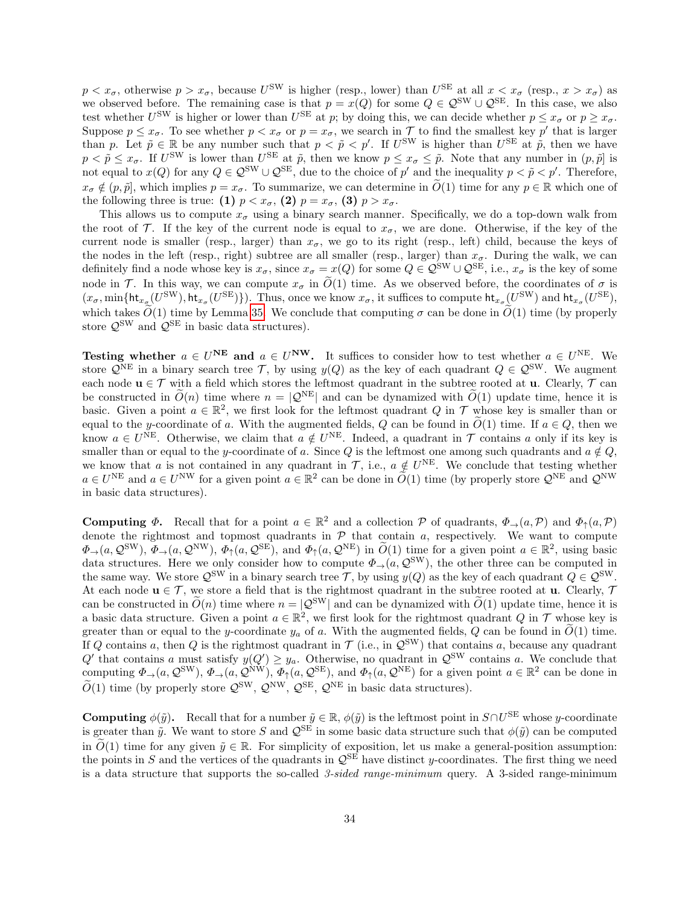$p < x_{\sigma}$ , otherwise  $p > x_{\sigma}$ , because  $U^{\text{SW}}$  is higher (resp., lower) than  $U^{\text{SE}}$  at all  $x < x_{\sigma}$  (resp.,  $x > x_{\sigma}$ ) as we observed before. The remaining case is that  $p = x(Q)$  for some  $Q \in \mathcal{Q}^{\text{SW}} \cup \mathcal{Q}^{\text{SE}}$ . In this case, we also test whether  $U^{\text{SW}}$  is higher or lower than  $U^{\text{SE}}$  at p; by doing this, we can decide whether  $p \le x_{\sigma}$  or  $p \ge x_{\sigma}$ . Suppose  $p \leq x_{\sigma}$ . To see whether  $p < x_{\sigma}$  or  $p = x_{\sigma}$ , we search in  $\mathcal{T}$  to find the smallest key  $p'$  that is larger than p. Let  $\tilde{p} \in \mathbb{R}$  be any number such that  $p < \tilde{p} < p'$ . If  $U^{\text{SW}}$  is higher than  $U^{\text{SE}}$  at  $\tilde{p}$ , then we have  $p < \tilde{p} \le x_{\sigma}$ . If  $U^{\text{SW}}$  is lower than  $U^{\text{SE}}$  at  $\tilde{p}$ , then we know  $p \le x_{\sigma} \le \tilde{p}$ . Note that any number in  $(p, \tilde{p})$  is not equal to  $x(Q)$  for any  $Q \in \mathcal{Q}^{\text{SW}} \cup \mathcal{Q}^{\text{SE}}$ , due to the choice of  $p'$  and the inequality  $p < \tilde{p} < p'$ . Therefore,  $x_{\sigma} \notin (p, \tilde{p})$ , which implies  $p = x_{\sigma}$ . To summarize, we can determine in  $\tilde{O}(1)$  time for any  $p \in \mathbb{R}$  which one of the following three is true: (1)  $p < x_{\sigma}$ , (2)  $p = x_{\sigma}$ , (3)  $p > x_{\sigma}$ .

This allows us to compute  $x_{\sigma}$  using a binary search manner. Specifically, we do a top-down walk from the root of T. If the key of the current node is equal to  $x_{\sigma}$ , we are done. Otherwise, if the key of the current node is smaller (resp., larger) than  $x_{\sigma}$ , we go to its right (resp., left) child, because the keys of the nodes in the left (resp., right) subtree are all smaller (resp., larger) than  $x_{\sigma}$ . During the walk, we can definitely find a node whose key is  $x_{\sigma}$ , since  $x_{\sigma} = x(Q)$  for some  $Q \in \mathcal{Q}^{\text{SW}} \cup \mathcal{Q}^{\text{SE}}$ , i.e.,  $x_{\sigma}$  is the key of some node in T. In this way, we can compute  $x_{\sigma}$  in  $\tilde{O}(1)$  time. As we observed before, the coordinates of  $\sigma$  is  $(x_{\sigma}, \min\{\text{ht}_{x_{\sigma}}(U^{\text{SW}}), \text{ht}_{x_{\sigma}}(U^{\text{SE}})\}\)$ . Thus, once we know  $x_{\sigma}$ , it suffices to compute  $\text{ht}_{x_{\sigma}}(U^{\text{SW}})$  and  $\text{ht}_{x_{\sigma}}(U^{\text{SE}})$ , which takes  $\tilde{O}(1)$  time by Lemma [35.](#page-32-0) We conclude that computing  $\sigma$  can be done in  $\tilde{O}(1)$  time (by properly store  $\mathcal{Q}^{\text{SW}}$  and  $\mathcal{Q}^{\text{SE}}$  in basic data structures).

Testing whether  $a \in U^{\text{NE}}$  and  $a \in U^{\text{NW}}$ . It suffices to consider how to test whether  $a \in U^{\text{NE}}$ . We store  $\mathcal{Q}^{\text{NE}}$  in a binary search tree T, by using  $y(Q)$  as the key of each quadrant  $Q \in \mathcal{Q}^{\text{SW}}$ . We augment each node  $u \in \mathcal{T}$  with a field which stores the leftmost quadrant in the subtree rooted at u. Clearly,  $\mathcal{T}$  can be constructed in  $\tilde{O}(n)$  time where  $n = |Q^{NE}|$  and can be dynamized with  $\tilde{O}(1)$  update time, hence it is basic. Given a point  $a \in \mathbb{R}^2$ , we first look for the leftmost quadrant Q in T whose key is smaller than or equal to the y-coordinate of a. With the augmented fields, Q can be found in  $O(1)$  time. If  $a \in Q$ , then we know  $a \in U^{\text{NE}}$ . Otherwise, we claim that  $a \notin U^{\text{NE}}$ . Indeed, a quadrant in  $\mathcal T$  contains a only if its key is smaller than or equal to the y-coordinate of a. Since Q is the leftmost one among such quadrants and  $a \notin Q$ , we know that a is not contained in any quadrant in  $\mathcal{T}$ , i.e.,  $a \notin U^{\text{NE}}$ . We conclude that testing whether  $a \in U^{\text{NE}}$  and  $a \in U^{\text{NW}}$  for a given point  $a \in \mathbb{R}^2$  can be done in  $\widetilde{O}(1)$  time (by properly store  $\mathcal{Q}^{\text{NE}}$  and  $\mathcal{Q}^{\text{NW}}$ in basic data structures).

**Computing**  $\Phi$ **.** Recall that for a point  $a \in \mathbb{R}^2$  and a collection  $\mathcal P$  of quadrants,  $\Phi_{\to}(a, \mathcal P)$  and  $\Phi_{\uparrow}(a, \mathcal P)$ denote the rightmost and topmost quadrants in  $P$  that contain  $a$ , respectively. We want to compute  $\Phi_{\rightarrow}(a, \mathcal{Q}^{\text{SW}}), \Phi_{\rightarrow}(a, \mathcal{Q}^{\text{NW}}), \Phi_{\uparrow}(a, \mathcal{Q}^{\text{SE}}), \text{ and } \Phi_{\uparrow}(a, \mathcal{Q}^{\text{NE}}) \text{ in } \widetilde{O}(1) \text{ time for a given point } a \in \mathbb{R}^2, \text{ using basic condition.}$ data structures. Here we only consider how to compute  $\Phi_{\to}(a, \mathcal{Q}^{\text{SW}})$ , the other three can be computed in the same way. We store  $\mathcal{Q}^{\text{SW}}$  in a binary search tree T, by using  $y(Q)$  as the key of each quadrant  $Q \in \mathcal{Q}^{\text{SW}}$ . At each node  $u \in \mathcal{T}$ , we store a field that is the rightmost quadrant in the subtree rooted at **u**. Clearly,  $\mathcal{T}$ can be constructed in  $\tilde{O}(n)$  time where  $n = |Q^{SW}|$  and can be dynamized with  $\tilde{O}(1)$  update time, hence it is a basic data structure. Given a point  $a \in \mathbb{R}^2$ , we first look for the rightmost quadrant Q in T whose key is greater than or equal to the y-coordinate  $y_a$  of a. With the augmented fields, Q can be found in  $\tilde{O}(1)$  time. If Q contains a, then Q is the rightmost quadrant in  $\mathcal{T}$  (i.e., in  $\mathcal{Q}^{\text{SW}}$ ) that contains a, because any quadrant Q' that contains a must satisfy  $y(Q') \geq y_a$ . Otherwise, no quadrant in  $\mathcal{Q}^{\text{SW}}$  contains a. We conclude that computing  $\Phi_{\rightarrow}(a,\mathcal{Q}^{\text{SW}}), \Phi_{\rightarrow}(a,\mathcal{Q}^{\text{NW}}), \Phi_{\uparrow}(a,\mathcal{Q}^{\text{SE}}),$  and  $\Phi_{\uparrow}(a,\mathcal{Q}^{\text{NE}})$  for a given point  $a \in \mathbb{R}^2$  can be done in  $\widetilde{O}(1)$  time (by properly store  $\mathcal{Q}^{\text{SW}}, \mathcal{Q}^{\text{NW}}, \mathcal{Q}^{\text{SE}}, \mathcal{Q}^{\text{NE}}$  in basic data structures).

**Computing**  $\phi(\tilde{y})$ . Recall that for a number  $\tilde{y} \in \mathbb{R}$ ,  $\phi(\tilde{y})$  is the leftmost point in  $S \cap U^{\text{SE}}$  whose y-coordinate is greater than  $\tilde{y}$ . We want to store S and  $\mathcal{Q}^{\text{SE}}$  in some basic data structure such that  $\phi(\tilde{y})$  can be computed in  $\tilde{O}(1)$  time for any given  $\tilde{y} \in \mathbb{R}$ . For simplicity of exposition, let us make a general-position assumption: the points in S and the vertices of the quadrants in  $\mathcal{Q}^{\text{SE}}$  have distinct y-coordinates. The first thing we need is a data structure that supports the so-called  $3$ -sided range-minimum query. A 3-sided range-minimum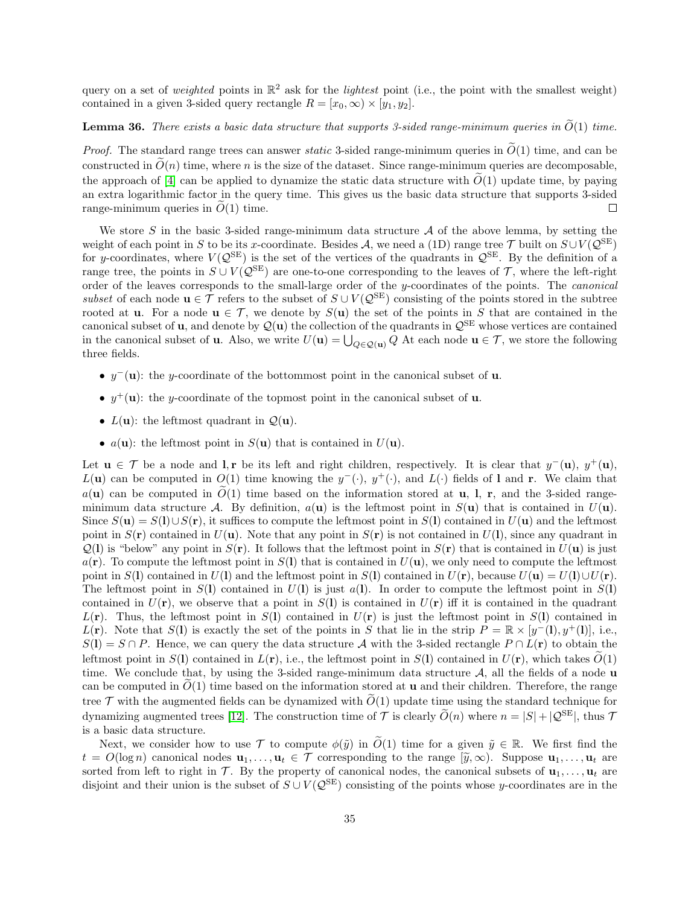query on a set of *weighted* points in  $\mathbb{R}^2$  ask for the *lightest* point (i.e., the point with the smallest weight) contained in a given 3-sided query rectangle  $R = [x_0, \infty) \times [y_1, y_2]$ .

# <span id="page-34-0"></span>**Lemma 36.** There exists a basic data structure that supports 3-sided range-minimum queries in  $\widetilde{O}(1)$  time.

*Proof.* The standard range trees can answer *static* 3-sided range-minimum queries in  $\tilde{O}(1)$  time, and can be constructed in  $\tilde{O}(n)$  time, where n is the size of the dataset. Since range-minimum queries are decomposable. the approach of [\[4\]](#page-15-11) can be applied to dynamize the static data structure with  $\tilde{O}(1)$  update time, by paying an extra logarithmic factor in the query time. This gives us the basic data structure that supports 3-sided range-minimum queries in  $O(1)$  time.  $\Box$ 

We store S in the basic 3-sided range-minimum data structure  $A$  of the above lemma, by setting the weight of each point in S to be its x-coordinate. Besides A, we need a (1D) range tree  $\mathcal T$  built on  $S\cup V(\mathcal Q^{\rm SE})$ for y-coordinates, where  $V(Q^{SE})$  is the set of the vertices of the quadrants in  $Q^{SE}$ . By the definition of a range tree, the points in  $S \cup V(Q^{SE})$  are one-to-one corresponding to the leaves of  $\mathcal{T}$ , where the left-right order of the leaves corresponds to the small-large order of the y-coordinates of the points. The canonical subset of each node  $u \in \mathcal{T}$  refers to the subset of  $S \cup V(\mathcal{Q}^{\text{SE}})$  consisting of the points stored in the subtree rooted at **u**. For a node  $\mathbf{u} \in \mathcal{T}$ , we denote by  $S(\mathbf{u})$  the set of the points in S that are contained in the canonical subset of **u**, and denote by  $\mathcal{Q}(\mathbf{u})$  the collection of the quadrants in  $\mathcal{Q}^{\text{SE}}$  whose vertices are contained in the canonical subset of **u**. Also, we write  $U(\mathbf{u}) = \bigcup_{Q \in \mathcal{Q}(\mathbf{u})} Q$  At each node  $\mathbf{u} \in \mathcal{T}$ , we store the following three fields.

- $y^-(\mathbf{u})$ : the y-coordinate of the bottommost point in the canonical subset of **u**.
- $y^+(\mathbf{u})$ : the y-coordinate of the topmost point in the canonical subset of **u**.
- $L(\mathbf{u})$ : the leftmost quadrant in  $\mathcal{Q}(\mathbf{u})$ .
- $a(\mathbf{u})$ : the leftmost point in  $S(\mathbf{u})$  that is contained in  $U(\mathbf{u})$ .

Let  $u \in \mathcal{T}$  be a node and l, r be its left and right children, respectively. It is clear that  $y^-(u)$ ,  $y^+(u)$ ,  $L(\mathbf{u})$  can be computed in  $O(1)$  time knowing the  $y^{-}(\cdot), y^{+}(\cdot)$ , and  $L(\cdot)$  fields of l and r. We claim that  $a(\mathbf{u})$  can be computed in  $\tilde{O}(1)$  time based on the information stored at **u**, **l**, **r**, and the 3-sided rangeminimum data structure A. By definition,  $a(\mathbf{u})$  is the leftmost point in  $S(\mathbf{u})$  that is contained in  $U(\mathbf{u})$ . Since  $S(\mathbf{u}) = S(1) \cup S(\mathbf{r})$ , it suffices to compute the leftmost point in  $S(1)$  contained in  $U(\mathbf{u})$  and the leftmost point in  $S(\mathbf{r})$  contained in  $U(\mathbf{u})$ . Note that any point in  $S(\mathbf{r})$  is not contained in  $U(1)$ , since any quadrant in  $Q(1)$  is "below" any point in  $S(r)$ . It follows that the leftmost point in  $S(r)$  that is contained in  $U(\mathbf{u})$  is just  $a(\mathbf{r})$ . To compute the leftmost point in  $S(\mathbf{l})$  that is contained in  $U(\mathbf{u})$ , we only need to compute the leftmost point in  $S(1)$  contained in  $U(1)$  and the leftmost point in  $S(1)$  contained in  $U(\mathbf{r})$ , because  $U(\mathbf{u}) = U(1) \cup U(\mathbf{r})$ . The leftmost point in  $S(1)$  contained in  $U(1)$  is just  $a(1)$ . In order to compute the leftmost point in  $S(1)$ contained in  $U(\mathbf{r})$ , we observe that a point in  $S(1)$  is contained in  $U(\mathbf{r})$  iff it is contained in the quadrant  $L(\mathbf{r})$ . Thus, the leftmost point in  $S(1)$  contained in  $U(\mathbf{r})$  is just the leftmost point in  $S(1)$  contained in  $L(\mathbf{r})$ . Note that  $S(1)$  is exactly the set of the points in S that lie in the strip  $P = \mathbb{R} \times [y-(1), y+(1)]$ , i.e.,  $S(1) = S \cap P$ . Hence, we can query the data structure A with the 3-sided rectangle  $P \cap L(\mathbf{r})$  to obtain the leftmost point in  $S(1)$  contained in  $L(\mathbf{r})$ , i.e., the leftmost point in  $S(1)$  contained in  $U(\mathbf{r})$ , which takes  $\widetilde{O}(1)$ time. We conclude that, by using the 3-sided range-minimum data structure  $A$ , all the fields of a node u can be computed in  $O(1)$  time based on the information stored at **u** and their children. Therefore, the range tree  $\mathcal T$  with the augmented fields can be dynamized with  $\tilde O(1)$  update time using the standard technique for dynamizing augmented trees [\[12\]](#page-15-12). The construction time of T is clearly  $\widetilde{O}(n)$  where  $n = |S| + |Q^{SE}|$ , thus T is a basic data structure.

Next, we consider how to use T to compute  $\phi(\tilde{y})$  in  $\tilde{O}(1)$  time for a given  $\tilde{y} \in \mathbb{R}$ . We first find the  $t = O(\log n)$  canonical nodes  $\mathbf{u}_1, \dots, \mathbf{u}_t \in \mathcal{T}$  corresponding to the range  $[\tilde{y}, \infty)$ . Suppose  $\mathbf{u}_1, \dots, \mathbf{u}_t$  are sorted from left to right in T. By the property of canonical nodes, the canonical subsets of  $\mathbf{u}_1, \ldots, \mathbf{u}_t$  are disjoint and their union is the subset of  $S \cup V(Q^{SE})$  consisting of the points whose y-coordinates are in the